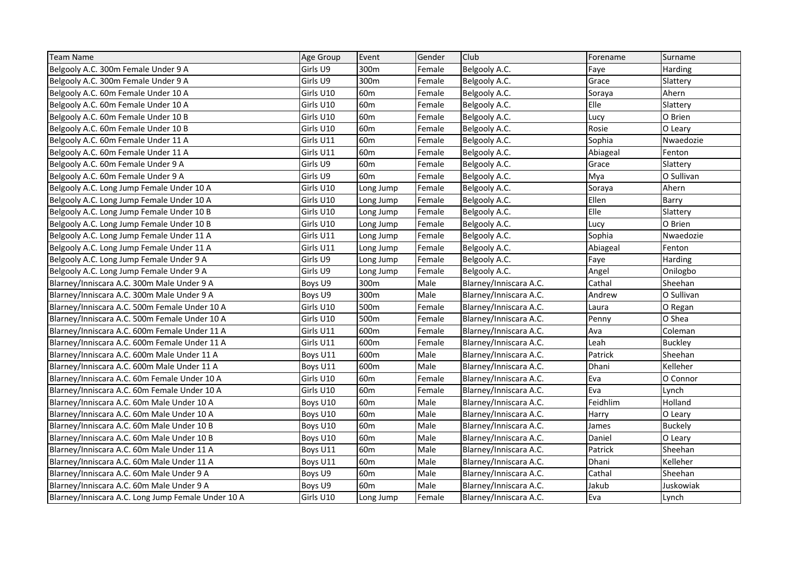| <b>Team Name</b>                                   | Age Group | Event           | Gender | Club                   | Forename | Surname        |
|----------------------------------------------------|-----------|-----------------|--------|------------------------|----------|----------------|
| Belgooly A.C. 300m Female Under 9 A                | Girls U9  | 300m            | Female | Belgooly A.C.          | Faye     | Harding        |
| Belgooly A.C. 300m Female Under 9 A                | Girls U9  | 300m            | Female | Belgooly A.C.          | Grace    | Slattery       |
| Belgooly A.C. 60m Female Under 10 A                | Girls U10 | 60m             | Female | Belgooly A.C.          | Soraya   | Ahern          |
| Belgooly A.C. 60m Female Under 10 A                | Girls U10 | 60 <sub>m</sub> | Female | Belgooly A.C.          | Elle     | Slattery       |
| Belgooly A.C. 60m Female Under 10 B                | Girls U10 | 60 <sub>m</sub> | Female | Belgooly A.C.          | Lucy     | O Brien        |
| Belgooly A.C. 60m Female Under 10 B                | Girls U10 | 60 <sub>m</sub> | Female | Belgooly A.C.          | Rosie    | O Leary        |
| Belgooly A.C. 60m Female Under 11 A                | Girls U11 | 60 <sub>m</sub> | Female | Belgooly A.C.          | Sophia   | Nwaedozie      |
| Belgooly A.C. 60m Female Under 11 A                | Girls U11 | 60 <sub>m</sub> | Female | Belgooly A.C.          | Abiageal | Fenton         |
| Belgooly A.C. 60m Female Under 9 A                 | Girls U9  | 60 <sub>m</sub> | Female | Belgooly A.C.          | Grace    | Slattery       |
| Belgooly A.C. 60m Female Under 9 A                 | Girls U9  | 60 <sub>m</sub> | Female | Belgooly A.C.          | Mya      | O Sullivan     |
| Belgooly A.C. Long Jump Female Under 10 A          | Girls U10 | Long Jump       | Female | Belgooly A.C.          | Soraya   | Ahern          |
| Belgooly A.C. Long Jump Female Under 10 A          | Girls U10 | Long Jump       | Female | Belgooly A.C.          | Ellen    | Barry          |
| Belgooly A.C. Long Jump Female Under 10 B          | Girls U10 | Long Jump       | Female | Belgooly A.C.          | Elle     | Slattery       |
| Belgooly A.C. Long Jump Female Under 10 B          | Girls U10 | Long Jump       | Female | Belgooly A.C.          | Lucy     | O Brien        |
| Belgooly A.C. Long Jump Female Under 11 A          | Girls U11 | Long Jump       | Female | Belgooly A.C.          | Sophia   | Nwaedozie      |
| Belgooly A.C. Long Jump Female Under 11 A          | Girls U11 | Long Jump       | Female | Belgooly A.C.          | Abiageal | Fenton         |
| Belgooly A.C. Long Jump Female Under 9 A           | Girls U9  | Long Jump       | Female | Belgooly A.C.          | Faye     | Harding        |
| Belgooly A.C. Long Jump Female Under 9 A           | Girls U9  | Long Jump       | Female | Belgooly A.C.          | Angel    | Onilogbo       |
| Blarney/Inniscara A.C. 300m Male Under 9 A         | Boys U9   | 300m            | Male   | Blarney/Inniscara A.C. | Cathal   | Sheehan        |
| Blarney/Inniscara A.C. 300m Male Under 9 A         | Boys U9   | 300m            | Male   | Blarney/Inniscara A.C. | Andrew   | O Sullivan     |
| Blarney/Inniscara A.C. 500m Female Under 10 A      | Girls U10 | 500m            | Female | Blarney/Inniscara A.C. | Laura    | O Regan        |
| Blarney/Inniscara A.C. 500m Female Under 10 A      | Girls U10 | 500m            | Female | Blarney/Inniscara A.C. | Penny    | O Shea         |
| Blarney/Inniscara A.C. 600m Female Under 11 A      | Girls U11 | 600m            | Female | Blarney/Inniscara A.C. | Ava      | Coleman        |
| Blarney/Inniscara A.C. 600m Female Under 11 A      | Girls U11 | 600m            | Female | Blarney/Inniscara A.C. | Leah     | <b>Buckley</b> |
| Blarney/Inniscara A.C. 600m Male Under 11 A        | Boys U11  | 600m            | Male   | Blarney/Inniscara A.C. | Patrick  | Sheehan        |
| Blarney/Inniscara A.C. 600m Male Under 11 A        | Boys U11  | 600m            | Male   | Blarney/Inniscara A.C. | Dhani    | Kelleher       |
| Blarney/Inniscara A.C. 60m Female Under 10 A       | Girls U10 | 60 <sub>m</sub> | Female | Blarney/Inniscara A.C. | Eva      | O Connor       |
| Blarney/Inniscara A.C. 60m Female Under 10 A       | Girls U10 | 60 <sub>m</sub> | Female | Blarney/Inniscara A.C. | Eva      | Lynch          |
| Blarney/Inniscara A.C. 60m Male Under 10 A         | Boys U10  | 60 <sub>m</sub> | Male   | Blarney/Inniscara A.C. | Feidhlim | Holland        |
| Blarney/Inniscara A.C. 60m Male Under 10 A         | Boys U10  | 60 <sub>m</sub> | Male   | Blarney/Inniscara A.C. | Harry    | O Leary        |
| Blarney/Inniscara A.C. 60m Male Under 10 B         | Boys U10  | 60 <sub>m</sub> | Male   | Blarney/Inniscara A.C. | James    | <b>Buckely</b> |
| Blarney/Inniscara A.C. 60m Male Under 10 B         | Boys U10  | 60 <sub>m</sub> | Male   | Blarney/Inniscara A.C. | Daniel   | O Leary        |
| Blarney/Inniscara A.C. 60m Male Under 11 A         | Boys U11  | 60 <sub>m</sub> | Male   | Blarney/Inniscara A.C. | Patrick  | Sheehan        |
| Blarney/Inniscara A.C. 60m Male Under 11 A         | Boys U11  | 60 <sub>m</sub> | Male   | Blarney/Inniscara A.C. | Dhani    | Kelleher       |
| Blarney/Inniscara A.C. 60m Male Under 9 A          | Boys U9   | 60 <sub>m</sub> | Male   | Blarney/Inniscara A.C. | Cathal   | Sheehan        |
| Blarney/Inniscara A.C. 60m Male Under 9 A          | Boys U9   | 60 <sub>m</sub> | Male   | Blarney/Inniscara A.C. | Jakub    | Juskowiak      |
| Blarney/Inniscara A.C. Long Jump Female Under 10 A | Girls U10 | Long Jump       | Female | Blarney/Inniscara A.C. | Eva      | Lynch          |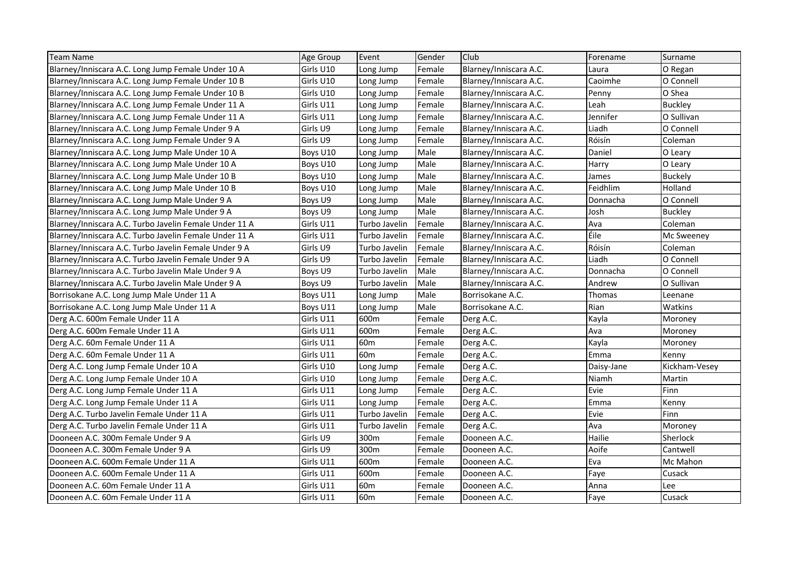| <b>Team Name</b>                                       | Age Group | Event           | Gender | Club                   | Forename   | Surname        |
|--------------------------------------------------------|-----------|-----------------|--------|------------------------|------------|----------------|
| Blarney/Inniscara A.C. Long Jump Female Under 10 A     | Girls U10 | Long Jump       | Female | Blarney/Inniscara A.C. | Laura      | O Regan        |
| Blarney/Inniscara A.C. Long Jump Female Under 10 B     | Girls U10 | Long Jump       | Female | Blarney/Inniscara A.C. | Caoimhe    | O Connell      |
| Blarney/Inniscara A.C. Long Jump Female Under 10 B     | Girls U10 | Long Jump       | Female | Blarney/Inniscara A.C. | Penny      | O Shea         |
| Blarney/Inniscara A.C. Long Jump Female Under 11 A     | Girls U11 | Long Jump       | Female | Blarney/Inniscara A.C. | Leah       | <b>Buckley</b> |
| Blarney/Inniscara A.C. Long Jump Female Under 11 A     | Girls U11 | Long Jump       | Female | Blarney/Inniscara A.C. | Jennifer   | O Sullivan     |
| Blarney/Inniscara A.C. Long Jump Female Under 9 A      | Girls U9  | Long Jump       | Female | Blarney/Inniscara A.C. | Liadh      | O Connell      |
| Blarney/Inniscara A.C. Long Jump Female Under 9 A      | Girls U9  | Long Jump       | Female | Blarney/Inniscara A.C. | Róisín     | Coleman        |
| Blarney/Inniscara A.C. Long Jump Male Under 10 A       | Boys U10  | Long Jump       | Male   | Blarney/Inniscara A.C. | Daniel     | O Leary        |
| Blarney/Inniscara A.C. Long Jump Male Under 10 A       | Boys U10  | Long Jump       | Male   | Blarney/Inniscara A.C. | Harry      | O Leary        |
| Blarney/Inniscara A.C. Long Jump Male Under 10 B       | Boys U10  | Long Jump       | Male   | Blarney/Inniscara A.C. | James      | <b>Buckely</b> |
| Blarney/Inniscara A.C. Long Jump Male Under 10 B       | Boys U10  | Long Jump       | Male   | Blarney/Inniscara A.C. | Feidhlim   | Holland        |
| Blarney/Inniscara A.C. Long Jump Male Under 9 A        | Boys U9   | Long Jump       | Male   | Blarney/Inniscara A.C. | Donnacha   | O Connell      |
| Blarney/Inniscara A.C. Long Jump Male Under 9 A        | Boys U9   | Long Jump       | Male   | Blarney/Inniscara A.C. | Josh       | <b>Buckley</b> |
| Blarney/Inniscara A.C. Turbo Javelin Female Under 11 A | Girls U11 | Turbo Javelin   | Female | Blarney/Inniscara A.C. | Ava        | Coleman        |
| Blarney/Inniscara A.C. Turbo Javelin Female Under 11 A | Girls U11 | Turbo Javelin   | Female | Blarney/Inniscara A.C. | Éile       | Mc Sweeney     |
| Blarney/Inniscara A.C. Turbo Javelin Female Under 9 A  | Girls U9  | Turbo Javelin   | Female | Blarney/Inniscara A.C. | Róisín     | Coleman        |
| Blarney/Inniscara A.C. Turbo Javelin Female Under 9 A  | Girls U9  | Turbo Javelin   | Female | Blarney/Inniscara A.C. | Liadh      | O Connell      |
| Blarney/Inniscara A.C. Turbo Javelin Male Under 9 A    | Boys U9   | Turbo Javelin   | Male   | Blarney/Inniscara A.C. | Donnacha   | O Connell      |
| Blarney/Inniscara A.C. Turbo Javelin Male Under 9 A    | Boys U9   | Turbo Javelin   | Male   | Blarney/Inniscara A.C. | Andrew     | O Sullivan     |
| Borrisokane A.C. Long Jump Male Under 11 A             | Boys U11  | Long Jump       | Male   | Borrisokane A.C.       | Thomas     | Leenane        |
| Borrisokane A.C. Long Jump Male Under 11 A             | Boys U11  | Long Jump       | Male   | Borrisokane A.C.       | Rian       | Watkins        |
| Derg A.C. 600m Female Under 11 A                       | Girls U11 | 600m            | Female | Derg A.C.              | Kayla      | Moroney        |
| Derg A.C. 600m Female Under 11 A                       | Girls U11 | 600m            | Female | Derg A.C.              | Ava        | Moroney        |
| Derg A.C. 60m Female Under 11 A                        | Girls U11 | 60 <sub>m</sub> | Female | Derg A.C.              | Kayla      | Moroney        |
| Derg A.C. 60m Female Under 11 A                        | Girls U11 | 60 <sub>m</sub> | Female | Derg A.C.              | Emma       | Kenny          |
| Derg A.C. Long Jump Female Under 10 A                  | Girls U10 | Long Jump       | Female | Derg A.C.              | Daisy-Jane | Kickham-Vesey  |
| Derg A.C. Long Jump Female Under 10 A                  | Girls U10 | Long Jump       | Female | Derg A.C.              | Niamh      | Martin         |
| Derg A.C. Long Jump Female Under 11 A                  | Girls U11 | Long Jump       | Female | Derg A.C.              | Evie       | Finn           |
| Derg A.C. Long Jump Female Under 11 A                  | Girls U11 | Long Jump       | Female | Derg A.C.              | Emma       | Kenny          |
| Derg A.C. Turbo Javelin Female Under 11 A              | Girls U11 | Turbo Javelin   | Female | Derg A.C.              | Evie       | Finn           |
| Derg A.C. Turbo Javelin Female Under 11 A              | Girls U11 | Turbo Javelin   | Female | Derg A.C.              | Ava        | Moroney        |
| Dooneen A.C. 300m Female Under 9 A                     | Girls U9  | 300m            | Female | Dooneen A.C.           | Hailie     | Sherlock       |
| Dooneen A.C. 300m Female Under 9 A                     | Girls U9  | 300m            | Female | Dooneen A.C.           | Aoife      | Cantwell       |
| Dooneen A.C. 600m Female Under 11 A                    | Girls U11 | 600m            | Female | Dooneen A.C.           | Eva        | Mc Mahon       |
| Dooneen A.C. 600m Female Under 11 A                    | Girls U11 | 600m            | Female | Dooneen A.C.           | Faye       | Cusack         |
| Dooneen A.C. 60m Female Under 11 A                     | Girls U11 | 60 <sub>m</sub> | Female | Dooneen A.C.           | Anna       | Lee            |
| Dooneen A.C. 60m Female Under 11 A                     | Girls U11 | 60 <sub>m</sub> | Female | Dooneen A.C.           | Faye       | Cusack         |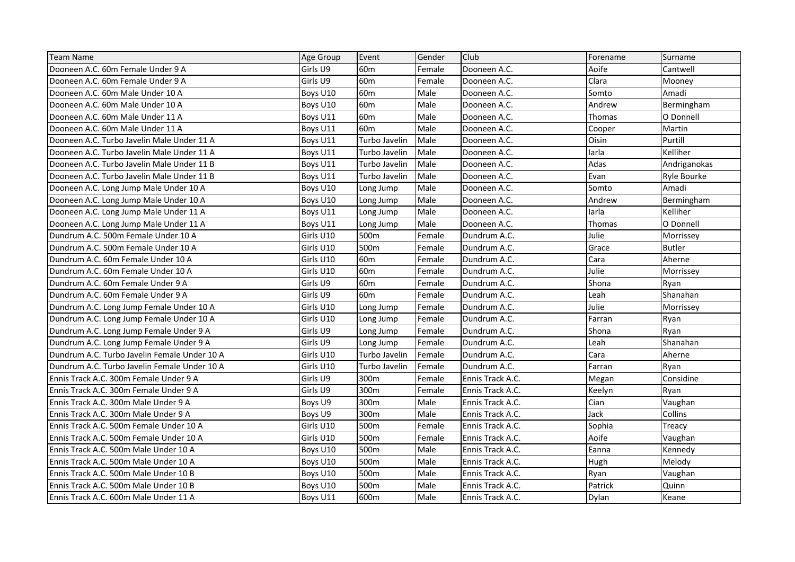| <b>Team Name</b>                             | Age Group | Event           | Gender | Club             | Forename | Surname       |
|----------------------------------------------|-----------|-----------------|--------|------------------|----------|---------------|
| Dooneen A.C. 60m Female Under 9 A            | Girls U9  | 60 <sub>m</sub> | Female | Dooneen A.C.     | Aoife    | Cantwell      |
| Dooneen A.C. 60m Female Under 9 A            | Girls U9  | 60 <sub>m</sub> | Female | Dooneen A.C.     | Clara    | Mooney        |
| Dooneen A.C. 60m Male Under 10 A             | Boys U10  | 60 <sub>m</sub> | Male   | Dooneen A.C.     | Somto    | Amadi         |
| Dooneen A.C. 60m Male Under 10 A             | Boys U10  | 60 <sub>m</sub> | Male   | Dooneen A.C.     | Andrew   | Bermingham    |
| Dooneen A.C. 60m Male Under 11 A             | Boys U11  | 60 <sub>m</sub> | Male   | Dooneen A.C.     | Thomas   | O Donnell     |
| Dooneen A.C. 60m Male Under 11 A             | Boys U11  | 60 <sub>m</sub> | Male   | Dooneen A.C.     | Cooper   | Martin        |
| Dooneen A.C. Turbo Javelin Male Under 11 A   | Boys U11  | Turbo Javelin   | Male   | Dooneen A.C.     | Oisin    | Purtill       |
| Dooneen A.C. Turbo Javelin Male Under 11 A   | Boys U11  | Turbo Javelin   | Male   | Dooneen A.C.     | larla    | Kelliher      |
| Dooneen A.C. Turbo Javelin Male Under 11 B   | Boys U11  | Turbo Javelin   | Male   | Dooneen A.C.     | Adas     | Andriganokas  |
| Dooneen A.C. Turbo Javelin Male Under 11 B   | Boys U11  | Turbo Javelin   | Male   | Dooneen A.C.     | Evan     | Ryle Bourke   |
| Dooneen A.C. Long Jump Male Under 10 A       | Boys U10  | Long Jump       | Male   | Dooneen A.C.     | Somto    | Amadi         |
| Dooneen A.C. Long Jump Male Under 10 A       | Boys U10  | Long Jump       | Male   | Dooneen A.C.     | Andrew   | Bermingham    |
| Dooneen A.C. Long Jump Male Under 11 A       | Boys U11  | Long Jump       | Male   | Dooneen A.C.     | larla    | Kelliher      |
| Dooneen A.C. Long Jump Male Under 11 A       | Boys U11  | Long Jump       | Male   | Dooneen A.C.     | Thomas   | O Donnell     |
| Dundrum A.C. 500m Female Under 10 A          | Girls U10 | 500m            | Female | Dundrum A.C.     | Julie    | Morrissey     |
| Dundrum A.C. 500m Female Under 10 A          | Girls U10 | 500m            | Female | Dundrum A.C.     | Grace    | <b>Butler</b> |
| Dundrum A.C. 60m Female Under 10 A           | Girls U10 | 60 <sub>m</sub> | Female | Dundrum A.C.     | Cara     | Aherne        |
| Dundrum A.C. 60m Female Under 10 A           | Girls U10 | 60 <sub>m</sub> | Female | Dundrum A.C.     | Julie    | Morrissey     |
| Dundrum A.C. 60m Female Under 9 A            | Girls U9  | 60 <sub>m</sub> | Female | Dundrum A.C.     | Shona    | Ryan          |
| Dundrum A.C. 60m Female Under 9 A            | Girls U9  | 60 <sub>m</sub> | Female | Dundrum A.C.     | Leah     | Shanahan      |
| Dundrum A.C. Long Jump Female Under 10 A     | Girls U10 | Long Jump       | Female | Dundrum A.C.     | Julie    | Morrissey     |
| Dundrum A.C. Long Jump Female Under 10 A     | Girls U10 | Long Jump       | Female | Dundrum A.C.     | Farran   | Ryan          |
| Dundrum A.C. Long Jump Female Under 9 A      | Girls U9  | Long Jump       | Female | Dundrum A.C.     | Shona    | Ryan          |
| Dundrum A.C. Long Jump Female Under 9 A      | Girls U9  | Long Jump       | Female | Dundrum A.C.     | Leah     | Shanahan      |
| Dundrum A.C. Turbo Javelin Female Under 10 A | Girls U10 | Turbo Javelin   | Female | Dundrum A.C.     | Cara     | Aherne        |
| Dundrum A.C. Turbo Javelin Female Under 10 A | Girls U10 | Turbo Javelin   | Female | Dundrum A.C.     | Farran   | Ryan          |
| Ennis Track A.C. 300m Female Under 9 A       | Girls U9  | 300m            | Female | Ennis Track A.C. | Megan    | Considine     |
| Ennis Track A.C. 300m Female Under 9 A       | Girls U9  | 300m            | Female | Ennis Track A.C. | Keelyn   | Ryan          |
| Ennis Track A.C. 300m Male Under 9 A         | Boys U9   | 300m            | Male   | Ennis Track A.C. | Cian     | Vaughan       |
| Ennis Track A.C. 300m Male Under 9 A         | Boys U9   | 300m            | Male   | Ennis Track A.C. | Jack     | Collins       |
| Ennis Track A.C. 500m Female Under 10 A      | Girls U10 | 500m            | Female | Ennis Track A.C. | Sophia   | Treacy        |
| Ennis Track A.C. 500m Female Under 10 A      | Girls U10 | 500m            | Female | Ennis Track A.C. | Aoife    | Vaughan       |
| Ennis Track A.C. 500m Male Under 10 A        | Boys U10  | 500m            | Male   | Ennis Track A.C. | Eanna    | Kennedy       |
| Ennis Track A.C. 500m Male Under 10 A        | Boys U10  | 500m            | Male   | Ennis Track A.C. | Hugh     | Melody        |
| Ennis Track A.C. 500m Male Under 10 B        | Boys U10  | 500m            | Male   | Ennis Track A.C. | Ryan     | Vaughan       |
| Ennis Track A.C. 500m Male Under 10 B        | Boys U10  | 500m            | Male   | Ennis Track A.C. | Patrick  | Quinn         |
| Ennis Track A.C. 600m Male Under 11 A        | Boys U11  | 600m            | Male   | Ennis Track A.C. | Dylan    | Keane         |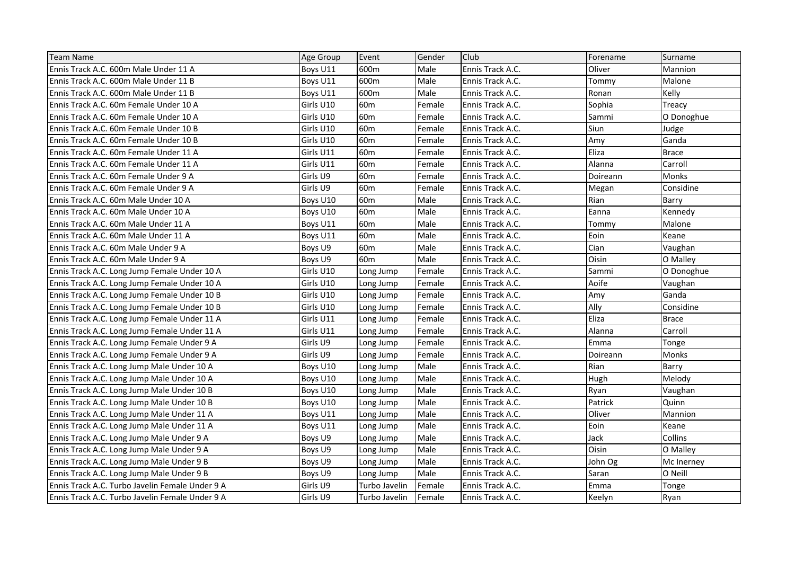| <b>Team Name</b>                                | <b>Age Group</b> | Event           | Gender | Club             | Forename | Surname      |
|-------------------------------------------------|------------------|-----------------|--------|------------------|----------|--------------|
| Ennis Track A.C. 600m Male Under 11 A           | Boys U11         | 600m            | Male   | Ennis Track A.C. | Oliver   | Mannion      |
| Ennis Track A.C. 600m Male Under 11 B           | Boys U11         | 600m            | Male   | Ennis Track A.C. | Tommy    | Malone       |
| Ennis Track A.C. 600m Male Under 11 B           | Boys U11         | 600m            | Male   | Ennis Track A.C. | Ronan    | Kelly        |
| Ennis Track A.C. 60m Female Under 10 A          | Girls U10        | 60 <sub>m</sub> | Female | Ennis Track A.C. | Sophia   | Treacy       |
| Ennis Track A.C. 60m Female Under 10 A          | Girls U10        | 60 <sub>m</sub> | Female | Ennis Track A.C. | Sammi    | O Donoghue   |
| Ennis Track A.C. 60m Female Under 10 B          | Girls U10        | 60 <sub>m</sub> | Female | Ennis Track A.C. | Siun     | Judge        |
| Ennis Track A.C. 60m Female Under 10 B          | Girls U10        | 60 <sub>m</sub> | Female | Ennis Track A.C. | Amv      | Ganda        |
| Ennis Track A.C. 60m Female Under 11 A          | Girls U11        | 60m             | Female | Ennis Track A.C. | Eliza    | <b>Brace</b> |
| Ennis Track A.C. 60m Female Under 11 A          | Girls U11        | 60 <sub>m</sub> | Female | Ennis Track A.C. | Alanna   | Carroll      |
| Ennis Track A.C. 60m Female Under 9 A           | Girls U9         | 60 <sub>m</sub> | Female | Ennis Track A.C. | Doireann | Monks        |
| Ennis Track A.C. 60m Female Under 9 A           | Girls U9         | 60 <sub>m</sub> | Female | Ennis Track A.C. | Megan    | Considine    |
| Ennis Track A.C. 60m Male Under 10 A            | Boys U10         | 60 <sub>m</sub> | Male   | Ennis Track A.C. | Rian     | Barry        |
| Ennis Track A.C. 60m Male Under 10 A            | Boys U10         | 60 <sub>m</sub> | Male   | Ennis Track A.C. | Eanna    | Kennedy      |
| Ennis Track A.C. 60m Male Under 11 A            | Boys U11         | 60 <sub>m</sub> | Male   | Ennis Track A.C. | Tommy    | Malone       |
| Ennis Track A.C. 60m Male Under 11 A            | Boys U11         | 60 <sub>m</sub> | Male   | Ennis Track A.C. | Eoin     | Keane        |
| Ennis Track A.C. 60m Male Under 9 A             | Boys U9          | 60 <sub>m</sub> | Male   | Ennis Track A.C. | Cian     | Vaughan      |
| Ennis Track A.C. 60m Male Under 9 A             | Boys U9          | 60 <sub>m</sub> | Male   | Ennis Track A.C. | Oisin    | O Malley     |
| Ennis Track A.C. Long Jump Female Under 10 A    | Girls U10        | Long Jump       | Female | Ennis Track A.C. | Sammi    | O Donoghue   |
| Ennis Track A.C. Long Jump Female Under 10 A    | Girls U10        | Long Jump       | Female | Ennis Track A.C. | Aoife    | Vaughan      |
| Ennis Track A.C. Long Jump Female Under 10 B    | Girls U10        | Long Jump       | Female | Ennis Track A.C. | Amy      | Ganda        |
| Ennis Track A.C. Long Jump Female Under 10 B    | Girls U10        | Long Jump       | Female | Ennis Track A.C. | Ally     | Considine    |
| Ennis Track A.C. Long Jump Female Under 11 A    | Girls U11        | Long Jump       | Female | Ennis Track A.C. | Eliza    | <b>Brace</b> |
| Ennis Track A.C. Long Jump Female Under 11 A    | Girls U11        | Long Jump       | Female | Ennis Track A.C. | Alanna   | Carroll      |
| Ennis Track A.C. Long Jump Female Under 9 A     | Girls U9         | Long Jump       | Female | Ennis Track A.C. | Emma     | Tonge        |
| Ennis Track A.C. Long Jump Female Under 9 A     | Girls U9         | Long Jump       | Female | Ennis Track A.C. | Doireann | Monks        |
| Ennis Track A.C. Long Jump Male Under 10 A      | Boys U10         | Long Jump       | Male   | Ennis Track A.C. | Rian     | Barry        |
| Ennis Track A.C. Long Jump Male Under 10 A      | Boys U10         | Long Jump       | Male   | Ennis Track A.C. | Hugh     | Melody       |
| Ennis Track A.C. Long Jump Male Under 10 B      | Boys U10         | Long Jump       | Male   | Ennis Track A.C. | Ryan     | Vaughan      |
| Ennis Track A.C. Long Jump Male Under 10 B      | Boys U10         | Long Jump       | Male   | Ennis Track A.C. | Patrick  | Quinn        |
| Ennis Track A.C. Long Jump Male Under 11 A      | Boys U11         | Long Jump       | Male   | Ennis Track A.C. | Oliver   | Mannion      |
| Ennis Track A.C. Long Jump Male Under 11 A      | Boys U11         | Long Jump       | Male   | Ennis Track A.C. | Eoin     | Keane        |
| Ennis Track A.C. Long Jump Male Under 9 A       | Boys U9          | Long Jump       | Male   | Ennis Track A.C. | Jack     | Collins      |
| Ennis Track A.C. Long Jump Male Under 9 A       | Boys U9          | Long Jump       | Male   | Ennis Track A.C. | Oisin    | O Malley     |
| Ennis Track A.C. Long Jump Male Under 9 B       | Boys U9          | Long Jump       | Male   | Ennis Track A.C. | John Og  | Mc Inerney   |
| Ennis Track A.C. Long Jump Male Under 9 B       | Boys U9          | Long Jump       | Male   | Ennis Track A.C. | Saran    | O Neill      |
| Ennis Track A.C. Turbo Javelin Female Under 9 A | Girls U9         | Turbo Javelin   | Female | Ennis Track A.C. | Emma     | Tonge        |
| Ennis Track A.C. Turbo Javelin Female Under 9 A | Girls U9         | Turbo Javelin   | Female | Ennis Track A.C. | Keelyn   | Ryan         |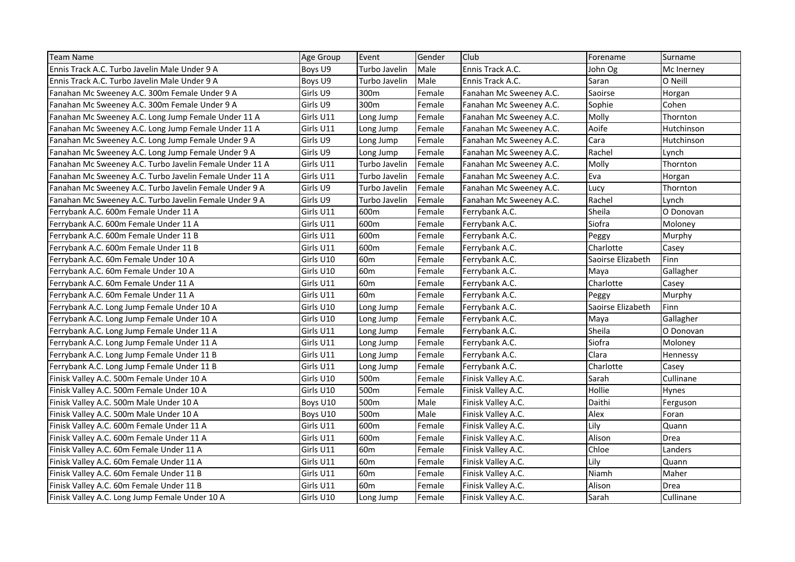| <b>Team Name</b>                                        | Age Group | Event           | Gender | Club                    | Forename          | Surname    |
|---------------------------------------------------------|-----------|-----------------|--------|-------------------------|-------------------|------------|
| Ennis Track A.C. Turbo Javelin Male Under 9 A           | Boys U9   | Turbo Javelin   | Male   | Ennis Track A.C.        | John Og           | Mc Inerney |
| Ennis Track A.C. Turbo Javelin Male Under 9 A           | Boys U9   | Turbo Javelin   | Male   | Ennis Track A.C.        | Saran             | O Neill    |
| Fanahan Mc Sweeney A.C. 300m Female Under 9 A           | Girls U9  | 300m            | Female | Fanahan Mc Sweeney A.C. | Saoirse           | Horgan     |
| Fanahan Mc Sweeney A.C. 300m Female Under 9 A           | Girls U9  | 300m            | Female | Fanahan Mc Sweeney A.C. | Sophie            | Cohen      |
| Fanahan Mc Sweeney A.C. Long Jump Female Under 11 A     | Girls U11 | Long Jump       | Female | Fanahan Mc Sweeney A.C. | Molly             | Thornton   |
| Fanahan Mc Sweeney A.C. Long Jump Female Under 11 A     | Girls U11 | Long Jump       | Female | Fanahan Mc Sweeney A.C. | Aoife             | Hutchinson |
| Fanahan Mc Sweeney A.C. Long Jump Female Under 9 A      | Girls U9  | Long Jump       | Female | Fanahan Mc Sweeney A.C. | Cara              | Hutchinson |
| Fanahan Mc Sweeney A.C. Long Jump Female Under 9 A      | Girls U9  | Long Jump       | Female | Fanahan Mc Sweeney A.C. | Rachel            | Lynch      |
| Fanahan Mc Sweeney A.C. Turbo Javelin Female Under 11 A | Girls U11 | Turbo Javelin   | Female | Fanahan Mc Sweeney A.C. | Molly             | Thornton   |
| Fanahan Mc Sweeney A.C. Turbo Javelin Female Under 11 A | Girls U11 | Turbo Javelin   | Female | Fanahan Mc Sweeney A.C. | Eva               | Horgan     |
| Fanahan Mc Sweeney A.C. Turbo Javelin Female Under 9 A  | Girls U9  | Turbo Javelin   | Female | Fanahan Mc Sweeney A.C. | Lucy              | Thornton   |
| Fanahan Mc Sweeney A.C. Turbo Javelin Female Under 9 A  | Girls U9  | Turbo Javelin   | Female | Fanahan Mc Sweeney A.C. | Rachel            | Lynch      |
| Ferrybank A.C. 600m Female Under 11 A                   | Girls U11 | 600m            | Female | Ferrybank A.C.          | Sheila            | O Donovan  |
| Ferrybank A.C. 600m Female Under 11 A                   | Girls U11 | 600m            | Female | Ferrybank A.C.          | Siofra            | Moloney    |
| Ferrybank A.C. 600m Female Under 11 B                   | Girls U11 | 600m            | Female | Ferrybank A.C.          | Peggy             | Murphy     |
| Ferrybank A.C. 600m Female Under 11 B                   | Girls U11 | 600m            | Female | Ferrybank A.C.          | Charlotte         | Casey      |
| Ferrybank A.C. 60m Female Under 10 A                    | Girls U10 | 60 <sub>m</sub> | Female | Ferrybank A.C.          | Saoirse Elizabeth | Finn       |
| Ferrybank A.C. 60m Female Under 10 A                    | Girls U10 | 60 <sub>m</sub> | Female | Ferrybank A.C.          | Maya              | Gallagher  |
| Ferrybank A.C. 60m Female Under 11 A                    | Girls U11 | 60 <sub>m</sub> | Female | Ferrybank A.C.          | Charlotte         | Casey      |
| Ferrybank A.C. 60m Female Under 11 A                    | Girls U11 | 60 <sub>m</sub> | Female | Ferrybank A.C.          | Peggy             | Murphy     |
| Ferrybank A.C. Long Jump Female Under 10 A              | Girls U10 | Long Jump       | Female | Ferrybank A.C.          | Saoirse Elizabeth | Finn       |
| Ferrybank A.C. Long Jump Female Under 10 A              | Girls U10 | Long Jump       | Female | Ferrybank A.C.          | Maya              | Gallagher  |
| Ferrybank A.C. Long Jump Female Under 11 A              | Girls U11 | Long Jump       | Female | Ferrybank A.C.          | Sheila            | O Donovan  |
| Ferrybank A.C. Long Jump Female Under 11 A              | Girls U11 | Long Jump       | Female | Ferrybank A.C.          | Siofra            | Moloney    |
| Ferrybank A.C. Long Jump Female Under 11 B              | Girls U11 | Long Jump       | Female | Ferrybank A.C.          | Clara             | Hennessy   |
| Ferrybank A.C. Long Jump Female Under 11 B              | Girls U11 | Long Jump       | Female | Ferrybank A.C.          | Charlotte         | Casey      |
| Finisk Valley A.C. 500m Female Under 10 A               | Girls U10 | 500m            | Female | Finisk Valley A.C.      | Sarah             | Cullinane  |
| Finisk Valley A.C. 500m Female Under 10 A               | Girls U10 | 500m            | Female | Finisk Valley A.C.      | Hollie            | Hynes      |
| Finisk Valley A.C. 500m Male Under 10 A                 | Boys U10  | 500m            | Male   | Finisk Valley A.C.      | Daithi            | Ferguson   |
| Finisk Valley A.C. 500m Male Under 10 A                 | Boys U10  | 500m            | Male   | Finisk Valley A.C.      | Alex              | Foran      |
| Finisk Valley A.C. 600m Female Under 11 A               | Girls U11 | 600m            | Female | Finisk Valley A.C.      | Lily              | Quann      |
| Finisk Valley A.C. 600m Female Under 11 A               | Girls U11 | 600m            | Female | Finisk Valley A.C.      | Alison            | Drea       |
| Finisk Valley A.C. 60m Female Under 11 A                | Girls U11 | 60 <sub>m</sub> | Female | Finisk Valley A.C.      | Chloe             | Landers    |
| Finisk Valley A.C. 60m Female Under 11 A                | Girls U11 | 60 <sub>m</sub> | Female | Finisk Valley A.C.      | Lily              | Quann      |
| Finisk Valley A.C. 60m Female Under 11 B                | Girls U11 | 60 <sub>m</sub> | Female | Finisk Valley A.C.      | Niamh             | Maher      |
| Finisk Valley A.C. 60m Female Under 11 B                | Girls U11 | 60 <sub>m</sub> | Female | Finisk Valley A.C.      | Alison            | Drea       |
| Finisk Valley A.C. Long Jump Female Under 10 A          | Girls U10 | Long Jump       | Female | Finisk Valley A.C.      | Sarah             | Cullinane  |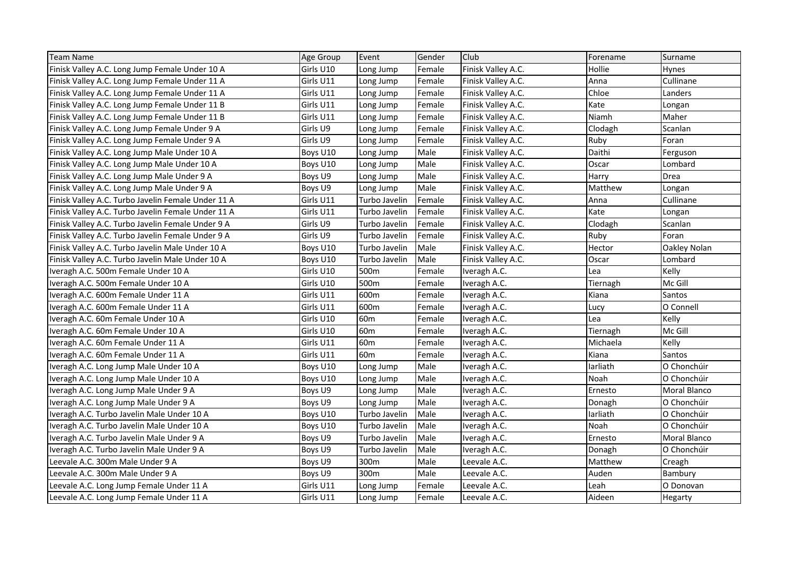| <b>Team Name</b>                                   | Age Group | Event           | Gender | Club               | Forename | Surname      |
|----------------------------------------------------|-----------|-----------------|--------|--------------------|----------|--------------|
| Finisk Valley A.C. Long Jump Female Under 10 A     | Girls U10 | Long Jump       | Female | Finisk Valley A.C. | Hollie   | Hynes        |
| Finisk Valley A.C. Long Jump Female Under 11 A     | Girls U11 | Long Jump       | Female | Finisk Valley A.C. | Anna     | Cullinane    |
| Finisk Valley A.C. Long Jump Female Under 11 A     | Girls U11 | Long Jump       | Female | Finisk Valley A.C. | Chloe    | Landers      |
| Finisk Valley A.C. Long Jump Female Under 11 B     | Girls U11 | Long Jump       | Female | Finisk Valley A.C. | Kate     | Longan       |
| Finisk Valley A.C. Long Jump Female Under 11 B     | Girls U11 | Long Jump       | Female | Finisk Valley A.C. | Niamh    | Maher        |
| Finisk Valley A.C. Long Jump Female Under 9 A      | Girls U9  | Long Jump       | Female | Finisk Valley A.C. | Clodagh  | Scanlan      |
| Finisk Valley A.C. Long Jump Female Under 9 A      | Girls U9  | Long Jump       | Female | Finisk Valley A.C. | Ruby     | Foran        |
| Finisk Valley A.C. Long Jump Male Under 10 A       | Boys U10  | Long Jump       | Male   | Finisk Valley A.C. | Daithi   | Ferguson     |
| Finisk Valley A.C. Long Jump Male Under 10 A       | Boys U10  | Long Jump       | Male   | Finisk Valley A.C. | Oscar    | Lombard      |
| Finisk Valley A.C. Long Jump Male Under 9 A        | Boys U9   | Long Jump       | Male   | Finisk Valley A.C. | Harry    | Drea         |
| Finisk Valley A.C. Long Jump Male Under 9 A        | Boys U9   | Long Jump       | Male   | Finisk Valley A.C. | Matthew  | Longan       |
| Finisk Valley A.C. Turbo Javelin Female Under 11 A | Girls U11 | Turbo Javelin   | Female | Finisk Valley A.C. | Anna     | Cullinane    |
| Finisk Valley A.C. Turbo Javelin Female Under 11 A | Girls U11 | Turbo Javelin   | Female | Finisk Valley A.C. | Kate     | Longan       |
| Finisk Valley A.C. Turbo Javelin Female Under 9 A  | Girls U9  | Turbo Javelin   | Female | Finisk Valley A.C. | Clodagh  | Scanlan      |
| Finisk Valley A.C. Turbo Javelin Female Under 9 A  | Girls U9  | Turbo Javelin   | Female | Finisk Valley A.C. | Ruby     | Foran        |
| Finisk Valley A.C. Turbo Javelin Male Under 10 A   | Boys U10  | Turbo Javelin   | Male   | Finisk Valley A.C. | Hector   | Oakley Nolan |
| Finisk Valley A.C. Turbo Javelin Male Under 10 A   | Boys U10  | Turbo Javelin   | Male   | Finisk Valley A.C. | Oscar    | Lombard      |
| Iveragh A.C. 500m Female Under 10 A                | Girls U10 | 500m            | Female | Iveragh A.C.       | Lea      | Kelly        |
| Iveragh A.C. 500m Female Under 10 A                | Girls U10 | 500m            | Female | Iveragh A.C.       | Tiernagh | Mc Gill      |
| Iveragh A.C. 600m Female Under 11 A                | Girls U11 | 600m            | Female | Iveragh A.C.       | Kiana    | Santos       |
| Iveragh A.C. 600m Female Under 11 A                | Girls U11 | 600m            | Female | Iveragh A.C.       | Lucy     | O Connell    |
| Iveragh A.C. 60m Female Under 10 A                 | Girls U10 | 60 <sub>m</sub> | Female | Iveragh A.C.       | Lea      | Kelly        |
| Iveragh A.C. 60m Female Under 10 A                 | Girls U10 | 60 <sub>m</sub> | Female | Iveragh A.C.       | Tiernagh | Mc Gill      |
| Iveragh A.C. 60m Female Under 11 A                 | Girls U11 | 60 <sub>m</sub> | Female | Iveragh A.C.       | Michaela | Kelly        |
| Iveragh A.C. 60m Female Under 11 A                 | Girls U11 | 60 <sub>m</sub> | Female | Iveragh A.C.       | Kiana    | Santos       |
| Iveragh A.C. Long Jump Male Under 10 A             | Boys U10  | Long Jump       | Male   | Iveragh A.C.       | larliath | O Chonchúir  |
| Iveragh A.C. Long Jump Male Under 10 A             | Boys U10  | Long Jump       | Male   | Iveragh A.C.       | Noah     | O Chonchúir  |
| Iveragh A.C. Long Jump Male Under 9 A              | Boys U9   | Long Jump       | Male   | Iveragh A.C.       | Ernesto  | Moral Blanco |
| Iveragh A.C. Long Jump Male Under 9 A              | Boys U9   | Long Jump       | Male   | Iveragh A.C.       | Donagh   | O Chonchúir  |
| Iveragh A.C. Turbo Javelin Male Under 10 A         | Boys U10  | Turbo Javelin   | Male   | Iveragh A.C.       | larliath | O Chonchúir  |
| Iveragh A.C. Turbo Javelin Male Under 10 A         | Boys U10  | Turbo Javelin   | Male   | Iveragh A.C.       | Noah     | O Chonchúir  |
| Iveragh A.C. Turbo Javelin Male Under 9 A          | Boys U9   | Turbo Javelin   | Male   | Iveragh A.C.       | Ernesto  | Moral Blanco |
| Iveragh A.C. Turbo Javelin Male Under 9 A          | Boys U9   | Turbo Javelin   | Male   | Iveragh A.C.       | Donagh   | O Chonchúir  |
| Leevale A.C. 300m Male Under 9 A                   | Boys U9   | 300m            | Male   | Leevale A.C.       | Matthew  | Creagh       |
| Leevale A.C. 300m Male Under 9 A                   | Boys U9   | 300m            | Male   | Leevale A.C.       | Auden    | Bambury      |
| Leevale A.C. Long Jump Female Under 11 A           | Girls U11 | Long Jump       | Female | Leevale A.C.       | Leah     | O Donovan    |
| Leevale A.C. Long Jump Female Under 11 A           | Girls U11 | Long Jump       | Female | Leevale A.C.       | Aideen   | Hegarty      |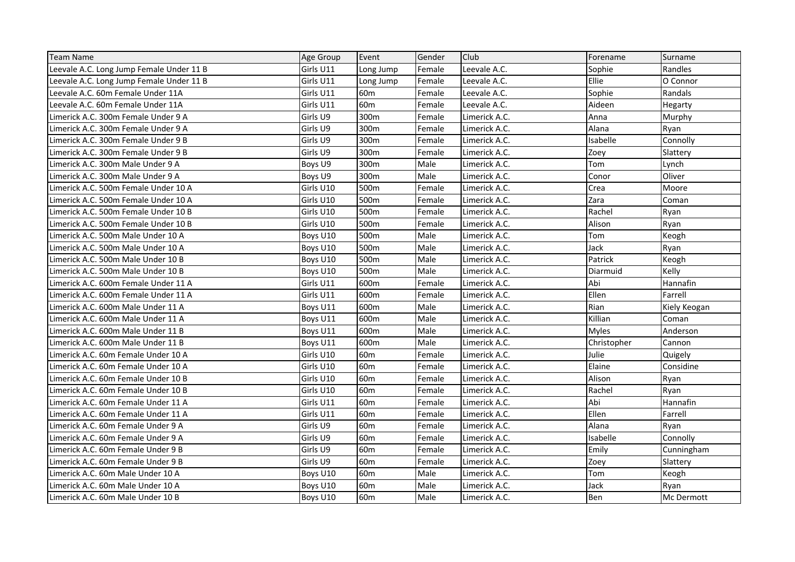| <b>Team Name</b>                         | <b>Age Group</b> | Event           | Gender | Club          | Forename     | Surname      |
|------------------------------------------|------------------|-----------------|--------|---------------|--------------|--------------|
| Leevale A.C. Long Jump Female Under 11 B | Girls U11        | Long Jump       | Female | Leevale A.C.  | Sophie       | Randles      |
| Leevale A.C. Long Jump Female Under 11 B | Girls U11        | Long Jump       | Female | Leevale A.C.  | Ellie        | O Connor     |
| Leevale A.C. 60m Female Under 11A        | Girls U11        | 60m             | Female | Leevale A.C.  | Sophie       | Randals      |
| Leevale A.C. 60m Female Under 11A        | Girls U11        | 60 <sub>m</sub> | Female | Leevale A.C.  | Aideen       | Hegarty      |
| Limerick A.C. 300m Female Under 9 A      | Girls U9         | 300m            | Female | Limerick A.C. | Anna         | Murphy       |
| Limerick A.C. 300m Female Under 9 A      | Girls U9         | 300m            | Female | Limerick A.C. | Alana        | Ryan         |
| Limerick A.C. 300m Female Under 9 B      | Girls U9         | 300m            | Female | Limerick A.C. | Isabelle     | Connolly     |
| Limerick A.C. 300m Female Under 9 B      | Girls U9         | 300m            | Female | Limerick A.C. | Zoey         | Slattery     |
| Limerick A.C. 300m Male Under 9 A        | Boys U9          | 300m            | Male   | Limerick A.C. | Tom          | Lynch        |
| Limerick A.C. 300m Male Under 9 A        | Boys U9          | 300m            | Male   | Limerick A.C. | Conor        | Oliver       |
| Limerick A.C. 500m Female Under 10 A     | Girls U10        | 500m            | Female | Limerick A.C. | Crea         | Moore        |
| Limerick A.C. 500m Female Under 10 A     | Girls U10        | 500m            | Female | Limerick A.C. | Zara         | Coman        |
| Limerick A.C. 500m Female Under 10 B     | Girls U10        | 500m            | Female | Limerick A.C. | Rachel       | Ryan         |
| Limerick A.C. 500m Female Under 10 B     | Girls U10        | 500m            | Female | Limerick A.C. | Alison       | Ryan         |
| Limerick A.C. 500m Male Under 10 A       | Boys U10         | 500m            | Male   | Limerick A.C. | Tom          | Keogh        |
| Limerick A.C. 500m Male Under 10 A       | Boys U10         | 500m            | Male   | Limerick A.C. | Jack         | Ryan         |
| Limerick A.C. 500m Male Under 10 B       | Boys U10         | 500m            | Male   | Limerick A.C. | Patrick      | Keogh        |
| Limerick A.C. 500m Male Under 10 B       | Boys U10         | 500m            | Male   | Limerick A.C. | Diarmuid     | Kelly        |
| Limerick A.C. 600m Female Under 11 A     | Girls U11        | 600m            | Female | Limerick A.C. | Abi          | Hannafin     |
| Limerick A.C. 600m Female Under 11 A     | Girls U11        | 600m            | Female | Limerick A.C. | Ellen        | Farrell      |
| Limerick A.C. 600m Male Under 11 A       | Boys U11         | 600m            | Male   | Limerick A.C. | Rian         | Kiely Keogan |
| Limerick A.C. 600m Male Under 11 A       | Boys U11         | 600m            | Male   | Limerick A.C. | Killian      | Coman        |
| Limerick A.C. 600m Male Under 11 B       | Boys U11         | 600m            | Male   | Limerick A.C. | <b>Myles</b> | Anderson     |
| Limerick A.C. 600m Male Under 11 B       | Boys U11         | 600m            | Male   | Limerick A.C. | Christopher  | Cannon       |
| Limerick A.C. 60m Female Under 10 A      | Girls U10        | 60m             | Female | Limerick A.C. | Julie        | Quigely      |
| Limerick A.C. 60m Female Under 10 A      | Girls U10        | 60 <sub>m</sub> | Female | Limerick A.C. | Elaine       | Considine    |
| Limerick A.C. 60m Female Under 10 B      | Girls U10        | 60m             | Female | Limerick A.C. | Alison       | Ryan         |
| Limerick A.C. 60m Female Under 10 B      | Girls U10        | 60 <sub>m</sub> | Female | Limerick A.C. | Rachel       | Ryan         |
| Limerick A.C. 60m Female Under 11 A      | Girls U11        | 60 <sub>m</sub> | Female | Limerick A.C. | Abi          | Hannafin     |
| Limerick A.C. 60m Female Under 11 A      | Girls U11        | 60 <sub>m</sub> | Female | Limerick A.C. | Ellen        | Farrell      |
| Limerick A.C. 60m Female Under 9 A       | Girls U9         | 60 <sub>m</sub> | Female | Limerick A.C. | Alana        | Ryan         |
| Limerick A.C. 60m Female Under 9 A       | Girls U9         | 60 <sub>m</sub> | Female | Limerick A.C. | Isabelle     | Connolly     |
| Limerick A.C. 60m Female Under 9 B       | Girls U9         | 60m             | Female | Limerick A.C. | Emily        | Cunningham   |
| Limerick A.C. 60m Female Under 9 B       | Girls U9         | 60 <sub>m</sub> | Female | Limerick A.C. | Zoey         | Slattery     |
| Limerick A.C. 60m Male Under 10 A        | Boys U10         | 60 <sub>m</sub> | Male   | Limerick A.C. | Tom          | Keogh        |
| Limerick A.C. 60m Male Under 10 A        | Boys U10         | 60 <sub>m</sub> | Male   | Limerick A.C. | Jack         | Ryan         |
| Limerick A.C. 60m Male Under 10 B        | Boys U10         | 60 <sub>m</sub> | Male   | Limerick A.C. | Ben          | Mc Dermott   |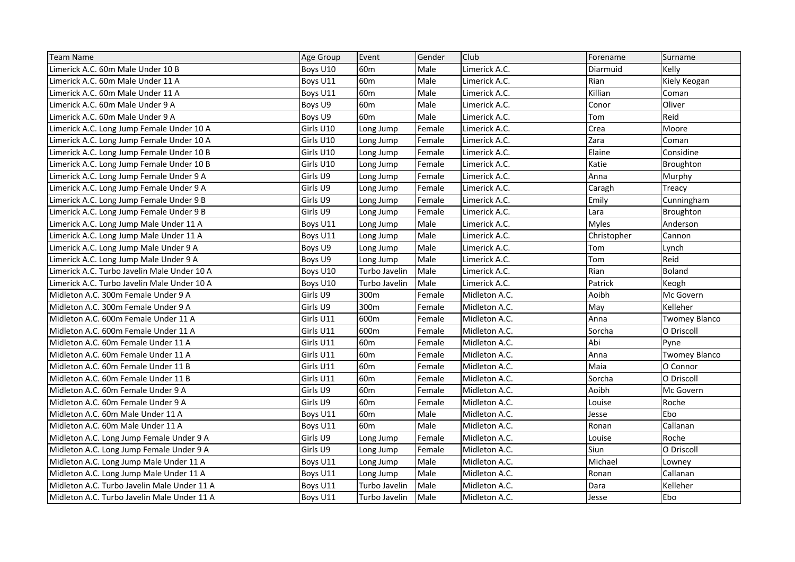| <b>Team Name</b>                            | Age Group | Event           | Gender | Club          | Forename     | Surname              |
|---------------------------------------------|-----------|-----------------|--------|---------------|--------------|----------------------|
| Limerick A.C. 60m Male Under 10 B           | Boys U10  | 60 <sub>m</sub> | Male   | Limerick A.C. | Diarmuid     | Kelly                |
| Limerick A.C. 60m Male Under 11 A           | Boys U11  | 60 <sub>m</sub> | Male   | Limerick A.C. | Rian         | Kiely Keogan         |
| Limerick A.C. 60m Male Under 11 A           | Boys U11  | 60m             | Male   | Limerick A.C. | Killian      | Coman                |
| Limerick A.C. 60m Male Under 9 A            | Boys U9   | 60 <sub>m</sub> | Male   | Limerick A.C. | Conor        | Oliver               |
| Limerick A.C. 60m Male Under 9 A            | Boys U9   | 60 <sub>m</sub> | Male   | Limerick A.C. | Tom          | Reid                 |
| Limerick A.C. Long Jump Female Under 10 A   | Girls U10 | Long Jump       | Female | Limerick A.C. | Crea         | Moore                |
| Limerick A.C. Long Jump Female Under 10 A   | Girls U10 | Long Jump       | Female | Limerick A.C. | Zara         | Coman                |
| Limerick A.C. Long Jump Female Under 10 B   | Girls U10 | Long Jump       | Female | Limerick A.C. | Elaine       | Considine            |
| Limerick A.C. Long Jump Female Under 10 B   | Girls U10 | Long Jump       | Female | Limerick A.C. | Katie        | Broughton            |
| Limerick A.C. Long Jump Female Under 9 A    | Girls U9  | Long Jump       | Female | Limerick A.C. | Anna         | Murphy               |
| Limerick A.C. Long Jump Female Under 9 A    | Girls U9  | Long Jump       | Female | Limerick A.C. | Caragh       | Treacy               |
| Limerick A.C. Long Jump Female Under 9 B    | Girls U9  | Long Jump       | Female | Limerick A.C. | Emily        | Cunningham           |
| Limerick A.C. Long Jump Female Under 9 B    | Girls U9  | Long Jump       | Female | Limerick A.C. | Lara         | Broughton            |
| Limerick A.C. Long Jump Male Under 11 A     | Boys U11  | Long Jump       | Male   | Limerick A.C. | <b>Myles</b> | Anderson             |
| Limerick A.C. Long Jump Male Under 11 A     | Boys U11  | Long Jump       | Male   | Limerick A.C. | Christopher  | Cannon               |
| Limerick A.C. Long Jump Male Under 9 A      | Boys U9   | Long Jump       | Male   | Limerick A.C. | Tom          | Lynch                |
| Limerick A.C. Long Jump Male Under 9 A      | Boys U9   | Long Jump       | Male   | Limerick A.C. | Tom          | Reid                 |
| Limerick A.C. Turbo Javelin Male Under 10 A | Boys U10  | Turbo Javelin   | Male   | Limerick A.C. | Rian         | <b>Boland</b>        |
| Limerick A.C. Turbo Javelin Male Under 10 A | Boys U10  | Turbo Javelin   | Male   | Limerick A.C. | Patrick      | Keogh                |
| Midleton A.C. 300m Female Under 9 A         | Girls U9  | 300m            | Female | Midleton A.C. | Aoibh        | Mc Govern            |
| Midleton A.C. 300m Female Under 9 A         | Girls U9  | 300m            | Female | Midleton A.C. | May          | Kelleher             |
| Midleton A.C. 600m Female Under 11 A        | Girls U11 | 600m            | Female | Midleton A.C. | Anna         | <b>Twomey Blanco</b> |
| Midleton A.C. 600m Female Under 11 A        | Girls U11 | 600m            | Female | Midleton A.C. | Sorcha       | O Driscoll           |
| Midleton A.C. 60m Female Under 11 A         | Girls U11 | 60 <sub>m</sub> | Female | Midleton A.C. | Abi          | Pyne                 |
| Midleton A.C. 60m Female Under 11 A         | Girls U11 | 60m             | Female | Midleton A.C. | Anna         | Twomey Blanco        |
| Midleton A.C. 60m Female Under 11 B         | Girls U11 | 60 <sub>m</sub> | Female | Midleton A.C. | Maia         | O Connor             |
| Midleton A.C. 60m Female Under 11 B         | Girls U11 | 60m             | Female | Midleton A.C. | Sorcha       | O Driscoll           |
| Midleton A.C. 60m Female Under 9 A          | Girls U9  | 60 <sub>m</sub> | Female | Midleton A.C. | Aoibh        | Mc Govern            |
| Midleton A.C. 60m Female Under 9 A          | Girls U9  | 60 <sub>m</sub> | Female | Midleton A.C. | Louise       | Roche                |
| Midleton A.C. 60m Male Under 11 A           | Boys U11  | 60 <sub>m</sub> | Male   | Midleton A.C. | Jesse        | Ebo                  |
| Midleton A.C. 60m Male Under 11 A           | Boys U11  | 60 <sub>m</sub> | Male   | Midleton A.C. | Ronan        | Callanan             |
| Midleton A.C. Long Jump Female Under 9 A    | Girls U9  | Long Jump       | Female | Midleton A.C. | Louise       | Roche                |
| Midleton A.C. Long Jump Female Under 9 A    | Girls U9  | Long Jump       | Female | Midleton A.C. | Siun         | O Driscoll           |
| Midleton A.C. Long Jump Male Under 11 A     | Boys U11  | Long Jump       | Male   | Midleton A.C. | Michael      | Lowney               |
| Midleton A.C. Long Jump Male Under 11 A     | Boys U11  | Long Jump       | Male   | Midleton A.C. | Ronan        | Callanan             |
| Midleton A.C. Turbo Javelin Male Under 11 A | Boys U11  | Turbo Javelin   | Male   | Midleton A.C. | Dara         | Kelleher             |
| Midleton A.C. Turbo Javelin Male Under 11 A | Boys U11  | Turbo Javelin   | Male   | Midleton A.C. | Jesse        | Ebo                  |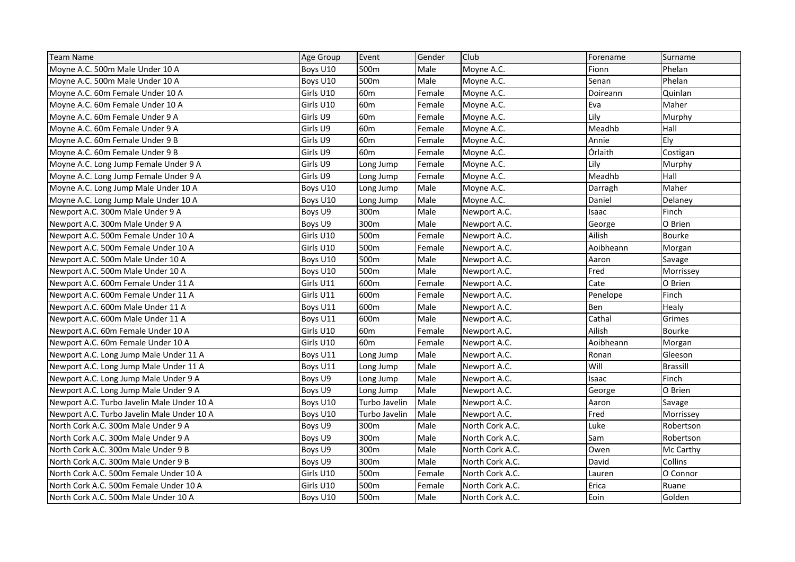| <b>Team Name</b>                           | Age Group | Event            | Gender | Club            | Forename  | Surname         |
|--------------------------------------------|-----------|------------------|--------|-----------------|-----------|-----------------|
| Moyne A.C. 500m Male Under 10 A            | Boys U10  | 500m             | Male   | Moyne A.C.      | Fionn     | Phelan          |
| Moyne A.C. 500m Male Under 10 A            | Boys U10  | 500m             | Male   | Moyne A.C.      | Senan     | Phelan          |
| Moyne A.C. 60m Female Under 10 A           | Girls U10 | 60 <sub>m</sub>  | Female | Moyne A.C.      | Doireann  | Quinlan         |
| Moyne A.C. 60m Female Under 10 A           | Girls U10 | 60 <sub>m</sub>  | Female | Moyne A.C.      | Eva       | Maher           |
| Moyne A.C. 60m Female Under 9 A            | Girls U9  | 60 <sub>m</sub>  | Female | Moyne A.C.      | Lily      | Murphy          |
| Moyne A.C. 60m Female Under 9 A            | Girls U9  | 60 <sub>m</sub>  | Female | Moyne A.C.      | Meadhb    | Hall            |
| Moyne A.C. 60m Female Under 9 B            | Girls U9  | 60 <sub>m</sub>  | Female | Moyne A.C.      | Annie     | Ely             |
| Moyne A.C. 60m Female Under 9 B            | Girls U9  | 60m              | Female | Moyne A.C.      | Órlaith   | Costigan        |
| Moyne A.C. Long Jump Female Under 9 A      | Girls U9  | Long Jump        | Female | Moyne A.C.      | Lily      | Murphy          |
| Moyne A.C. Long Jump Female Under 9 A      | Girls U9  | Long Jump        | Female | Moyne A.C.      | Meadhb    | Hall            |
| Moyne A.C. Long Jump Male Under 10 A       | Boys U10  | Long Jump        | Male   | Moyne A.C.      | Darragh   | Maher           |
| Moyne A.C. Long Jump Male Under 10 A       | Boys U10  | Long Jump        | Male   | Moyne A.C.      | Daniel    | Delaney         |
| Newport A.C. 300m Male Under 9 A           | Boys U9   | 300m             | Male   | Newport A.C.    | Isaac     | Finch           |
| Newport A.C. 300m Male Under 9 A           | Boys U9   | 300m             | Male   | Newport A.C.    | George    | O Brien         |
| Newport A.C. 500m Female Under 10 A        | Girls U10 | 500m             | Female | Newport A.C.    | Ailish    | <b>Bourke</b>   |
| Newport A.C. 500m Female Under 10 A        | Girls U10 | 500m             | Female | Newport A.C.    | Aoibheann | Morgan          |
| Newport A.C. 500m Male Under 10 A          | Boys U10  | 500m             | Male   | Newport A.C.    | Aaron     | Savage          |
| Newport A.C. 500m Male Under 10 A          | Boys U10  | 500m             | Male   | Newport A.C.    | Fred      | Morrissey       |
| Newport A.C. 600m Female Under 11 A        | Girls U11 | 600m             | Female | Newport A.C.    | Cate      | O Brien         |
| Newport A.C. 600m Female Under 11 A        | Girls U11 | 600m             | Female | Newport A.C.    | Penelope  | Finch           |
| Newport A.C. 600m Male Under 11 A          | Boys U11  | 600m             | Male   | Newport A.C.    | Ben       | Healy           |
| Newport A.C. 600m Male Under 11 A          | Boys U11  | 600m             | Male   | Newport A.C.    | Cathal    | Grimes          |
| Newport A.C. 60m Female Under 10 A         | Girls U10 | 60 <sub>m</sub>  | Female | Newport A.C.    | Ailish    | Bourke          |
| Newport A.C. 60m Female Under 10 A         | Girls U10 | 60 <sub>m</sub>  | Female | Newport A.C.    | Aoibheann | Morgan          |
| Newport A.C. Long Jump Male Under 11 A     | Boys U11  | Long Jump        | Male   | Newport A.C.    | Ronan     | Gleeson         |
| Newport A.C. Long Jump Male Under 11 A     | Boys U11  | Long Jump        | Male   | Newport A.C.    | Will      | <b>Brassill</b> |
| Newport A.C. Long Jump Male Under 9 A      | Boys U9   | Long Jump        | Male   | Newport A.C.    | Isaac     | Finch           |
| Newport A.C. Long Jump Male Under 9 A      | Boys U9   | Long Jump        | Male   | Newport A.C.    | George    | O Brien         |
| Newport A.C. Turbo Javelin Male Under 10 A | Boys U10  | Turbo Javelin    | Male   | Newport A.C.    | Aaron     | Savage          |
| Newport A.C. Turbo Javelin Male Under 10 A | Boys U10  | Turbo Javelin    | Male   | Newport A.C.    | Fred      | Morrissey       |
| North Cork A.C. 300m Male Under 9 A        | Boys U9   | 300m             | Male   | North Cork A.C. | Luke      | Robertson       |
| North Cork A.C. 300m Male Under 9 A        | Boys U9   | 300m             | Male   | North Cork A.C. | Sam       | Robertson       |
| North Cork A.C. 300m Male Under 9 B        | Boys U9   | 300m             | Male   | North Cork A.C. | Owen      | Mc Carthy       |
| North Cork A.C. 300m Male Under 9 B        | Boys U9   | 300m             | Male   | North Cork A.C. | David     | Collins         |
| North Cork A.C. 500m Female Under 10 A     | Girls U10 | 500m             | Female | North Cork A.C. | Lauren    | O Connor        |
| North Cork A.C. 500m Female Under 10 A     | Girls U10 | 500m             | Female | North Cork A.C. | Erica     | Ruane           |
| North Cork A.C. 500m Male Under 10 A       | Boys U10  | 500 <sub>m</sub> | Male   | North Cork A.C. | Eoin      | Golden          |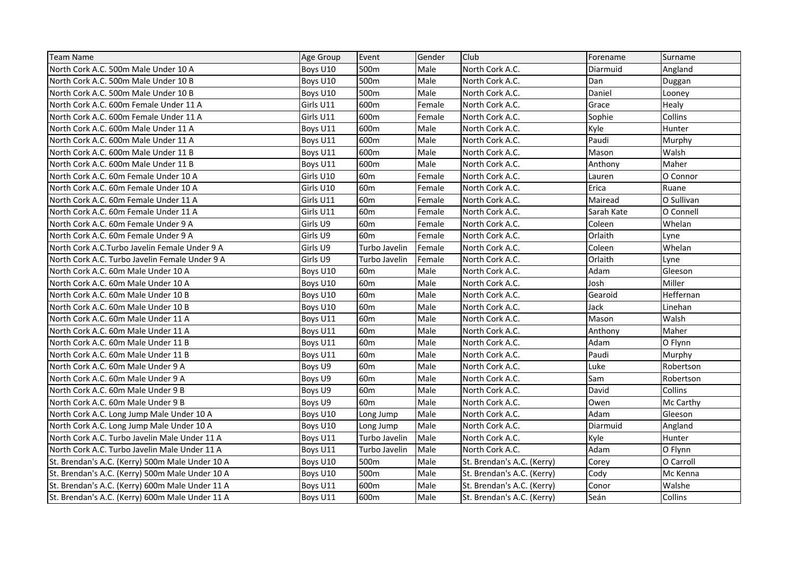| <b>Team Name</b>                                | Age Group | Event           | Gender | Club                       | Forename   | Surname    |
|-------------------------------------------------|-----------|-----------------|--------|----------------------------|------------|------------|
| North Cork A.C. 500m Male Under 10 A            | Boys U10  | 500m            | Male   | North Cork A.C.            | Diarmuid   | Angland    |
| North Cork A.C. 500m Male Under 10 B            | Boys U10  | 500m            | Male   | North Cork A.C.            | Dan        | Duggan     |
| North Cork A.C. 500m Male Under 10 B            | Boys U10  | 500m            | Male   | North Cork A.C.            | Daniel     | Looney     |
| North Cork A.C. 600m Female Under 11 A          | Girls U11 | 600m            | Female | North Cork A.C.            | Grace      | Healy      |
| North Cork A.C. 600m Female Under 11 A          | Girls U11 | 600m            | Female | North Cork A.C.            | Sophie     | Collins    |
| North Cork A.C. 600m Male Under 11 A            | Boys U11  | 600m            | Male   | North Cork A.C.            | Kyle       | Hunter     |
| North Cork A.C. 600m Male Under 11 A            | Boys U11  | 600m            | Male   | North Cork A.C.            | Paudi      | Murphy     |
| North Cork A.C. 600m Male Under 11 B            | Boys U11  | 600m            | Male   | North Cork A.C.            | Mason      | Walsh      |
| North Cork A.C. 600m Male Under 11 B            | Boys U11  | 600m            | Male   | North Cork A.C.            | Anthony    | Maher      |
| North Cork A.C. 60m Female Under 10 A           | Girls U10 | 60 <sub>m</sub> | Female | North Cork A.C.            | Lauren     | O Connor   |
| North Cork A.C. 60m Female Under 10 A           | Girls U10 | 60 <sub>m</sub> | Female | North Cork A.C.            | Erica      | Ruane      |
| North Cork A.C. 60m Female Under 11 A           | Girls U11 | 60 <sub>m</sub> | Female | North Cork A.C.            | Mairead    | O Sullivan |
| North Cork A.C. 60m Female Under 11 A           | Girls U11 | 60 <sub>m</sub> | Female | North Cork A.C.            | Sarah Kate | O Connell  |
| North Cork A.C. 60m Female Under 9 A            | Girls U9  | 60 <sub>m</sub> | Female | North Cork A.C.            | Coleen     | Whelan     |
| North Cork A.C. 60m Female Under 9 A            | Girls U9  | 60 <sub>m</sub> | Female | North Cork A.C.            | Orlaith    | Lyne       |
| North Cork A.C.Turbo Javelin Female Under 9 A   | Girls U9  | Turbo Javelin   | Female | North Cork A.C.            | Coleen     | Whelan     |
| North Cork A.C. Turbo Javelin Female Under 9 A  | Girls U9  | Turbo Javelin   | Female | North Cork A.C.            | Orlaith    | Lyne       |
| North Cork A.C. 60m Male Under 10 A             | Boys U10  | 60 <sub>m</sub> | Male   | North Cork A.C.            | Adam       | Gleeson    |
| North Cork A.C. 60m Male Under 10 A             | Boys U10  | 60 <sub>m</sub> | Male   | North Cork A.C.            | Josh       | Miller     |
| North Cork A.C. 60m Male Under 10 B             | Boys U10  | 60 <sub>m</sub> | Male   | North Cork A.C.            | Gearoid    | Heffernan  |
| North Cork A.C. 60m Male Under 10 B             | Boys U10  | 60 <sub>m</sub> | Male   | North Cork A.C.            | Jack       | Linehan    |
| North Cork A.C. 60m Male Under 11 A             | Boys U11  | 60 <sub>m</sub> | Male   | North Cork A.C.            | Mason      | Walsh      |
| North Cork A.C. 60m Male Under 11 A             | Boys U11  | 60 <sub>m</sub> | Male   | North Cork A.C.            | Anthony    | Maher      |
| North Cork A.C. 60m Male Under 11 B             | Boys U11  | 60 <sub>m</sub> | Male   | North Cork A.C.            | Adam       | O Flynn    |
| North Cork A.C. 60m Male Under 11 B             | Boys U11  | 60 <sub>m</sub> | Male   | North Cork A.C.            | Paudi      | Murphy     |
| North Cork A.C. 60m Male Under 9 A              | Boys U9   | 60 <sub>m</sub> | Male   | North Cork A.C.            | Luke       | Robertson  |
| North Cork A.C. 60m Male Under 9 A              | Boys U9   | 60 <sub>m</sub> | Male   | North Cork A.C.            | Sam        | Robertson  |
| North Cork A.C. 60m Male Under 9 B              | Boys U9   | 60 <sub>m</sub> | Male   | North Cork A.C.            | David      | Collins    |
| North Cork A.C. 60m Male Under 9 B              | Boys U9   | 60 <sub>m</sub> | Male   | North Cork A.C.            | Owen       | Mc Carthy  |
| North Cork A.C. Long Jump Male Under 10 A       | Boys U10  | Long Jump       | Male   | North Cork A.C.            | Adam       | Gleeson    |
| North Cork A.C. Long Jump Male Under 10 A       | Boys U10  | Long Jump       | Male   | North Cork A.C.            | Diarmuid   | Angland    |
| North Cork A.C. Turbo Javelin Male Under 11 A   | Boys U11  | Turbo Javelin   | Male   | North Cork A.C.            | Kyle       | Hunter     |
| North Cork A.C. Turbo Javelin Male Under 11 A   | Boys U11  | Turbo Javelin   | Male   | North Cork A.C.            | Adam       | O Flynn    |
| St. Brendan's A.C. (Kerry) 500m Male Under 10 A | Boys U10  | 500m            | Male   | St. Brendan's A.C. (Kerry) | Corey      | O Carroll  |
| St. Brendan's A.C. (Kerry) 500m Male Under 10 A | Boys U10  | 500m            | Male   | St. Brendan's A.C. (Kerry) | Cody       | Mc Kenna   |
| St. Brendan's A.C. (Kerry) 600m Male Under 11 A | Boys U11  | 600m            | Male   | St. Brendan's A.C. (Kerry) | Conor      | Walshe     |
| St. Brendan's A.C. (Kerry) 600m Male Under 11 A | Boys U11  | 600m            | Male   | St. Brendan's A.C. (Kerry) | Seán       | Collins    |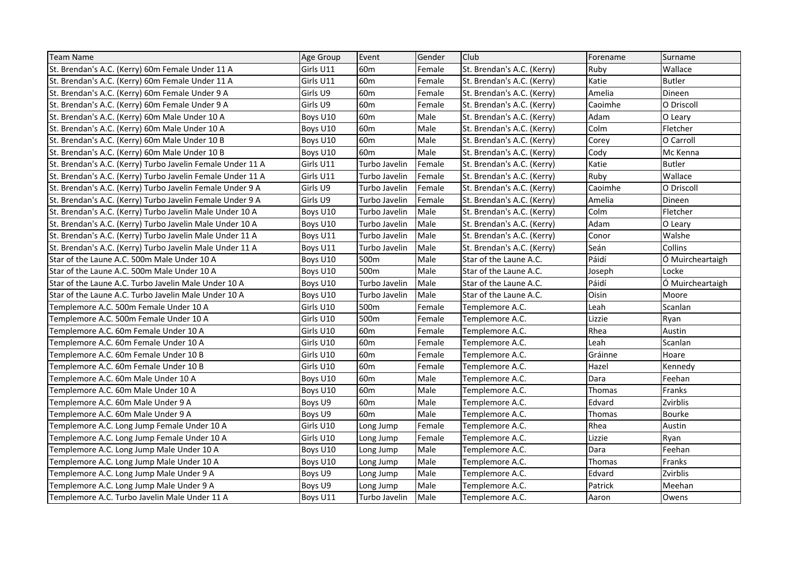| <b>Team Name</b>                                           | Age Group | Event           | Gender | Club                       | Forename | Surname          |
|------------------------------------------------------------|-----------|-----------------|--------|----------------------------|----------|------------------|
| St. Brendan's A.C. (Kerry) 60m Female Under 11 A           | Girls U11 | 60 <sub>m</sub> | Female | St. Brendan's A.C. (Kerry) | Ruby     | Wallace          |
| St. Brendan's A.C. (Kerry) 60m Female Under 11 A           | Girls U11 | 60 <sub>m</sub> | Female | St. Brendan's A.C. (Kerry) | Katie    | <b>Butler</b>    |
| St. Brendan's A.C. (Kerry) 60m Female Under 9 A            | Girls U9  | 60 <sub>m</sub> | Female | St. Brendan's A.C. (Kerry) | Amelia   | Dineen           |
| St. Brendan's A.C. (Kerry) 60m Female Under 9 A            | Girls U9  | 60 <sub>m</sub> | Female | St. Brendan's A.C. (Kerry) | Caoimhe  | O Driscoll       |
| St. Brendan's A.C. (Kerry) 60m Male Under 10 A             | Boys U10  | 60 <sub>m</sub> | Male   | St. Brendan's A.C. (Kerry) | Adam     | O Leary          |
| St. Brendan's A.C. (Kerry) 60m Male Under 10 A             | Boys U10  | 60 <sub>m</sub> | Male   | St. Brendan's A.C. (Kerry) | Colm     | Fletcher         |
| St. Brendan's A.C. (Kerry) 60m Male Under 10 B             | Boys U10  | 60 <sub>m</sub> | Male   | St. Brendan's A.C. (Kerry) | Corey    | O Carroll        |
| St. Brendan's A.C. (Kerry) 60m Male Under 10 B             | Boys U10  | 60 <sub>m</sub> | Male   | St. Brendan's A.C. (Kerry) | Cody     | Mc Kenna         |
| St. Brendan's A.C. (Kerry) Turbo Javelin Female Under 11 A | Girls U11 | Turbo Javelin   | Female | St. Brendan's A.C. (Kerry) | Katie    | <b>Butler</b>    |
| St. Brendan's A.C. (Kerry) Turbo Javelin Female Under 11 A | Girls U11 | Turbo Javelin   | Female | St. Brendan's A.C. (Kerry) | Ruby     | Wallace          |
| St. Brendan's A.C. (Kerry) Turbo Javelin Female Under 9 A  | Girls U9  | Turbo Javelin   | Female | St. Brendan's A.C. (Kerry) | Caoimhe  | O Driscoll       |
| St. Brendan's A.C. (Kerry) Turbo Javelin Female Under 9 A  | Girls U9  | Turbo Javelin   | Female | St. Brendan's A.C. (Kerry) | Amelia   | Dineen           |
| St. Brendan's A.C. (Kerry) Turbo Javelin Male Under 10 A   | Boys U10  | Turbo Javelin   | Male   | St. Brendan's A.C. (Kerry) | Colm     | Fletcher         |
| St. Brendan's A.C. (Kerry) Turbo Javelin Male Under 10 A   | Boys U10  | Turbo Javelin   | Male   | St. Brendan's A.C. (Kerry) | Adam     | O Leary          |
| St. Brendan's A.C. (Kerry) Turbo Javelin Male Under 11 A   | Boys U11  | Turbo Javelin   | Male   | St. Brendan's A.C. (Kerry) | Conor    | Walshe           |
| St. Brendan's A.C. (Kerry) Turbo Javelin Male Under 11 A   | Boys U11  | Turbo Javelin   | Male   | St. Brendan's A.C. (Kerry) | Seán     | Collins          |
| Star of the Laune A.C. 500m Male Under 10 A                | Boys U10  | 500m            | Male   | Star of the Laune A.C.     | Páidí    | Ó Muircheartaigh |
| Star of the Laune A.C. 500m Male Under 10 A                | Boys U10  | 500m            | Male   | Star of the Laune A.C.     | Joseph   | Locke            |
| Star of the Laune A.C. Turbo Javelin Male Under 10 A       | Boys U10  | Turbo Javelin   | Male   | Star of the Laune A.C.     | Páidí    | Ó Muircheartaigh |
| Star of the Laune A.C. Turbo Javelin Male Under 10 A       | Boys U10  | Turbo Javelin   | Male   | Star of the Laune A.C.     | Oisin    | Moore            |
| Templemore A.C. 500m Female Under 10 A                     | Girls U10 | 500m            | Female | Templemore A.C.            | Leah     | Scanlan          |
| Templemore A.C. 500m Female Under 10 A                     | Girls U10 | 500m            | Female | Templemore A.C.            | Lizzie   | Ryan             |
| Templemore A.C. 60m Female Under 10 A                      | Girls U10 | 60 <sub>m</sub> | Female | Templemore A.C.            | Rhea     | Austin           |
| Templemore A.C. 60m Female Under 10 A                      | Girls U10 | 60 <sub>m</sub> | Female | Templemore A.C.            | Leah     | Scanlan          |
| Templemore A.C. 60m Female Under 10 B                      | Girls U10 | 60 <sub>m</sub> | Female | Templemore A.C.            | Gráinne  | Hoare            |
| Templemore A.C. 60m Female Under 10 B                      | Girls U10 | 60 <sub>m</sub> | Female | Templemore A.C.            | Hazel    | Kennedy          |
| Templemore A.C. 60m Male Under 10 A                        | Boys U10  | 60 <sub>m</sub> | Male   | Templemore A.C.            | Dara     | Feehan           |
| Templemore A.C. 60m Male Under 10 A                        | Boys U10  | 60 <sub>m</sub> | Male   | Templemore A.C.            | Thomas   | Franks           |
| Templemore A.C. 60m Male Under 9 A                         | Boys U9   | 60 <sub>m</sub> | Male   | Templemore A.C.            | Edvard   | Zvirblis         |
| Templemore A.C. 60m Male Under 9 A                         | Boys U9   | 60 <sub>m</sub> | Male   | Templemore A.C.            | Thomas   | <b>Bourke</b>    |
| Templemore A.C. Long Jump Female Under 10 A                | Girls U10 | Long Jump       | Female | Templemore A.C.            | Rhea     | Austin           |
| Templemore A.C. Long Jump Female Under 10 A                | Girls U10 | Long Jump       | Female | Templemore A.C.            | Lizzie   | Ryan             |
| Templemore A.C. Long Jump Male Under 10 A                  | Boys U10  | Long Jump       | Male   | Templemore A.C.            | Dara     | Feehan           |
| Templemore A.C. Long Jump Male Under 10 A                  | Boys U10  | Long Jump       | Male   | Templemore A.C.            | Thomas   | Franks           |
| Templemore A.C. Long Jump Male Under 9 A                   | Boys U9   | Long Jump       | Male   | Templemore A.C.            | Edvard   | Zvirblis         |
| Templemore A.C. Long Jump Male Under 9 A                   | Boys U9   | Long Jump       | Male   | Templemore A.C.            | Patrick  | Meehan           |
| Templemore A.C. Turbo Javelin Male Under 11 A              | Boys U11  | Turbo Javelin   | Male   | Templemore A.C.            | Aaron    | Owens            |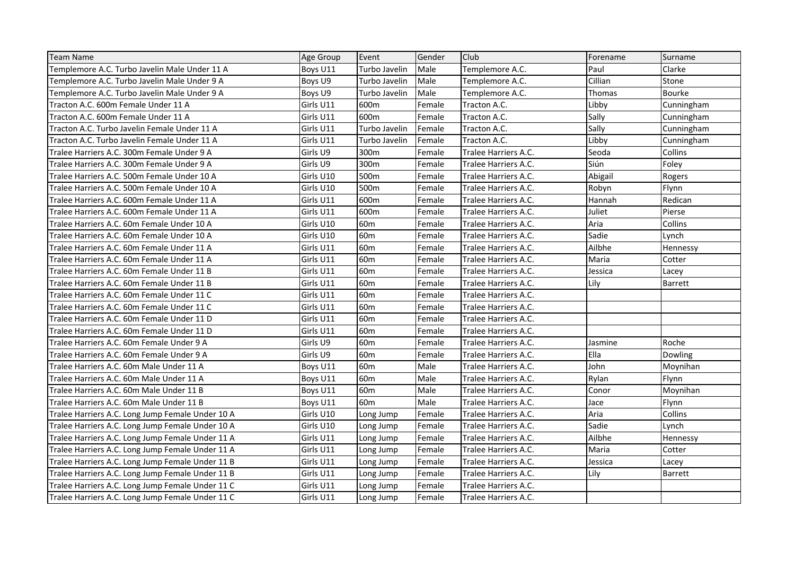| <b>Team Name</b>                                 | Age Group | Event           | Gender | Club                 | Forename | Surname        |
|--------------------------------------------------|-----------|-----------------|--------|----------------------|----------|----------------|
| Templemore A.C. Turbo Javelin Male Under 11 A    | Boys U11  | Turbo Javelin   | Male   | Templemore A.C.      | Paul     | Clarke         |
| Templemore A.C. Turbo Javelin Male Under 9 A     | Boys U9   | Turbo Javelin   | Male   | Templemore A.C.      | Cillian  | Stone          |
| Templemore A.C. Turbo Javelin Male Under 9 A     | Boys U9   | Turbo Javelin   | Male   | Templemore A.C.      | Thomas   | <b>Bourke</b>  |
| Tracton A.C. 600m Female Under 11 A              | Girls U11 | 600m            | Female | Tracton A.C.         | Libby    | Cunningham     |
| Tracton A.C. 600m Female Under 11 A              | Girls U11 | 600m            | Female | Tracton A.C.         | Sally    | Cunningham     |
| Tracton A.C. Turbo Javelin Female Under 11 A     | Girls U11 | Turbo Javelin   | Female | Tracton A.C.         | Sally    | Cunningham     |
| Tracton A.C. Turbo Javelin Female Under 11 A     | Girls U11 | Turbo Javelin   | Female | Tracton A.C.         | Libby    | Cunningham     |
| Tralee Harriers A.C. 300m Female Under 9 A       | Girls U9  | 300m            | Female | Tralee Harriers A.C. | Seoda    | Collins        |
| Tralee Harriers A.C. 300m Female Under 9 A       | Girls U9  | 300m            | Female | Tralee Harriers A.C. | Siún     | Foley          |
| Tralee Harriers A.C. 500m Female Under 10 A      | Girls U10 | 500m            | Female | Tralee Harriers A.C. | Abigail  | Rogers         |
| Tralee Harriers A.C. 500m Female Under 10 A      | Girls U10 | 500m            | Female | Tralee Harriers A.C. | Robyn    | Flynn          |
| Tralee Harriers A.C. 600m Female Under 11 A      | Girls U11 | 600m            | Female | Tralee Harriers A.C. | Hannah   | Redican        |
| Tralee Harriers A.C. 600m Female Under 11 A      | Girls U11 | 600m            | Female | Tralee Harriers A.C. | Juliet   | Pierse         |
| Tralee Harriers A.C. 60m Female Under 10 A       | Girls U10 | 60 <sub>m</sub> | Female | Tralee Harriers A.C. | Aria     | Collins        |
| Tralee Harriers A.C. 60m Female Under 10 A       | Girls U10 | 60 <sub>m</sub> | Female | Tralee Harriers A.C. | Sadie    | Lynch          |
| Tralee Harriers A.C. 60m Female Under 11 A       | Girls U11 | 60 <sub>m</sub> | Female | Tralee Harriers A.C. | Ailbhe   | Hennessy       |
| Tralee Harriers A.C. 60m Female Under 11 A       | Girls U11 | 60 <sub>m</sub> | Female | Tralee Harriers A.C. | Maria    | Cotter         |
| Tralee Harriers A.C. 60m Female Under 11 B       | Girls U11 | 60 <sub>m</sub> | Female | Tralee Harriers A.C. | Jessica  | Lacey          |
| Tralee Harriers A.C. 60m Female Under 11 B       | Girls U11 | 60 <sub>m</sub> | Female | Tralee Harriers A.C. | Lily     | <b>Barrett</b> |
| Tralee Harriers A.C. 60m Female Under 11 C       | Girls U11 | 60 <sub>m</sub> | Female | Tralee Harriers A.C. |          |                |
| Tralee Harriers A.C. 60m Female Under 11 C       | Girls U11 | 60 <sub>m</sub> | Female | Tralee Harriers A.C. |          |                |
| Tralee Harriers A.C. 60m Female Under 11 D       | Girls U11 | 60 <sub>m</sub> | Female | Tralee Harriers A.C. |          |                |
| Tralee Harriers A.C. 60m Female Under 11 D       | Girls U11 | 60 <sub>m</sub> | Female | Tralee Harriers A.C. |          |                |
| Tralee Harriers A.C. 60m Female Under 9 A        | Girls U9  | 60 <sub>m</sub> | Female | Tralee Harriers A.C. | Jasmine  | Roche          |
| Tralee Harriers A.C. 60m Female Under 9 A        | Girls U9  | 60 <sub>m</sub> | Female | Tralee Harriers A.C. | Ella     | Dowling        |
| Tralee Harriers A.C. 60m Male Under 11 A         | Boys U11  | 60 <sub>m</sub> | Male   | Tralee Harriers A.C. | John     | Moynihan       |
| Tralee Harriers A.C. 60m Male Under 11 A         | Boys U11  | 60 <sub>m</sub> | Male   | Tralee Harriers A.C. | Rylan    | Flynn          |
| Tralee Harriers A.C. 60m Male Under 11 B         | Boys U11  | 60 <sub>m</sub> | Male   | Tralee Harriers A.C. | Conor    | Moynihan       |
| Tralee Harriers A.C. 60m Male Under 11 B         | Boys U11  | 60 <sub>m</sub> | Male   | Tralee Harriers A.C. | Jace     | Flynn          |
| Tralee Harriers A.C. Long Jump Female Under 10 A | Girls U10 | Long Jump       | Female | Tralee Harriers A.C. | Aria     | Collins        |
| Tralee Harriers A.C. Long Jump Female Under 10 A | Girls U10 | Long Jump       | Female | Tralee Harriers A.C. | Sadie    | Lynch          |
| Tralee Harriers A.C. Long Jump Female Under 11 A | Girls U11 | Long Jump       | Female | Tralee Harriers A.C. | Ailbhe   | Hennessy       |
| Tralee Harriers A.C. Long Jump Female Under 11 A | Girls U11 | Long Jump       | Female | Tralee Harriers A.C. | Maria    | Cotter         |
| Tralee Harriers A.C. Long Jump Female Under 11 B | Girls U11 | Long Jump       | Female | Tralee Harriers A.C. | Jessica  | Lacey          |
| Tralee Harriers A.C. Long Jump Female Under 11 B | Girls U11 | Long Jump       | Female | Tralee Harriers A.C. | Lily     | Barrett        |
| Tralee Harriers A.C. Long Jump Female Under 11 C | Girls U11 | Long Jump       | Female | Tralee Harriers A.C. |          |                |
| Tralee Harriers A.C. Long Jump Female Under 11 C | Girls U11 | Long Jump       | Female | Tralee Harriers A.C. |          |                |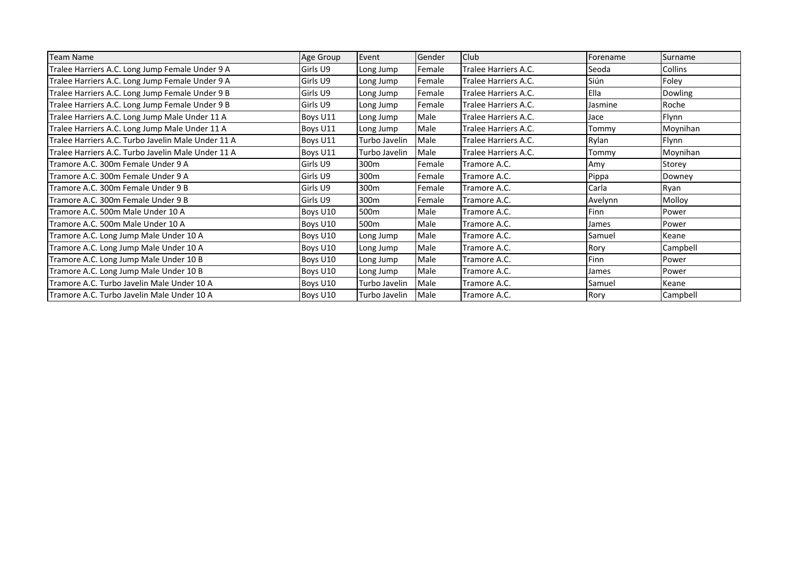| <b>Team Name</b>                                   | Age Group | Event            | Gender | Club                 | Forename | Surname  |
|----------------------------------------------------|-----------|------------------|--------|----------------------|----------|----------|
| Tralee Harriers A.C. Long Jump Female Under 9 A    | Girls U9  | Long Jump        | Female | Tralee Harriers A.C. | Seoda    | Collins  |
| Tralee Harriers A.C. Long Jump Female Under 9 A    | Girls U9  | Long Jump        | Female | Tralee Harriers A.C. | Siún     | Foley    |
| Tralee Harriers A.C. Long Jump Female Under 9 B    | Girls U9  | Long Jump        | Female | Tralee Harriers A.C. | Ella     | Dowling  |
| Tralee Harriers A.C. Long Jump Female Under 9 B    | Girls U9  | Long Jump        | Female | Tralee Harriers A.C. | Jasmine  | Roche    |
| Tralee Harriers A.C. Long Jump Male Under 11 A     | Boys U11  | Long Jump        | Male   | Tralee Harriers A.C. | Jace     | Flynn    |
| Tralee Harriers A.C. Long Jump Male Under 11 A     | Boys U11  | Long Jump        | Male   | Tralee Harriers A.C. | Tommy    | Moynihan |
| Tralee Harriers A.C. Turbo Javelin Male Under 11 A | Boys U11  | Turbo Javelin    | Male   | Tralee Harriers A.C. | Rylan    | Flynn    |
| Tralee Harriers A.C. Turbo Javelin Male Under 11 A | Boys U11  | Turbo Javelin    | Male   | Tralee Harriers A.C. | Tommy    | Moynihan |
| Tramore A.C. 300m Female Under 9 A                 | Girls U9  | 300m             | Female | Tramore A.C.         | Amy      | Storey   |
| Tramore A.C. 300m Female Under 9 A                 | Girls U9  | 300m             | Female | Tramore A.C.         | Pippa    | Downey   |
| Tramore A.C. 300m Female Under 9 B                 | Girls U9  | 300m             | Female | Tramore A.C.         | Carla    | Ryan     |
| Tramore A.C. 300m Female Under 9 B                 | Girls U9  | 300m             | Female | Tramore A.C.         | Avelynn  | Molloy   |
| Tramore A.C. 500m Male Under 10 A                  | Boys U10  | 500m             | Male   | Tramore A.C.         | Finn     | Power    |
| Tramore A.C. 500m Male Under 10 A                  | Boys U10  | 500 <sub>m</sub> | Male   | Tramore A.C.         | James    | Power    |
| Tramore A.C. Long Jump Male Under 10 A             | Boys U10  | Long Jump        | Male   | Tramore A.C.         | Samuel   | Keane    |
| Tramore A.C. Long Jump Male Under 10 A             | Boys U10  | Long Jump        | Male   | Tramore A.C.         | Rory     | Campbell |
| Tramore A.C. Long Jump Male Under 10 B             | Boys U10  | Long Jump        | Male   | Tramore A.C.         | Finn     | Power    |
| Tramore A.C. Long Jump Male Under 10 B             | Boys U10  | Long Jump        | Male   | Tramore A.C.         | James    | Power    |
| Tramore A.C. Turbo Javelin Male Under 10 A         | Boys U10  | Turbo Javelin    | Male   | Tramore A.C.         | Samuel   | Keane    |
| Tramore A.C. Turbo Javelin Male Under 10 A         | Boys U10  | Turbo Javelin    | Male   | Tramore A.C.         | Rory     | Campbell |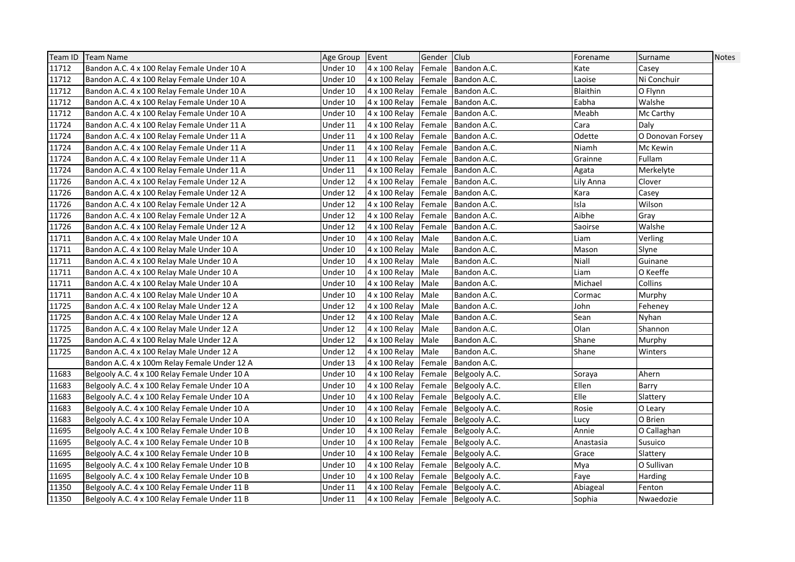| Team ID | Team Name                                     | Age Group Event |                                    | Gender Club |                      | Forename     | Surname          | <b>Notes</b> |
|---------|-----------------------------------------------|-----------------|------------------------------------|-------------|----------------------|--------------|------------------|--------------|
| 11712   | Bandon A.C. 4 x 100 Relay Female Under 10 A   | Under 10        | 4 x 100 Relay                      |             | Female Bandon A.C.   | Kate         | Casey            |              |
| 11712   | Bandon A.C. 4 x 100 Relay Female Under 10 A   | Under 10        | 4 x 100 Relay                      |             | Female Bandon A.C.   | Laoise       | Ni Conchuir      |              |
| 11712   | Bandon A.C. 4 x 100 Relay Female Under 10 A   | Under 10        | 4 x 100 Relay                      | Female      | Bandon A.C.          | Blaithin     | O Flynn          |              |
| 11712   | Bandon A.C. 4 x 100 Relay Female Under 10 A   | Under 10        | 4 x 100 Relay                      | Female      | Bandon A.C.          | Eabha        | Walshe           |              |
| 11712   | Bandon A.C. 4 x 100 Relay Female Under 10 A   | Under 10        | 4 x 100 Relay                      | Female      | Bandon A.C.          | Meabh        | Mc Carthy        |              |
| 11724   | Bandon A.C. 4 x 100 Relay Female Under 11 A   | Under 11        | 4 x 100 Relay                      | Female      | Bandon A.C.          | Cara         | Daly             |              |
| 11724   | Bandon A.C. 4 x 100 Relay Female Under 11 A   | Under 11        | 4 x 100 Relay                      | Female      | Bandon A.C.          | Odette       | O Donovan Forsey |              |
| 11724   | Bandon A.C. 4 x 100 Relay Female Under 11 A   | Under 11        | 4 x 100 Relay                      | Female      | Bandon A.C.          | Niamh        | Mc Kewin         |              |
| 11724   | Bandon A.C. 4 x 100 Relay Female Under 11 A   | Under 11        | 4 x 100 Relay                      |             | Female Bandon A.C.   | Grainne      | Fullam           |              |
| 11724   | Bandon A.C. 4 x 100 Relay Female Under 11 A   | Under 11        | 4 x 100 Relay                      | Female      | Bandon A.C.          | Agata        | Merkelyte        |              |
| 11726   | Bandon A.C. 4 x 100 Relay Female Under 12 A   | Under 12        | 4 x 100 Relay                      | Female      | Bandon A.C.          | Lily Anna    | Clover           |              |
| 11726   | Bandon A.C. 4 x 100 Relay Female Under 12 A   | Under 12        | 4 x 100 Relay                      | Female      | Bandon A.C.          | Kara         | Casey            |              |
| 11726   | Bandon A.C. 4 x 100 Relay Female Under 12 A   | Under 12        | 4 x 100 Relay                      | Female      | Bandon A.C.          | Isla         | Wilson           |              |
| 11726   | Bandon A.C. 4 x 100 Relay Female Under 12 A   | Under 12        | 4 x 100 Relay                      | Female      | Bandon A.C.          | Aibhe        | Gray             |              |
| 11726   | Bandon A.C. 4 x 100 Relay Female Under 12 A   | Under 12        | 4 x 100 Relay                      | Female      | Bandon A.C.          | Saoirse      | Walshe           |              |
| 11711   | Bandon A.C. 4 x 100 Relay Male Under 10 A     | Under 10        | 4 x 100 Relay                      | Male        | Bandon A.C.          | Liam         | Verling          |              |
| 11711   | Bandon A.C. 4 x 100 Relay Male Under 10 A     | Under 10        | 4 x 100 Relay                      | Male        | Bandon A.C.          | Mason        | Slyne            |              |
| 11711   | Bandon A.C. 4 x 100 Relay Male Under 10 A     | Under 10        | 4 x 100 Relay                      | Male        | Bandon A.C.          | Niall        | Guinane          |              |
| 11711   | Bandon A.C. 4 x 100 Relay Male Under 10 A     | Under 10        | 4 x 100 Relay                      | Male        | Bandon A.C.          | Liam         | O Keeffe         |              |
| 11711   | Bandon A.C. 4 x 100 Relay Male Under 10 A     | Under 10        | 4 x 100 Relay                      | Male        | Bandon A.C.          | Michael      | Collins          |              |
| 11711   | Bandon A.C. 4 x 100 Relay Male Under 10 A     | Under 10        | 4 x 100 Relay                      | Male        | Bandon A.C.          | Cormac       | Murphy           |              |
| 11725   | Bandon A.C. 4 x 100 Relay Male Under 12 A     | Under 12        | 4 x 100 Relay                      | Male        | Bandon A.C.          | John         | Feheney          |              |
| 11725   | Bandon A.C. 4 x 100 Relay Male Under 12 A     | Under 12        | 4 x 100 Relay                      | Male        | Bandon A.C.          | Sean         | Nyhan            |              |
| 11725   | Bandon A.C. 4 x 100 Relay Male Under 12 A     | Under 12        | 4 x 100 Relay                      | Male        | Bandon A.C.          | Olan         | Shannon          |              |
| 11725   | Bandon A.C. 4 x 100 Relay Male Under 12 A     | Under 12        | 4 x 100 Relay                      | Male        | Bandon A.C.          | Shane        | Murphy           |              |
| 11725   | Bandon A.C. 4 x 100 Relay Male Under 12 A     | Under 12        | 4 x 100 Relay                      | Male        | Bandon A.C.          | Shane        | Winters          |              |
|         | Bandon A.C. 4 x 100m Relay Female Under 12 A  | Under 13        | 4 x 100 Relay                      | Female      | Bandon A.C.          |              |                  |              |
| 11683   | Belgooly A.C. 4 x 100 Relay Female Under 10 A | Under 10        | 4 x 100 Relay                      |             | Female Belgooly A.C. | Soraya       | Ahern            |              |
| 11683   | Belgooly A.C. 4 x 100 Relay Female Under 10 A | Under 10        | 4 x 100 Relay                      |             | Female Belgooly A.C. | <b>Ellen</b> | Barry            |              |
| 11683   | Belgooly A.C. 4 x 100 Relay Female Under 10 A | Under 10        | 4 x 100 Relay                      |             | Female Belgooly A.C. | Elle         | Slattery         |              |
| 11683   | Belgooly A.C. 4 x 100 Relay Female Under 10 A | Under 10        | 4 x 100 Relay                      |             | Female Belgooly A.C. | Rosie        | O Leary          |              |
| 11683   | Belgooly A.C. 4 x 100 Relay Female Under 10 A | Under 10        | 4 x 100 Relay                      |             | Female Belgooly A.C. | Lucy         | O Brien          |              |
| 11695   | Belgooly A.C. 4 x 100 Relay Female Under 10 B | Under 10        | 4 x 100 Relay                      |             | Female Belgooly A.C. | Annie        | O Callaghan      |              |
| 11695   | Belgooly A.C. 4 x 100 Relay Female Under 10 B | Under 10        | 4 x 100 Relay                      |             | Female Belgooly A.C. | Anastasia    | Susuico          |              |
| 11695   | Belgooly A.C. 4 x 100 Relay Female Under 10 B | Under 10        | 4 x 100 Relay                      |             | Female Belgooly A.C. | Grace        | Slattery         |              |
| 11695   | Belgooly A.C. 4 x 100 Relay Female Under 10 B | Under 10        | 4 x 100 Relay                      |             | Female Belgooly A.C. | Mya          | O Sullivan       |              |
| 11695   | Belgooly A.C. 4 x 100 Relay Female Under 10 B | Under 10        | 4 x 100 Relay                      |             | Female Belgooly A.C. | Faye         | Harding          |              |
| 11350   | Belgooly A.C. 4 x 100 Relay Female Under 11 B | Under 11        | 4 x 100 Relay                      |             | Female Belgooly A.C. | Abiageal     | Fenton           |              |
| 11350   | Belgooly A.C. 4 x 100 Relay Female Under 11 B | Under 11        | 4 x 100 Relay Female Belgooly A.C. |             |                      | Sophia       | Nwaedozie        |              |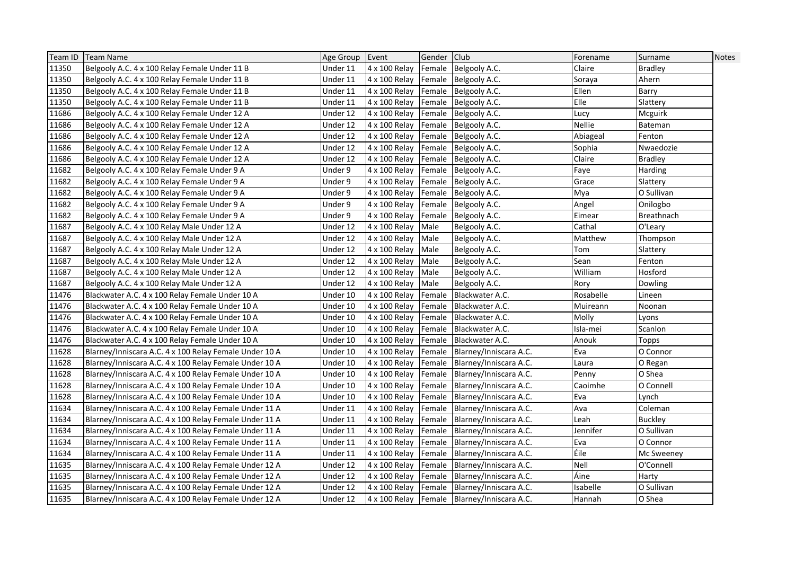| Team ID | <b>Team Name</b>                                       | Age Group | Event         | Gender Club |                                             | Forename  | Surname        | Notes |
|---------|--------------------------------------------------------|-----------|---------------|-------------|---------------------------------------------|-----------|----------------|-------|
| 11350   | Belgooly A.C. 4 x 100 Relay Female Under 11 B          | Under 11  | 4 x 100 Relay |             | Female Belgooly A.C.                        | Claire    | <b>Bradley</b> |       |
| 11350   | Belgooly A.C. 4 x 100 Relay Female Under 11 B          | Under 11  | 4 x 100 Relay |             | Female Belgooly A.C.                        | Soraya    | Ahern          |       |
| 11350   | Belgooly A.C. 4 x 100 Relay Female Under 11 B          | Under 11  | 4 x 100 Relay |             | Female Belgooly A.C.                        | Ellen     | Barry          |       |
| 11350   | Belgooly A.C. 4 x 100 Relay Female Under 11 B          | Under 11  | 4 x 100 Relay |             | Female Belgooly A.C.                        | Elle      | Slattery       |       |
| 11686   | Belgooly A.C. 4 x 100 Relay Female Under 12 A          | Under 12  | 4 x 100 Relay |             | Female Belgooly A.C.                        | Lucy      | Mcguirk        |       |
| 11686   | Belgooly A.C. 4 x 100 Relay Female Under 12 A          | Under 12  | 4 x 100 Relay |             | Female Belgooly A.C.                        | Nellie    | <b>Bateman</b> |       |
| 11686   | Belgooly A.C. 4 x 100 Relay Female Under 12 A          | Under 12  | 4 x 100 Relay | Female      | Belgooly A.C.                               | Abiageal  | Fenton         |       |
| 11686   | Belgooly A.C. 4 x 100 Relay Female Under 12 A          | Under 12  | 4 x 100 Relay |             | Female Belgooly A.C.                        | Sophia    | Nwaedozie      |       |
| 11686   | Belgooly A.C. 4 x 100 Relay Female Under 12 A          | Under 12  | 4 x 100 Relay |             | Female Belgooly A.C.                        | Claire    | <b>Bradley</b> |       |
| 11682   | Belgooly A.C. 4 x 100 Relay Female Under 9 A           | Under 9   | 4 x 100 Relay |             | Female Belgooly A.C.                        | Faye      | Harding        |       |
| 11682   | Belgooly A.C. 4 x 100 Relay Female Under 9 A           | Under 9   | 4 x 100 Relay |             | Female Belgooly A.C.                        | Grace     | Slattery       |       |
| 11682   | Belgooly A.C. 4 x 100 Relay Female Under 9 A           | Under 9   | 4 x 100 Relay |             | Female Belgooly A.C.                        | Mya       | O Sullivan     |       |
| 11682   | Belgooly A.C. 4 x 100 Relay Female Under 9 A           | Under 9   | 4 x 100 Relay |             | Female Belgooly A.C.                        | Angel     | Onilogbo       |       |
| 11682   | Belgooly A.C. 4 x 100 Relay Female Under 9 A           | Under 9   | 4 x 100 Relay |             | Female Belgooly A.C.                        | Eimear    | Breathnach     |       |
| 11687   | Belgooly A.C. 4 x 100 Relay Male Under 12 A            | Under 12  | 4 x 100 Relay | Male        | Belgooly A.C.                               | Cathal    | O'Leary        |       |
| 11687   | Belgooly A.C. 4 x 100 Relay Male Under 12 A            | Under 12  | 4 x 100 Relay | Male        | Belgooly A.C.                               | Matthew   | Thompson       |       |
| 11687   | Belgooly A.C. 4 x 100 Relay Male Under 12 A            | Under 12  | 4 x 100 Relay | Male        | Belgooly A.C.                               | Tom       | Slattery       |       |
| 11687   | Belgooly A.C. 4 x 100 Relay Male Under 12 A            | Under 12  | 4 x 100 Relay | Male        | Belgooly A.C.                               | Sean      | Fenton         |       |
| 11687   | Belgooly A.C. 4 x 100 Relay Male Under 12 A            | Under 12  | 4 x 100 Relay | Male        | Belgooly A.C.                               | William   | Hosford        |       |
| 11687   | Belgooly A.C. 4 x 100 Relay Male Under 12 A            | Under 12  | 4 x 100 Relay | Male        | Belgooly A.C.                               | Rory      | Dowling        |       |
| 11476   | Blackwater A.C. 4 x 100 Relay Female Under 10 A        | Under 10  | 4 x 100 Relay | Female      | Blackwater A.C.                             | Rosabelle | Lineen         |       |
| 11476   | Blackwater A.C. 4 x 100 Relay Female Under 10 A        | Under 10  | 4 x 100 Relay | Female      | Blackwater A.C.                             | Muireann  | Noonan         |       |
| 11476   | Blackwater A.C. 4 x 100 Relay Female Under 10 A        | Under 10  | 4 x 100 Relay | Female      | Blackwater A.C.                             | Molly     | Lyons          |       |
| 11476   | Blackwater A.C. 4 x 100 Relay Female Under 10 A        | Under 10  | 4 x 100 Relay |             | Female Blackwater A.C.                      | Isla-mei  | Scanlon        |       |
| 11476   | Blackwater A.C. 4 x 100 Relay Female Under 10 A        | Under 10  | 4 x 100 Relay |             | Female Blackwater A.C.                      | Anouk     | Topps          |       |
| 11628   | Blarney/Inniscara A.C. 4 x 100 Relay Female Under 10 A | Under 10  | 4 x 100 Relay | Female      | Blarney/Inniscara A.C.                      | Eva       | O Connor       |       |
| 11628   | Blarney/Inniscara A.C. 4 x 100 Relay Female Under 10 A | Under 10  | 4 x 100 Relay |             | Female Blarney/Inniscara A.C.               | Laura     | O Regan        |       |
| 11628   | Blarney/Inniscara A.C. 4 x 100 Relay Female Under 10 A | Under 10  | 4 x 100 Relay |             | Female Blarney/Inniscara A.C.               | Penny     | O Shea         |       |
| 11628   | Blarney/Inniscara A.C. 4 x 100 Relay Female Under 10 A | Under 10  | 4 x 100 Relay |             | Female Blarney/Inniscara A.C.               | Caoimhe   | O Connell      |       |
| 11628   | Blarney/Inniscara A.C. 4 x 100 Relay Female Under 10 A | Under 10  | 4 x 100 Relay | Female      | Blarney/Inniscara A.C.                      | Eva       | Lynch          |       |
| 11634   | Blarney/Inniscara A.C. 4 x 100 Relay Female Under 11 A | Under 11  | 4 x 100 Relay |             | Female Blarney/Inniscara A.C.               | Ava       | Coleman        |       |
| 11634   | Blarney/Inniscara A.C. 4 x 100 Relay Female Under 11 A | Under 11  | 4 x 100 Relay |             | Female Blarney/Inniscara A.C.               | Leah      | <b>Buckley</b> |       |
| 11634   | Blarney/Inniscara A.C. 4 x 100 Relay Female Under 11 A | Under 11  | 4 x 100 Relay |             | Female Blarney/Inniscara A.C.               | Jennifer  | O Sullivan     |       |
| 11634   | Blarney/Inniscara A.C. 4 x 100 Relay Female Under 11 A | Under 11  | 4 x 100 Relay |             | Female Blarney/Inniscara A.C.               | Eva       | O Connor       |       |
| 11634   | Blarney/Inniscara A.C. 4 x 100 Relay Female Under 11 A | Under 11  | 4 x 100 Relay |             | Female Blarney/Inniscara A.C.               | Éile      | Mc Sweeney     |       |
| 11635   | Blarney/Inniscara A.C. 4 x 100 Relay Female Under 12 A | Under 12  | 4 x 100 Relay |             | Female Blarney/Inniscara A.C.               | Nell      | O'Connell      |       |
| 11635   | Blarney/Inniscara A.C. 4 x 100 Relay Female Under 12 A | Under 12  | 4 x 100 Relay |             | Female Blarney/Inniscara A.C.               | Áine      | Harty          |       |
| 11635   | Blarney/Inniscara A.C. 4 x 100 Relay Female Under 12 A | Under 12  | 4 x 100 Relay |             | Female Blarney/Inniscara A.C.               | Isabelle  | O Sullivan     |       |
| 11635   | Blarney/Inniscara A.C. 4 x 100 Relay Female Under 12 A | Under 12  |               |             | 4 x 100 Relay Female Blarney/Inniscara A.C. | Hannah    | O Shea         |       |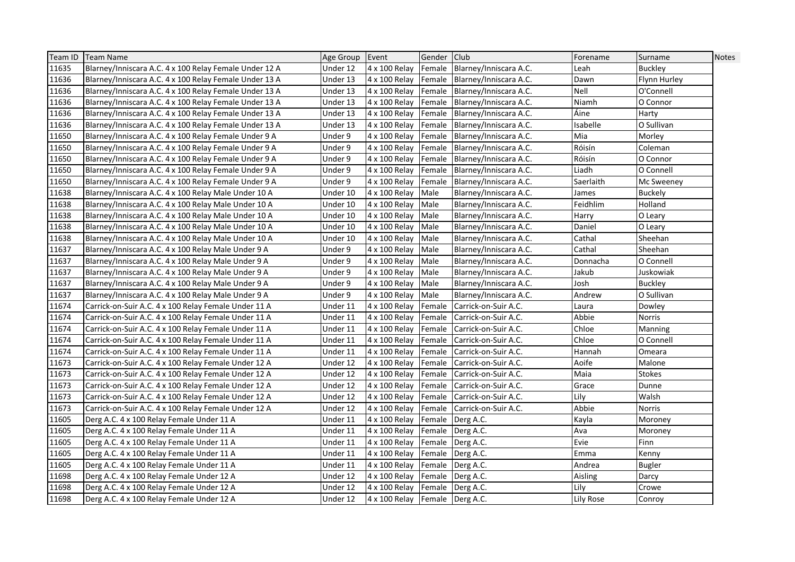| Team ID | Team Name                                              | Age Group Event |                                | Gender Club |                               | Forename  | Surname        | Notes |
|---------|--------------------------------------------------------|-----------------|--------------------------------|-------------|-------------------------------|-----------|----------------|-------|
| 11635   | Blarney/Inniscara A.C. 4 x 100 Relay Female Under 12 A | Under 12        | 4 x 100 Relay                  |             | Female Blarney/Inniscara A.C. | Leah      | <b>Buckley</b> |       |
| 11636   | Blarney/Inniscara A.C. 4 x 100 Relay Female Under 13 A | Under 13        | 4 x 100 Relay                  |             | Female Blarney/Inniscara A.C. | Dawn      | Flynn Hurley   |       |
| 11636   | Blarney/Inniscara A.C. 4 x 100 Relay Female Under 13 A | Under 13        | 4 x 100 Relay                  | Female      | Blarney/Inniscara A.C.        | Nell      | O'Connell      |       |
| 11636   | Blarney/Inniscara A.C. 4 x 100 Relay Female Under 13 A | Under 13        | 4 x 100 Relay                  | Female      | Blarney/Inniscara A.C.        | Niamh     | O Connor       |       |
| 11636   | Blarney/Inniscara A.C. 4 x 100 Relay Female Under 13 A | Under 13        | 4 x 100 Relay                  | Female      | Blarney/Inniscara A.C.        | Áine      | Harty          |       |
| 11636   | Blarney/Inniscara A.C. 4 x 100 Relay Female Under 13 A | Under 13        | 4 x 100 Relay                  | Female      | Blarney/Inniscara A.C.        | Isabelle  | O Sullivan     |       |
| 11650   | Blarney/Inniscara A.C. 4 x 100 Relay Female Under 9 A  | Under 9         | 4 x 100 Relay                  | Female      | Blarney/Inniscara A.C.        | Mia       | Morley         |       |
| 11650   | Blarney/Inniscara A.C. 4 x 100 Relay Female Under 9 A  | Under 9         | 4 x 100 Relay                  | Female      | Blarney/Inniscara A.C.        | Róisín    | Coleman        |       |
| 11650   | Blarney/Inniscara A.C. 4 x 100 Relay Female Under 9 A  | Under 9         | 4 x 100 Relay                  |             | Female Blarney/Inniscara A.C. | Róisín    | O Connor       |       |
| 11650   | Blarney/Inniscara A.C. 4 x 100 Relay Female Under 9 A  | Under 9         | 4 x 100 Relay                  | Female      | Blarney/Inniscara A.C.        | Liadh     | O Connell      |       |
| 11650   | Blarney/Inniscara A.C. 4 x 100 Relay Female Under 9 A  | Under 9         | 4 x 100 Relay                  | Female      | Blarney/Inniscara A.C.        | Saerlaith | Mc Sweeney     |       |
| 11638   | Blarney/Inniscara A.C. 4 x 100 Relay Male Under 10 A   | Under 10        | 4 x 100 Relay                  | Male        | Blarney/Inniscara A.C.        | James     | <b>Buckely</b> |       |
| 11638   | Blarney/Inniscara A.C. 4 x 100 Relay Male Under 10 A   | Under 10        | 4 x 100 Relay                  | Male        | Blarney/Inniscara A.C.        | Feidhlim  | Holland        |       |
| 11638   | Blarney/Inniscara A.C. 4 x 100 Relay Male Under 10 A   | Under 10        | 4 x 100 Relay                  | Male        | Blarney/Inniscara A.C.        | Harry     | O Leary        |       |
| 11638   | Blarney/Inniscara A.C. 4 x 100 Relay Male Under 10 A   | Under 10        | 4 x 100 Relay                  | Male        | Blarney/Inniscara A.C.        | Daniel    | O Leary        |       |
| 11638   | Blarney/Inniscara A.C. 4 x 100 Relay Male Under 10 A   | Under 10        | 4 x 100 Relay                  | Male        | Blarney/Inniscara A.C.        | Cathal    | Sheehan        |       |
| 11637   | Blarney/Inniscara A.C. 4 x 100 Relay Male Under 9 A    | Under 9         | 4 x 100 Relay                  | Male        | Blarney/Inniscara A.C.        | Cathal    | Sheehan        |       |
| 11637   | Blarney/Inniscara A.C. 4 x 100 Relay Male Under 9 A    | Under 9         | 4 x 100 Relay                  | Male        | Blarney/Inniscara A.C.        | Donnacha  | O Connell      |       |
| 11637   | Blarney/Inniscara A.C. 4 x 100 Relay Male Under 9 A    | Under 9         | 4 x 100 Relay                  | Male        | Blarney/Inniscara A.C.        | Jakub     | Juskowiak      |       |
| 11637   | Blarney/Inniscara A.C. 4 x 100 Relay Male Under 9 A    | Under 9         | 4 x 100 Relay                  | Male        | Blarney/Inniscara A.C.        | Josh      | <b>Buckley</b> |       |
| 11637   | Blarney/Inniscara A.C. 4 x 100 Relay Male Under 9 A    | Under 9         | 4 x 100 Relay                  | Male        | Blarney/Inniscara A.C.        | Andrew    | O Sullivan     |       |
| 11674   | Carrick-on-Suir A.C. 4 x 100 Relay Female Under 11 A   | Under 11        | 4 x 100 Relay                  | Female      | Carrick-on-Suir A.C.          | Laura     | Dowley         |       |
| 11674   | Carrick-on-Suir A.C. 4 x 100 Relay Female Under 11 A   | Under 11        | 4 x 100 Relay                  | Female      | Carrick-on-Suir A.C.          | Abbie     | Norris         |       |
| 11674   | Carrick-on-Suir A.C. 4 x 100 Relay Female Under 11 A   | Under 11        | 4 x 100 Relay                  | Female      | Carrick-on-Suir A.C.          | Chloe     | Manning        |       |
| 11674   | Carrick-on-Suir A.C. 4 x 100 Relay Female Under 11 A   | Under 11        | 4 x 100 Relay                  | Female      | Carrick-on-Suir A.C.          | Chloe     | O Connell      |       |
| 11674   | Carrick-on-Suir A.C. 4 x 100 Relay Female Under 11 A   | Under 11        | 4 x 100 Relay                  | Female      | Carrick-on-Suir A.C.          | Hannah    | Omeara         |       |
| 11673   | Carrick-on-Suir A.C. 4 x 100 Relay Female Under 12 A   | Under 12        | 4 x 100 Relay                  | Female      | Carrick-on-Suir A.C.          | Aoife     | Malone         |       |
| 11673   | Carrick-on-Suir A.C. 4 x 100 Relay Female Under 12 A   | Under 12        | 4 x 100 Relay                  | Female      | Carrick-on-Suir A.C.          | Maia      | Stokes         |       |
| 11673   | Carrick-on-Suir A.C. 4 x 100 Relay Female Under 12 A   | Under 12        | 4 x 100 Relay                  | Female      | Carrick-on-Suir A.C.          | Grace     | Dunne          |       |
| 11673   | Carrick-on-Suir A.C. 4 x 100 Relay Female Under 12 A   | Under 12        | 4 x 100 Relay                  | Female      | Carrick-on-Suir A.C.          | Lily      | Walsh          |       |
| 11673   | Carrick-on-Suir A.C. 4 x 100 Relay Female Under 12 A   | Under 12        | 4 x 100 Relay                  | Female      | Carrick-on-Suir A.C.          | Abbie     | Norris         |       |
| 11605   | Derg A.C. 4 x 100 Relay Female Under 11 A              | Under 11        | 4 x 100 Relay                  |             | Female Derg A.C.              | Kayla     | Moroney        |       |
| 11605   | Derg A.C. 4 x 100 Relay Female Under 11 A              | Under 11        | 4 x 100 Relay                  |             | Female Derg A.C.              | Ava       | Moroney        |       |
| 11605   | Derg A.C. 4 x 100 Relay Female Under 11 A              | Under 11        | 4 x 100 Relay                  | Female      | Derg A.C.                     | Evie      | Finn           |       |
| 11605   | Derg A.C. 4 x 100 Relay Female Under 11 A              | Under 11        | 4 x 100 Relay                  | Female      | Derg A.C.                     | Emma      | Kenny          |       |
| 11605   | Derg A.C. 4 x 100 Relay Female Under 11 A              | Under 11        | 4 x 100 Relay                  |             | Female   Derg A.C.            | Andrea    | <b>Bugler</b>  |       |
| 11698   | Derg A.C. 4 x 100 Relay Female Under 12 A              | Under 12        | 4 x 100 Relay                  | Female      | Derg A.C.                     | Aisling   | Darcy          |       |
| 11698   | Derg A.C. 4 x 100 Relay Female Under 12 A              | Under 12        | 4 x 100 Relay                  | Female      | Derg A.C.                     | Lily      | Crowe          |       |
| 11698   | Derg A.C. 4 x 100 Relay Female Under 12 A              | Under 12        | 4 x 100 Relay Female Derg A.C. |             |                               | Lily Rose | Conroy         |       |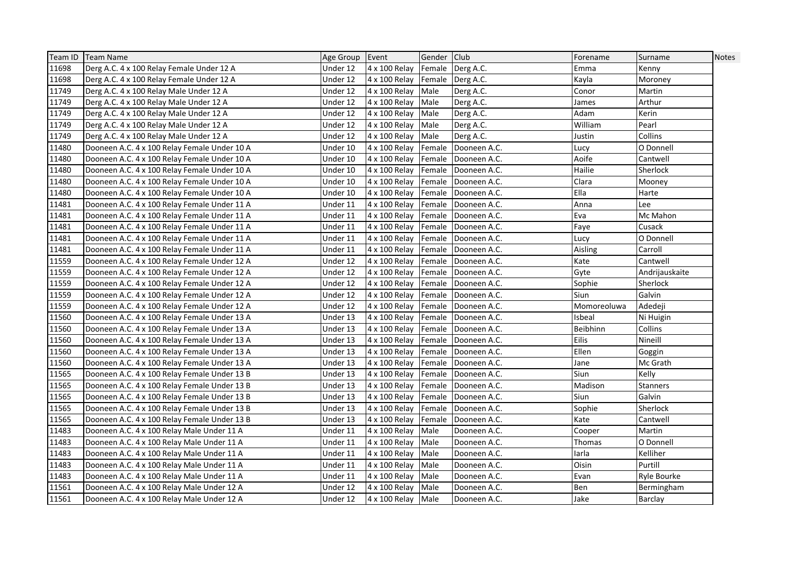|       | Team ID   Team Name                          | Age Group Event |                    | Gender Club |                       | Forename        | Surname         | <b>Notes</b> |
|-------|----------------------------------------------|-----------------|--------------------|-------------|-----------------------|-----------------|-----------------|--------------|
| 11698 | Derg A.C. 4 x 100 Relay Female Under 12 A    | Under 12        | 4 x 100 Relay      |             | Female Derg A.C.      | Emma            | Kenny           |              |
| 11698 | Derg A.C. 4 x 100 Relay Female Under 12 A    | Under 12        | 4 x 100 Relay      |             | Female Derg A.C.      | Kayla           | Moroney         |              |
| 11749 | Derg A.C. 4 x 100 Relay Male Under 12 A      | Under 12        | 4 x 100 Relay      | Male        | Derg A.C.             | Conor           | Martin          |              |
| 11749 | Derg A.C. 4 x 100 Relay Male Under 12 A      | Under 12        | 4 x 100 Relay      | Male        | Derg A.C.             | James           | Arthur          |              |
| 11749 | Derg A.C. 4 x 100 Relay Male Under 12 A      | Under 12        | 4 x 100 Relay      | Male        | Derg A.C.             | Adam            | Kerin           |              |
| 11749 | Derg A.C. 4 x 100 Relay Male Under 12 A      | Under 12        | 4 x 100 Relay      | Male        | Derg A.C.             | William         | Pearl           |              |
| 11749 | Derg A.C. 4 x 100 Relay Male Under 12 A      | Under 12        | 4 x 100 Relay      | Male        | Derg A.C.             | Justin          | Collins         |              |
| 11480 | Dooneen A.C. 4 x 100 Relay Female Under 10 A | Under 10        | 4 x 100 Relay      | Female      | Dooneen A.C.          | Lucy            | O Donnell       |              |
| 11480 | Dooneen A.C. 4 x 100 Relay Female Under 10 A | Under 10        | 4 x 100 Relay      | Female      | Dooneen A.C.          | Aoife           | Cantwell        |              |
| 11480 | Dooneen A.C. 4 x 100 Relay Female Under 10 A | Under 10        | 4 x 100 Relay      |             | Female Dooneen A.C.   | Hailie          | Sherlock        |              |
| 11480 | Dooneen A.C. 4 x 100 Relay Female Under 10 A | Under 10        | 4 x 100 Relay      | Female      | Dooneen A.C.          | Clara           | Mooney          |              |
| 11480 | Dooneen A.C. 4 x 100 Relay Female Under 10 A | Under 10        | 4 x 100 Relay      | Female      | Dooneen A.C.          | Ella            | Harte           |              |
| 11481 | Dooneen A.C. 4 x 100 Relay Female Under 11 A | Under 11        | 4 x 100 Relay      |             | Female Dooneen A.C.   | Anna            | Lee             |              |
| 11481 | Dooneen A.C. 4 x 100 Relay Female Under 11 A | Under 11        | 4 x 100 Relay      |             | Female   Dooneen A.C. | Eva             | Mc Mahon        |              |
| 11481 | Dooneen A.C. 4 x 100 Relay Female Under 11 A | Under 11        | 4 x 100 Relay      | Female      | Dooneen A.C.          | Faye            | Cusack          |              |
| 11481 | Dooneen A.C. 4 x 100 Relay Female Under 11 A | Under 11        | 4 x 100 Relay      |             | Female Dooneen A.C.   | Lucy            | O Donnell       |              |
| 11481 | Dooneen A.C. 4 x 100 Relay Female Under 11 A | Under 11        | 4 x 100 Relay      |             | Female Dooneen A.C.   | Aisling         | Carroll         |              |
| 11559 | Dooneen A.C. 4 x 100 Relay Female Under 12 A | Under 12        | 4 x 100 Relay      |             | Female Dooneen A.C.   | Kate            | Cantwell        |              |
| 11559 | Dooneen A.C. 4 x 100 Relay Female Under 12 A | Under 12        | 4 x 100 Relay      | Female      | Dooneen A.C.          | Gyte            | Andrijauskaite  |              |
| 11559 | Dooneen A.C. 4 x 100 Relay Female Under 12 A | Under 12        | 4 x 100 Relay      |             | Female Dooneen A.C.   | Sophie          | Sherlock        |              |
| 11559 | Dooneen A.C. 4 x 100 Relay Female Under 12 A | Under 12        | 4 x 100 Relay      |             | Female   Dooneen A.C. | Siun            | Galvin          |              |
| 11559 | Dooneen A.C. 4 x 100 Relay Female Under 12 A | Under 12        | 4 x 100 Relay      |             | Female Dooneen A.C.   | Momoreoluwa     | Adedeji         |              |
| 11560 | Dooneen A.C. 4 x 100 Relay Female Under 13 A | Under 13        | 4 x 100 Relay      |             | Female   Dooneen A.C. | <b>Isbeal</b>   | Ni Huigin       |              |
| 11560 | Dooneen A.C. 4 x 100 Relay Female Under 13 A | Under 13        | 4 x 100 Relay      |             | Female Dooneen A.C.   | <b>Beibhinn</b> | Collins         |              |
| 11560 | Dooneen A.C. 4 x 100 Relay Female Under 13 A | Under 13        | 4 x 100 Relay      |             | Female Dooneen A.C.   | Eilis           | Nineill         |              |
| 11560 | Dooneen A.C. 4 x 100 Relay Female Under 13 A | Under 13        | 4 x 100 Relay      |             | Female Dooneen A.C.   | Ellen           | Goggin          |              |
| 11560 | Dooneen A.C. 4 x 100 Relay Female Under 13 A | Under 13        | 4 x 100 Relay      |             | Female Dooneen A.C.   | Jane            | Mc Grath        |              |
| 11565 | Dooneen A.C. 4 x 100 Relay Female Under 13 B | Under 13        | 4 x 100 Relay      | Female      | Dooneen A.C.          | Siun            | Kelly           |              |
| 11565 | Dooneen A.C. 4 x 100 Relay Female Under 13 B | Under 13        | 4 x 100 Relay      |             | Female Dooneen A.C.   | Madison         | <b>Stanners</b> |              |
| 11565 | Dooneen A.C. 4 x 100 Relay Female Under 13 B | Under 13        | 4 x 100 Relay      |             | Female Dooneen A.C.   | Siun            | Galvin          |              |
| 11565 | Dooneen A.C. 4 x 100 Relay Female Under 13 B | Under 13        | 4 x 100 Relay      |             | Female Dooneen A.C.   | Sophie          | Sherlock        |              |
| 11565 | Dooneen A.C. 4 x 100 Relay Female Under 13 B | Under 13        | 4 x 100 Relay      |             | Female Dooneen A.C.   | Kate            | Cantwell        |              |
| 11483 | Dooneen A.C. 4 x 100 Relay Male Under 11 A   | Under 11        | 4 x 100 Relay      | Male        | Dooneen A.C.          | Cooper          | Martin          |              |
| 11483 | Dooneen A.C. 4 x 100 Relay Male Under 11 A   | Under 11        | 4 x 100 Relay      | Male        | Dooneen A.C.          | Thomas          | O Donnell       |              |
| 11483 | Dooneen A.C. 4 x 100 Relay Male Under 11 A   | Under 11        | 4 x 100 Relay      | Male        | Dooneen A.C.          | larla           | Kelliher        |              |
| 11483 | Dooneen A.C. 4 x 100 Relay Male Under 11 A   | Under 11        | 4 x 100 Relay      | Male        | Dooneen A.C.          | Oisin           | Purtill         |              |
| 11483 | Dooneen A.C. 4 x 100 Relay Male Under 11 A   | Under 11        | 4 x 100 Relay      | Male        | Dooneen A.C.          | Evan            | Ryle Bourke     |              |
| 11561 | Dooneen A.C. 4 x 100 Relay Male Under 12 A   | Under 12        | 4 x 100 Relay Male |             | Dooneen A.C.          | Ben             | Bermingham      |              |
| 11561 | Dooneen A.C. 4 x 100 Relay Male Under 12 A   | Under 12        | 4 x 100 Relay Male |             | Dooneen A.C.          | Jake            | Barclay         |              |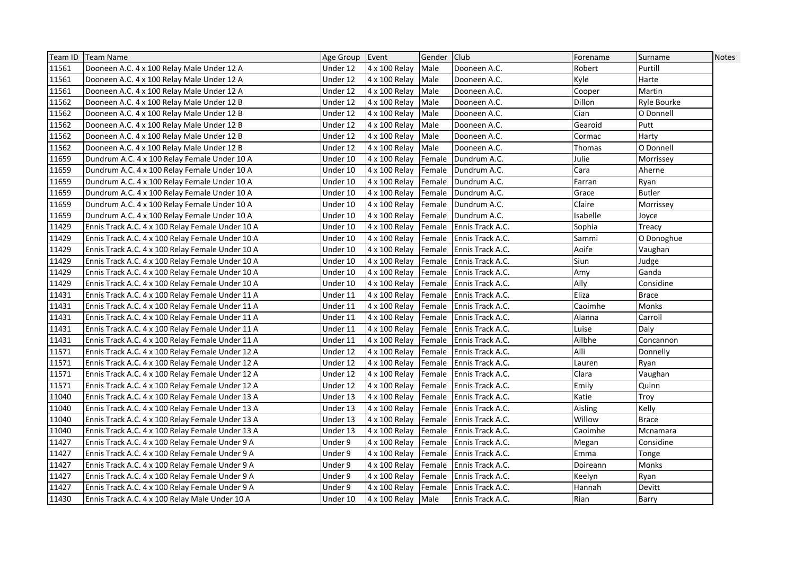| Team ID | Team Name                                        | Age Group Event |                    | Gender Club |                                | Forename | Surname       | <b>Notes</b> |
|---------|--------------------------------------------------|-----------------|--------------------|-------------|--------------------------------|----------|---------------|--------------|
| 11561   | Dooneen A.C. 4 x 100 Relay Male Under 12 A       | Under 12        | 4 x 100 Relay      | Male        | Dooneen A.C.                   | Robert   | Purtill       |              |
| 11561   | Dooneen A.C. 4 x 100 Relay Male Under 12 A       | Under 12        | 4 x 100 Relay      | Male        | Dooneen A.C.                   | Kyle     | Harte         |              |
| 11561   | Dooneen A.C. 4 x 100 Relay Male Under 12 A       | Under 12        | 4 x 100 Relay      | Male        | Dooneen A.C.                   | Cooper   | Martin        |              |
| 11562   | Dooneen A.C. 4 x 100 Relay Male Under 12 B       | Under 12        | 4 x 100 Relay      | Male        | Dooneen A.C.                   | Dillon   | Ryle Bourke   |              |
| 11562   | Dooneen A.C. 4 x 100 Relay Male Under 12 B       | Under 12        | 4 x 100 Relay      | Male        | Dooneen A.C.                   | Cian     | O Donnell     |              |
| 11562   | Dooneen A.C. 4 x 100 Relay Male Under 12 B       | Under 12        | 4 x 100 Relay      | Male        | Dooneen A.C.                   | Gearoid  | Putt          |              |
| 11562   | Dooneen A.C. 4 x 100 Relay Male Under 12 B       | Under 12        | 4 x 100 Relay      | Male        | Dooneen A.C.                   | Cormac   | Harty         |              |
| 11562   | Dooneen A.C. 4 x 100 Relay Male Under 12 B       | Under 12        | 4 x 100 Relay      | Male        | Dooneen A.C.                   | Thomas   | O Donnell     |              |
| 11659   | Dundrum A.C. 4 x 100 Relay Female Under 10 A     | Under 10        | 4 x 100 Relay      | Female      | Dundrum A.C.                   | Julie    | Morrissey     |              |
| 11659   | Dundrum A.C. 4 x 100 Relay Female Under 10 A     | Under 10        | 4 x 100 Relay      |             | Female Dundrum A.C.            | Cara     | Aherne        |              |
| 11659   | Dundrum A.C. 4 x 100 Relay Female Under 10 A     | Under 10        | 4 x 100 Relay      |             | Female   Dundrum A.C.          | Farran   | Ryan          |              |
| 11659   | Dundrum A.C. 4 x 100 Relay Female Under 10 A     | Under 10        | 4 x 100 Relay      |             | Female   Dundrum A.C.          | Grace    | <b>Butler</b> |              |
| 11659   | Dundrum A.C. 4 x 100 Relay Female Under 10 A     | Under 10        | 4 x 100 Relay      |             | Female Dundrum A.C.            | Claire   | Morrissey     |              |
| 11659   | Dundrum A.C. 4 x 100 Relay Female Under 10 A     | Under 10        | 4 x 100 Relay      |             | Female   Dundrum A.C.          | Isabelle | Joyce         |              |
| 11429   | Ennis Track A.C. 4 x 100 Relay Female Under 10 A | Under 10        | 4 x 100 Relay      |             | <b>Female</b> Ennis Track A.C. | Sophia   | Treacy        |              |
| 11429   | Ennis Track A.C. 4 x 100 Relay Female Under 10 A | Under 10        | 4 x 100 Relay      |             | Female Ennis Track A.C.        | Sammi    | O Donoghue    |              |
| 11429   | Ennis Track A.C. 4 x 100 Relay Female Under 10 A | Under 10        | 4 x 100 Relay      |             | Female Ennis Track A.C.        | Aoife    | Vaughan       |              |
| 11429   | Ennis Track A.C. 4 x 100 Relay Female Under 10 A | Under 10        | 4 x 100 Relay      |             | Female Ennis Track A.C.        | Siun     | Judge         |              |
| 11429   | Ennis Track A.C. 4 x 100 Relay Female Under 10 A | Under 10        | 4 x 100 Relay      |             | Female Ennis Track A.C.        | Amy      | Ganda         |              |
| 11429   | Ennis Track A.C. 4 x 100 Relay Female Under 10 A | Under 10        | 4 x 100 Relay      | Female      | <b>Ennis Track A.C.</b>        | Ally     | Considine     |              |
| 11431   | Ennis Track A.C. 4 x 100 Relay Female Under 11 A | Under 11        | 4 x 100 Relay      |             | Female Ennis Track A.C.        | Eliza    | <b>Brace</b>  |              |
| 11431   | Ennis Track A.C. 4 x 100 Relay Female Under 11 A | Under 11        | 4 x 100 Relay      | Female      | Ennis Track A.C.               | Caoimhe  | Monks         |              |
| 11431   | Ennis Track A.C. 4 x 100 Relay Female Under 11 A | Under 11        | 4 x 100 Relay      |             | Female Ennis Track A.C.        | Alanna   | Carroll       |              |
| 11431   | Ennis Track A.C. 4 x 100 Relay Female Under 11 A | Under 11        | 4 x 100 Relay      | Female      | Ennis Track A.C.               | Luise    | Daly          |              |
| 11431   | Ennis Track A.C. 4 x 100 Relay Female Under 11 A | Under 11        | 4 x 100 Relay      |             | Female Ennis Track A.C.        | Ailbhe   | Concannon     |              |
| 11571   | Ennis Track A.C. 4 x 100 Relay Female Under 12 A | Under 12        | 4 x 100 Relay      |             | Female   Ennis Track A.C.      | Alli     | Donnelly      |              |
| 11571   | Ennis Track A.C. 4 x 100 Relay Female Under 12 A | Under 12        | 4 x 100 Relay      | Female      | <b>Ennis Track A.C.</b>        | Lauren   | Ryan          |              |
| 11571   | Ennis Track A.C. 4 x 100 Relay Female Under 12 A | Under 12        | 4 x 100 Relay      | Female      | Ennis Track A.C.               | Clara    | Vaughan       |              |
| 11571   | Ennis Track A.C. 4 x 100 Relay Female Under 12 A | Under 12        | 4 x 100 Relay      | Female      | Ennis Track A.C.               | Emily    | Quinn         |              |
| 11040   | Ennis Track A.C. 4 x 100 Relay Female Under 13 A | Under 13        | 4 x 100 Relay      | Female      | Ennis Track A.C.               | Katie    | Troy          |              |
| 11040   | Ennis Track A.C. 4 x 100 Relay Female Under 13 A | Under 13        | 4 x 100 Relay      | Female      | <b>Ennis Track A.C.</b>        | Aisling  | Kelly         |              |
| 11040   | Ennis Track A.C. 4 x 100 Relay Female Under 13 A | Under 13        | 4 x 100 Relay      |             | Female Ennis Track A.C.        | Willow   | <b>Brace</b>  |              |
| 11040   | Ennis Track A.C. 4 x 100 Relay Female Under 13 A | Under 13        | 4 x 100 Relay      |             | Female Ennis Track A.C.        | Caoimhe  | Mcnamara      |              |
| 11427   | Ennis Track A.C. 4 x 100 Relay Female Under 9 A  | Under 9         | 4 x 100 Relay      | Female      | Ennis Track A.C.               | Megan    | Considine     |              |
| 11427   | Ennis Track A.C. 4 x 100 Relay Female Under 9 A  | Under 9         | 4 x 100 Relay      | Female      | Ennis Track A.C.               | Emma     | Tonge         |              |
| 11427   | Ennis Track A.C. 4 x 100 Relay Female Under 9 A  | Under 9         | 4 x 100 Relay      | Female      | Ennis Track A.C.               | Doireann | Monks         |              |
| 11427   | Ennis Track A.C. 4 x 100 Relay Female Under 9 A  | Under 9         | 4 x 100 Relay      | Female      | Ennis Track A.C.               | Keelyn   | Ryan          |              |
| 11427   | Ennis Track A.C. 4 x 100 Relay Female Under 9 A  | Under 9         | 4 x 100 Relay      | Female      | Ennis Track A.C.               | Hannah   | Devitt        |              |
| 11430   | Ennis Track A.C. 4 x 100 Relay Male Under 10 A   | Under 10        | 4 x 100 Relay Male |             | Ennis Track A.C.               | Rian     | Barry         |              |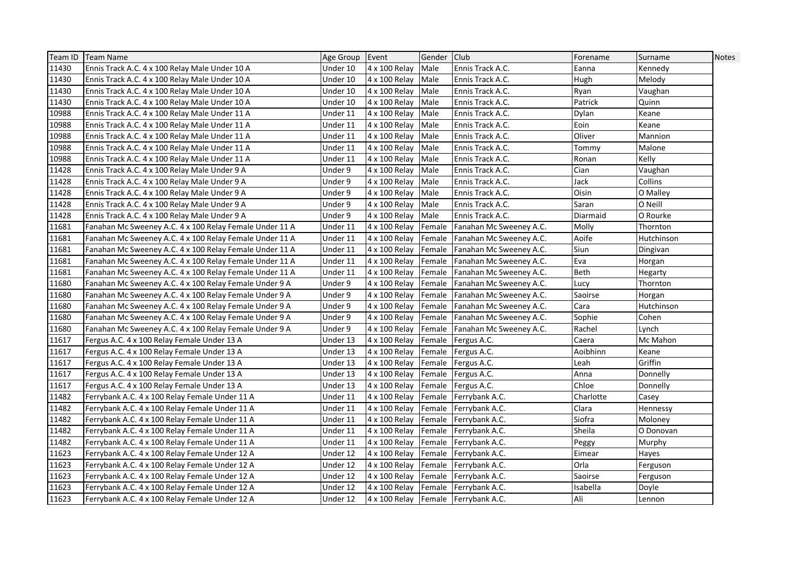| Team ID | <b>Team Name</b>                                        | Age Group Event |               | Gender Club |                                     | Forename  | Surname    | <b>Notes</b> |
|---------|---------------------------------------------------------|-----------------|---------------|-------------|-------------------------------------|-----------|------------|--------------|
| 11430   | Ennis Track A.C. 4 x 100 Relay Male Under 10 A          | Under 10        | 4 x 100 Relay | Male        | Ennis Track A.C.                    | Eanna     | Kennedy    |              |
| 11430   | Ennis Track A.C. 4 x 100 Relay Male Under 10 A          | Under 10        | 4 x 100 Relay | Male        | Ennis Track A.C.                    | Hugh      | Melody     |              |
| 11430   | Ennis Track A.C. 4 x 100 Relay Male Under 10 A          | Under 10        | 4 x 100 Relay | Male        | Ennis Track A.C.                    | Ryan      | Vaughan    |              |
| 11430   | Ennis Track A.C. 4 x 100 Relay Male Under 10 A          | Under 10        | 4 x 100 Relay | Male        | Ennis Track A.C.                    | Patrick   | Quinn      |              |
| 10988   | Ennis Track A.C. 4 x 100 Relay Male Under 11 A          | Under 11        | 4 x 100 Relay | Male        | Ennis Track A.C.                    | Dylan     | Keane      |              |
| 10988   | Ennis Track A.C. 4 x 100 Relay Male Under 11 A          | Under 11        | 4 x 100 Relay | Male        | Ennis Track A.C.                    | Eoin      | Keane      |              |
| 10988   | Ennis Track A.C. 4 x 100 Relay Male Under 11 A          | Under 11        | 4 x 100 Relay | Male        | Ennis Track A.C.                    | Oliver    | Mannion    |              |
| 10988   | Ennis Track A.C. 4 x 100 Relay Male Under 11 A          | Under 11        | 4 x 100 Relay | Male        | Ennis Track A.C.                    | Tommy     | Malone     |              |
| 10988   | Ennis Track A.C. 4 x 100 Relay Male Under 11 A          | Under 11        | 4 x 100 Relay | Male        | Ennis Track A.C.                    | Ronan     | Kelly      |              |
| 11428   | Ennis Track A.C. 4 x 100 Relay Male Under 9 A           | Under 9         | 4 x 100 Relay | Male        | Ennis Track A.C.                    | Cian      | Vaughan    |              |
| 11428   | Ennis Track A.C. 4 x 100 Relay Male Under 9 A           | Under 9         | 4 x 100 Relay | Male        | Ennis Track A.C.                    | Jack      | Collins    |              |
| 11428   | Ennis Track A.C. 4 x 100 Relay Male Under 9 A           | Under 9         | 4 x 100 Relay | Male        | Ennis Track A.C.                    | Oisin     | O Malley   |              |
| 11428   | Ennis Track A.C. 4 x 100 Relay Male Under 9 A           | Under 9         | 4 x 100 Relay | Male        | Ennis Track A.C.                    | Saran     | O Neill    |              |
| 11428   | Ennis Track A.C. 4 x 100 Relay Male Under 9 A           | Under 9         | 4 x 100 Relay | Male        | Ennis Track A.C.                    | Diarmaid  | O Rourke   |              |
| 11681   | Fanahan Mc Sweeney A.C. 4 x 100 Relay Female Under 11 A | Under 11        | 4 x 100 Relay | Female      | Fanahan Mc Sweeney A.C.             | Molly     | Thornton   |              |
| 11681   | Fanahan Mc Sweeney A.C. 4 x 100 Relay Female Under 11 A | Under 11        | 4 x 100 Relay | Female      | Fanahan Mc Sweeney A.C.             | Aoife     | Hutchinson |              |
| 11681   | Fanahan Mc Sweeney A.C. 4 x 100 Relay Female Under 11 A | Under 11        | 4 x 100 Relay | Female      | Fanahan Mc Sweeney A.C.             | Siun      | Dingivan   |              |
| 11681   | Fanahan Mc Sweeney A.C. 4 x 100 Relay Female Under 11 A | Under 11        | 4 x 100 Relay | Female      | Fanahan Mc Sweeney A.C.             | Eva       | Horgan     |              |
| 11681   | Fanahan Mc Sweeney A.C. 4 x 100 Relay Female Under 11 A | Under 11        | 4 x 100 Relay | Female      | Fanahan Mc Sweeney A.C.             | Beth      | Hegarty    |              |
| 11680   | Fanahan Mc Sweeney A.C. 4 x 100 Relay Female Under 9 A  | Under 9         | 4 x 100 Relay | Female      | Fanahan Mc Sweeney A.C.             | Lucy      | Thornton   |              |
| 11680   | Fanahan Mc Sweeney A.C. 4 x 100 Relay Female Under 9 A  | Under 9         | 4 x 100 Relay | Female      | Fanahan Mc Sweeney A.C.             | Saoirse   | Horgan     |              |
| 11680   | Fanahan Mc Sweeney A.C. 4 x 100 Relay Female Under 9 A  | Under 9         | 4 x 100 Relay | Female      | Fanahan Mc Sweeney A.C.             | Cara      | Hutchinson |              |
| 11680   | Fanahan Mc Sweeney A.C. 4 x 100 Relay Female Under 9 A  | Under 9         | 4 x 100 Relay | Female      | Fanahan Mc Sweeney A.C.             | Sophie    | Cohen      |              |
| 11680   | Fanahan Mc Sweeney A.C. 4 x 100 Relay Female Under 9 A  | Under 9         | 4 x 100 Relay | Female      | Fanahan Mc Sweeney A.C.             | Rachel    | Lynch      |              |
| 11617   | Fergus A.C. 4 x 100 Relay Female Under 13 A             | Under 13        | 4 x 100 Relay | Female      | Fergus A.C.                         | Caera     | Mc Mahon   |              |
| 11617   | Fergus A.C. 4 x 100 Relay Female Under 13 A             | Under 13        | 4 x 100 Relay | Female      | Fergus A.C.                         | Aoibhinn  | Keane      |              |
| 11617   | Fergus A.C. 4 x 100 Relay Female Under 13 A             | Under 13        | 4 x 100 Relay | Female      | Fergus A.C.                         | Leah      | Griffin    |              |
| 11617   | Fergus A.C. 4 x 100 Relay Female Under 13 A             | Under 13        | 4 x 100 Relay | Female      | Fergus A.C.                         | Anna      | Donnelly   |              |
| 11617   | Fergus A.C. 4 x 100 Relay Female Under 13 A             | Under 13        | 4 x 100 Relay | Female      | Fergus A.C.                         | Chloe     | Donnelly   |              |
| 11482   | Ferrybank A.C. 4 x 100 Relay Female Under 11 A          | Under 11        | 4 x 100 Relay | Female      | Ferrybank A.C.                      | Charlotte | Casev      |              |
| 11482   | Ferrybank A.C. 4 x 100 Relay Female Under 11 A          | Under 11        | 4 x 100 Relay | Female      | Ferrybank A.C.                      | Clara     | Hennessy   |              |
| 11482   | Ferrybank A.C. 4 x 100 Relay Female Under 11 A          | Under 11        | 4 x 100 Relay |             | Female Ferrybank A.C.               | Siofra    | Moloney    |              |
| 11482   | Ferrybank A.C. 4 x 100 Relay Female Under 11 A          | Under 11        | 4 x 100 Relay |             | Female Ferrybank A.C.               | Sheila    | O Donovan  |              |
| 11482   | Ferrybank A.C. 4 x 100 Relay Female Under 11 A          | Under 11        | 4 x 100 Relay | Female      | Ferrybank A.C.                      | Peggy     | Murphy     |              |
| 11623   | Ferrybank A.C. 4 x 100 Relay Female Under 12 A          | Under 12        | 4 x 100 Relay | Female      | Ferrybank A.C.                      | Eimear    | Hayes      |              |
| 11623   | Ferrybank A.C. 4 x 100 Relay Female Under 12 A          | Under 12        | 4 x 100 Relay | Female      | Ferrybank A.C.                      | Orla      | Ferguson   |              |
| 11623   | Ferrybank A.C. 4 x 100 Relay Female Under 12 A          | Under 12        | 4 x 100 Relay | Female      | Ferrybank A.C.                      | Saoirse   | Ferguson   |              |
| 11623   | Ferrybank A.C. 4 x 100 Relay Female Under 12 A          | Under 12        | 4 x 100 Relay | Female      | Ferrybank A.C.                      | Isabella  | Doyle      |              |
| 11623   | Ferrybank A.C. 4 x 100 Relay Female Under 12 A          | Under 12        |               |             | 4 x 100 Relay Female Ferrybank A.C. | Ali       | Lennon     |              |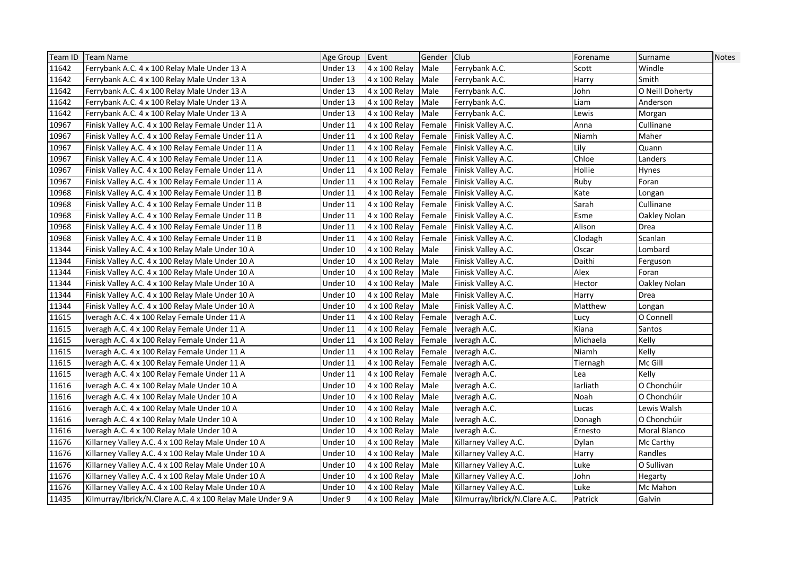| Team ID | <b>Team Name</b>                                           | Age Group Event |                    | Gender Club |                               | Forename | Surname         | <b>Notes</b> |
|---------|------------------------------------------------------------|-----------------|--------------------|-------------|-------------------------------|----------|-----------------|--------------|
| 11642   | Ferrybank A.C. 4 x 100 Relay Male Under 13 A               | Under 13        | 4 x 100 Relay      | Male        | Ferrybank A.C.                | Scott    | Windle          |              |
| 11642   | Ferrybank A.C. 4 x 100 Relay Male Under 13 A               | Under 13        | 4 x 100 Relay      | Male        | Ferrybank A.C.                | Harry    | Smith           |              |
| 11642   | Ferrybank A.C. 4 x 100 Relay Male Under 13 A               | Under 13        | 4 x 100 Relay      | Male        | Ferrybank A.C.                | John     | O Neill Doherty |              |
| 11642   | Ferrybank A.C. 4 x 100 Relay Male Under 13 A               | Under 13        | 4 x 100 Relay      | Male        | Ferrybank A.C.                | Liam     | Anderson        |              |
| 11642   | Ferrybank A.C. 4 x 100 Relay Male Under 13 A               | Under 13        | 4 x 100 Relay      | Male        | Ferrybank A.C.                | Lewis    | Morgan          |              |
| 10967   | Finisk Valley A.C. 4 x 100 Relay Female Under 11 A         | Under 11        | 4 x 100 Relay      | Female      | Finisk Valley A.C.            | Anna     | Cullinane       |              |
| 10967   | Finisk Valley A.C. 4 x 100 Relay Female Under 11 A         | Under 11        | 4 x 100 Relay      | Female      | Finisk Valley A.C.            | Niamh    | Maher           |              |
| 10967   | Finisk Valley A.C. 4 x 100 Relay Female Under 11 A         | Under 11        | 4 x 100 Relay      |             | Female Finisk Valley A.C.     | Lily     | Quann           |              |
| 10967   | Finisk Valley A.C. 4 x 100 Relay Female Under 11 A         | Under 11        | 4 x 100 Relay      |             | Female Finisk Valley A.C.     | Chloe    | Landers         |              |
| 10967   | Finisk Valley A.C. 4 x 100 Relay Female Under 11 A         | Under 11        | 4 x 100 Relay      |             | Female Finisk Valley A.C.     | Hollie   | <b>Hynes</b>    |              |
| 10967   | Finisk Valley A.C. 4 x 100 Relay Female Under 11 A         | Under 11        | 4 x 100 Relay      |             | Female Finisk Valley A.C.     | Ruby     | Foran           |              |
| 10968   | Finisk Valley A.C. 4 x 100 Relay Female Under 11 B         | Under 11        | 4 x 100 Relay      |             | Female Finisk Valley A.C.     | Kate     | Longan          |              |
| 10968   | Finisk Valley A.C. 4 x 100 Relay Female Under 11 B         | Under 11        | 4 x 100 Relay      |             | Female Finisk Valley A.C.     | Sarah    | Cullinane       |              |
| 10968   | Finisk Valley A.C. 4 x 100 Relay Female Under 11 B         | Under 11        | 4 x 100 Relay      | Female      | Finisk Valley A.C.            | Esme     | Oakley Nolan    |              |
| 10968   | Finisk Valley A.C. 4 x 100 Relay Female Under 11 B         | Under 11        | 4 x 100 Relay      | Female      | Finisk Valley A.C.            | Alison   | Drea            |              |
| 10968   | Finisk Valley A.C. 4 x 100 Relay Female Under 11 B         | Under 11        | 4 x 100 Relay      |             | Female Finisk Valley A.C.     | Clodagh  | Scanlan         |              |
| 11344   | Finisk Valley A.C. 4 x 100 Relay Male Under 10 A           | Under 10        | 4 x 100 Relay      | Male        | Finisk Valley A.C.            | Oscar    | Lombard         |              |
| 11344   | Finisk Valley A.C. 4 x 100 Relay Male Under 10 A           | Under 10        | 4 x 100 Relay      | Male        | Finisk Valley A.C.            | Daithi   | Ferguson        |              |
| 11344   | Finisk Valley A.C. 4 x 100 Relay Male Under 10 A           | Under 10        | 4 x 100 Relay      | Male        | Finisk Valley A.C.            | Alex     | Foran           |              |
| 11344   | Finisk Valley A.C. 4 x 100 Relay Male Under 10 A           | Under 10        | 4 x 100 Relay      | Male        | Finisk Valley A.C.            | Hector   | Oakley Nolan    |              |
| 11344   | Finisk Valley A.C. 4 x 100 Relay Male Under 10 A           | Under 10        | 4 x 100 Relay      | Male        | Finisk Valley A.C.            | Harry    | Drea            |              |
| 11344   | Finisk Valley A.C. 4 x 100 Relay Male Under 10 A           | Under 10        | 4 x 100 Relay      | Male        | Finisk Valley A.C.            | Matthew  | Longan          |              |
| 11615   | Iveragh A.C. 4 x 100 Relay Female Under 11 A               | Under 11        | 4 x 100 Relay      | Female      | Iveragh A.C.                  | Lucy     | O Connell       |              |
| 11615   | Iveragh A.C. 4 x 100 Relay Female Under 11 A               | Under 11        | 4 x 100 Relay      |             | Female Iveragh A.C.           | Kiana    | Santos          |              |
| 11615   | Iveragh A.C. 4 x 100 Relay Female Under 11 A               | Under 11        | 4 x 100 Relay      |             | Female Iveragh A.C.           | Michaela | Kelly           |              |
| 11615   | Iveragh A.C. 4 x 100 Relay Female Under 11 A               | Under 11        | 4 x 100 Relay      |             | Female Iveragh A.C.           | Niamh    | Kelly           |              |
| 11615   | Iveragh A.C. 4 x 100 Relay Female Under 11 A               | Under 11        | 4 x 100 Relay      |             | Female Iveragh A.C.           | Tiernagh | Mc Gill         |              |
| 11615   | Iveragh A.C. 4 x 100 Relay Female Under 11 A               | Under 11        | 4 x 100 Relay      |             | Female Iveragh A.C.           | Lea      | Kelly           |              |
| 11616   | Iveragh A.C. 4 x 100 Relay Male Under 10 A                 | Under 10        | 4 x 100 Relay      | Male        | Iveragh A.C.                  | larliath | O Chonchúir     |              |
| 11616   | Iveragh A.C. 4 x 100 Relay Male Under 10 A                 | Under 10        | 4 x 100 Relay      | Male        | Iveragh A.C.                  | Noah     | O Chonchúir     |              |
| 11616   | Iveragh A.C. 4 x 100 Relay Male Under 10 A                 | Under 10        | 4 x 100 Relay      | Male        | Iveragh A.C.                  | Lucas    | Lewis Walsh     |              |
| 11616   | Iveragh A.C. 4 x 100 Relay Male Under 10 A                 | Under 10        | 4 x 100 Relay      | Male        | Iveragh A.C.                  | Donagh   | O Chonchúir     |              |
| 11616   | Iveragh A.C. 4 x 100 Relay Male Under 10 A                 | Under 10        | 4 x 100 Relay      | Male        | Iveragh A.C.                  | Ernesto  | Moral Blanco    |              |
| 11676   | Killarney Valley A.C. 4 x 100 Relay Male Under 10 A        | Under 10        | 4 x 100 Relay      | Male        | Killarney Valley A.C.         | Dylan    | Mc Carthy       |              |
| 11676   | Killarney Valley A.C. 4 x 100 Relay Male Under 10 A        | Under 10        | 4 x 100 Relay      | Male        | Killarney Valley A.C.         | Harry    | Randles         |              |
| 11676   | Killarney Valley A.C. 4 x 100 Relay Male Under 10 A        | Under 10        | 4 x 100 Relay      | Male        | Killarney Valley A.C.         | Luke     | O Sullivan      |              |
| 11676   | Killarney Valley A.C. 4 x 100 Relay Male Under 10 A        | Under 10        | 4 x 100 Relay      | Male        | Killarney Valley A.C.         | John     | Hegarty         |              |
| 11676   | Killarney Valley A.C. 4 x 100 Relay Male Under 10 A        | Under 10        | 4 x 100 Relay      | Male        | Killarney Valley A.C.         | Luke     | Mc Mahon        |              |
| 11435   | Kilmurray/Ibrick/N.Clare A.C. 4 x 100 Relay Male Under 9 A | Under 9         | 4 x 100 Relay Male |             | Kilmurray/Ibrick/N.Clare A.C. | Patrick  | Galvin          |              |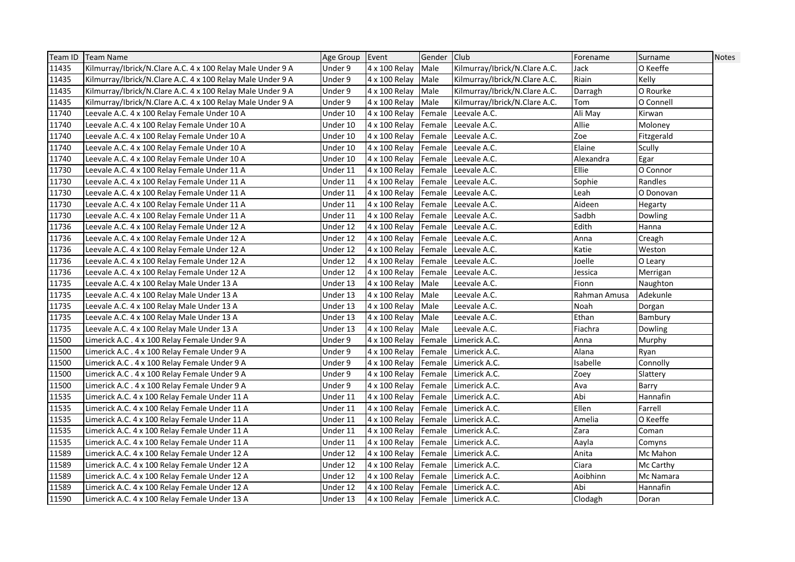| Team ID | <b>Team Name</b>                                           | Age Group Event |                                    | Gender Club |                               | Forename     | Surname    | Notes |
|---------|------------------------------------------------------------|-----------------|------------------------------------|-------------|-------------------------------|--------------|------------|-------|
| 11435   | Kilmurray/Ibrick/N.Clare A.C. 4 x 100 Relay Male Under 9 A | Under 9         | 4 x 100 Relay                      | Male        | Kilmurray/Ibrick/N.Clare A.C. | Jack         | O Keeffe   |       |
| 11435   | Kilmurray/Ibrick/N.Clare A.C. 4 x 100 Relay Male Under 9 A | Under 9         | 4 x 100 Relay                      | Male        | Kilmurray/Ibrick/N.Clare A.C. | Riain        | Kelly      |       |
| 11435   | Kilmurray/Ibrick/N.Clare A.C. 4 x 100 Relay Male Under 9 A | Under 9         | 4 x 100 Relay                      | Male        | Kilmurray/Ibrick/N.Clare A.C. | Darragh      | O Rourke   |       |
| 11435   | Kilmurray/Ibrick/N.Clare A.C. 4 x 100 Relay Male Under 9 A | Under 9         | 4 x 100 Relay                      | Male        | Kilmurray/Ibrick/N.Clare A.C. | Tom          | O Connell  |       |
| 11740   | Leevale A.C. 4 x 100 Relay Female Under 10 A               | Under 10        | 4 x 100 Relay                      | Female      | Leevale A.C.                  | Ali May      | Kirwan     |       |
| 11740   | Leevale A.C. 4 x 100 Relay Female Under 10 A               | Under 10        | 4 x 100 Relay                      | Female      | Leevale A.C.                  | Allie        | Moloney    |       |
| 11740   | Leevale A.C. 4 x 100 Relay Female Under 10 A               | Under 10        | 4 x 100 Relay                      | Female      | Leevale A.C.                  | Zoe          | Fitzgerald |       |
| 11740   | Leevale A.C. 4 x 100 Relay Female Under 10 A               | Under 10        | 4 x 100 Relay                      | Female      | Leevale A.C.                  | Elaine       | Scully     |       |
| 11740   | Leevale A.C. 4 x 100 Relay Female Under 10 A               | Under 10        | 4 x 100 Relay                      | Female      | Leevale A.C.                  | Alexandra    | Egar       |       |
| 11730   | Leevale A.C. 4 x 100 Relay Female Under 11 A               | Under 11        | 4 x 100 Relay                      | Female      | Leevale A.C.                  | Ellie        | O Connor   |       |
| 11730   | Leevale A.C. 4 x 100 Relay Female Under 11 A               | Under 11        | 4 x 100 Relay                      | Female      | Leevale A.C.                  | Sophie       | Randles    |       |
| 11730   | Leevale A.C. 4 x 100 Relay Female Under 11 A               | Under 11        | 4 x 100 Relay                      | Female      | Leevale A.C.                  | Leah         | O Donovan  |       |
| 11730   | Leevale A.C. 4 x 100 Relay Female Under 11 A               | Under 11        | 4 x 100 Relay                      | Female      | Leevale A.C.                  | Aideen       | Hegarty    |       |
| 11730   | Leevale A.C. 4 x 100 Relay Female Under 11 A               | Under 11        | 4 x 100 Relay                      | Female      | Leevale A.C.                  | Sadbh        | Dowling    |       |
| 11736   | Leevale A.C. 4 x 100 Relay Female Under 12 A               | Under 12        | 4 x 100 Relay                      | Female      | Leevale A.C.                  | Edith        | Hanna      |       |
| 11736   | Leevale A.C. 4 x 100 Relay Female Under 12 A               | Under 12        | 4 x 100 Relay                      | Female      | Leevale A.C.                  | Anna         | Creagh     |       |
| 11736   | Leevale A.C. 4 x 100 Relay Female Under 12 A               | Under 12        | 4 x 100 Relay                      |             | Female Leevale A.C.           | Katie        | Weston     |       |
| 11736   | Leevale A.C. 4 x 100 Relay Female Under 12 A               | Under 12        | 4 x 100 Relay                      | Female      | Leevale A.C.                  | Joelle       | O Leary    |       |
| 11736   | Leevale A.C. 4 x 100 Relay Female Under 12 A               | Under 12        | 4 x 100 Relay                      | Female      | Leevale A.C.                  | Jessica      | Merrigan   |       |
| 11735   | Leevale A.C. 4 x 100 Relay Male Under 13 A                 | Under 13        | 4 x 100 Relay                      | Male        | Leevale A.C.                  | Fionn        | Naughton   |       |
| 11735   | Leevale A.C. 4 x 100 Relay Male Under 13 A                 | Under 13        | 4 x 100 Relay                      | Male        | Leevale A.C.                  | Rahman Amusa | Adekunle   |       |
| 11735   | Leevale A.C. 4 x 100 Relay Male Under 13 A                 | Under 13        | 4 x 100 Relay                      | Male        | Leevale A.C.                  | Noah         | Dorgan     |       |
| 11735   | Leevale A.C. 4 x 100 Relay Male Under 13 A                 | Under 13        | 4 x 100 Relay                      | Male        | Leevale A.C.                  | Ethan        | Bambury    |       |
| 11735   | Leevale A.C. 4 x 100 Relay Male Under 13 A                 | Under 13        | 4 x 100 Relay                      | Male        | Leevale A.C.                  | Fiachra      | Dowling    |       |
| 11500   | Limerick A.C. 4 x 100 Relay Female Under 9 A               | Under 9         | 4 x 100 Relay                      | Female      | Limerick A.C.                 | Anna         | Murphy     |       |
| 11500   | Limerick A.C. 4 x 100 Relay Female Under 9 A               | Under 9         | 4 x 100 Relay                      | Female      | Limerick A.C.                 | Alana        | Ryan       |       |
| 11500   | Limerick A.C. 4 x 100 Relay Female Under 9 A               | Under 9         | 4 x 100 Relay                      | Female      | Limerick A.C.                 | Isabelle     | Connolly   |       |
| 11500   | Limerick A.C. 4 x 100 Relay Female Under 9 A               | Under 9         | 4 x 100 Relay                      | Female      | Limerick A.C.                 | Zoey         | Slattery   |       |
| 11500   | Limerick A.C. 4 x 100 Relay Female Under 9 A               | Under 9         | 4 x 100 Relay                      | Female      | Limerick A.C.                 | Ava          | Barry      |       |
| 11535   | Limerick A.C. 4 x 100 Relay Female Under 11 A              | Under 11        | 4 x 100 Relay                      | Female      | Limerick A.C.                 | Abi          | Hannafin   |       |
| 11535   | Limerick A.C. 4 x 100 Relay Female Under 11 A              | Under 11        | 4 x 100 Relay                      | Female      | Limerick A.C.                 | Ellen        | Farrell    |       |
| 11535   | Limerick A.C. 4 x 100 Relay Female Under 11 A              | Under 11        | 4 x 100 Relay                      | Female      | Limerick A.C.                 | Amelia       | O Keeffe   |       |
| 11535   | Limerick A.C. 4 x 100 Relay Female Under 11 A              | Under 11        | 4 x 100 Relay                      | Female      | Limerick A.C.                 | Zara         | Coman      |       |
| 11535   | Limerick A.C. 4 x 100 Relay Female Under 11 A              | Under 11        | 4 x 100 Relay                      | Female      | Limerick A.C.                 | Aayla        | Comyns     |       |
| 11589   | Limerick A.C. 4 x 100 Relay Female Under 12 A              | Under 12        | 4 x 100 Relay                      | Female      | Limerick A.C.                 | Anita        | Mc Mahon   |       |
| 11589   | Limerick A.C. 4 x 100 Relay Female Under 12 A              | Under 12        | 4 x 100 Relay                      | Female      | Limerick A.C.                 | Ciara        | Mc Carthy  |       |
| 11589   | Limerick A.C. 4 x 100 Relay Female Under 12 A              | Under 12        | 4 x 100 Relay                      | Female      | Limerick A.C.                 | Aoibhinn     | Mc Namara  |       |
| 11589   | Limerick A.C. 4 x 100 Relay Female Under 12 A              | Under 12        | 4 x 100 Relay                      | Female      | Limerick A.C.                 | Abi          | Hannafin   |       |
| 11590   | Limerick A.C. 4 x 100 Relay Female Under 13 A              | Under 13        | 4 x 100 Relay Female Limerick A.C. |             |                               | Clodagh      | Doran      |       |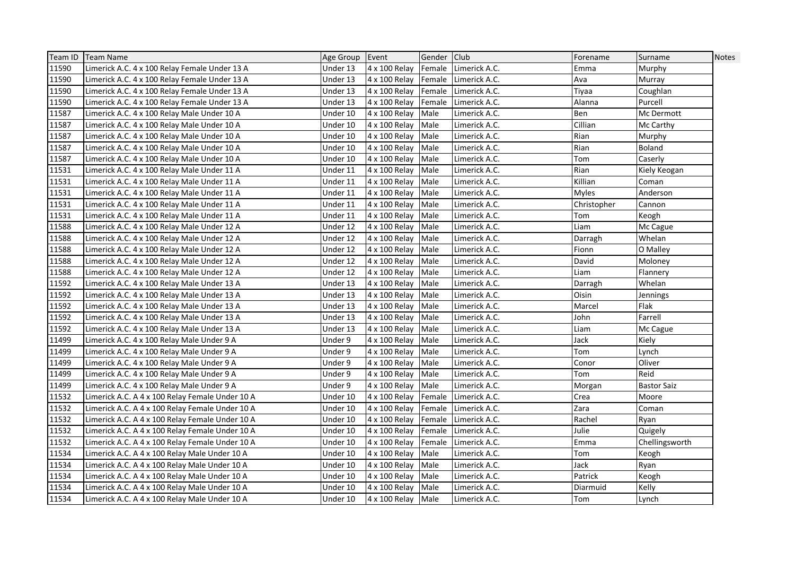| Team ID | <b>Team Name</b>                                | Age Group Event |                    | Gender Club |               | Forename     | Surname            | <b>Notes</b> |
|---------|-------------------------------------------------|-----------------|--------------------|-------------|---------------|--------------|--------------------|--------------|
| 11590   | Limerick A.C. 4 x 100 Relay Female Under 13 A   | Under 13        | 4 x 100 Relay      | Female      | Limerick A.C. | Emma         | Murphy             |              |
| 11590   | Limerick A.C. 4 x 100 Relay Female Under 13 A   | Under 13        | 4 x 100 Relay      | Female      | Limerick A.C. | Ava          | Murray             |              |
| 11590   | Limerick A.C. 4 x 100 Relay Female Under 13 A   | Under 13        | 4 x 100 Relay      | Female      | Limerick A.C. | Tiyaa        | Coughlan           |              |
| 11590   | Limerick A.C. 4 x 100 Relay Female Under 13 A   | Under 13        | 4 x 100 Relay      | Female      | Limerick A.C. | Alanna       | Purcell            |              |
| 11587   | Limerick A.C. 4 x 100 Relay Male Under 10 A     | Under 10        | 4 x 100 Relay      | Male        | Limerick A.C. | Ben          | Mc Dermott         |              |
| 11587   | Limerick A.C. 4 x 100 Relay Male Under 10 A     | Under 10        | 4 x 100 Relay      | Male        | Limerick A.C. | Cillian      | Mc Carthy          |              |
| 11587   | Limerick A.C. 4 x 100 Relay Male Under 10 A     | Under 10        | 4 x 100 Relay      | Male        | Limerick A.C. | Rian         | Murphy             |              |
| 11587   | Limerick A.C. 4 x 100 Relay Male Under 10 A     | Under 10        | 4 x 100 Relay      | Male        | Limerick A.C. | Rian         | Boland             |              |
| 11587   | Limerick A.C. 4 x 100 Relay Male Under 10 A     | Under 10        | 4 x 100 Relay      | Male        | Limerick A.C. | Tom          | Caserly            |              |
| 11531   | Limerick A.C. 4 x 100 Relay Male Under 11 A     | Under 11        | 4 x 100 Relay      | Male        | Limerick A.C. | Rian         | Kiely Keogan       |              |
| 11531   | Limerick A.C. 4 x 100 Relay Male Under 11 A     | Under 11        | 4 x 100 Relay      | Male        | Limerick A.C. | Killian      | Coman              |              |
| 11531   | Limerick A.C. 4 x 100 Relay Male Under 11 A     | Under 11        | 4 x 100 Relay      | Male        | Limerick A.C. | <b>Myles</b> | Anderson           |              |
| 11531   | Limerick A.C. 4 x 100 Relay Male Under 11 A     | Under 11        | 4 x 100 Relay      | Male        | Limerick A.C. | Christopher  | Cannon             |              |
| 11531   | Limerick A.C. 4 x 100 Relay Male Under 11 A     | Under 11        | 4 x 100 Relay      | Male        | Limerick A.C. | Tom          | Keogh              |              |
| 11588   | Limerick A.C. 4 x 100 Relay Male Under 12 A     | Under 12        | 4 x 100 Relay      | Male        | Limerick A.C. | Liam         | Mc Cague           |              |
| 11588   | Limerick A.C. 4 x 100 Relay Male Under 12 A     | Under 12        | 4 x 100 Relay      | Male        | Limerick A.C. | Darragh      | Whelan             |              |
| 11588   | Limerick A.C. 4 x 100 Relay Male Under 12 A     | Under 12        | 4 x 100 Relay      | Male        | Limerick A.C. | Fionn        | O Malley           |              |
| 11588   | Limerick A.C. 4 x 100 Relay Male Under 12 A     | Under 12        | 4 x 100 Relay      | Male        | Limerick A.C. | David        | Moloney            |              |
| 11588   | Limerick A.C. 4 x 100 Relay Male Under 12 A     | Under 12        | 4 x 100 Relay      | Male        | Limerick A.C. | Liam         | Flannery           |              |
| 11592   | Limerick A.C. 4 x 100 Relay Male Under 13 A     | Under 13        | 4 x 100 Relay      | Male        | Limerick A.C. | Darragh      | Whelan             |              |
| 11592   | Limerick A.C. 4 x 100 Relay Male Under 13 A     | Under 13        | 4 x 100 Relay      | Male        | Limerick A.C. | Oisin        | Jennings           |              |
| 11592   | Limerick A.C. 4 x 100 Relay Male Under 13 A     | Under 13        | 4 x 100 Relay      | Male        | Limerick A.C. | Marcel       | Flak               |              |
| 11592   | Limerick A.C. 4 x 100 Relay Male Under 13 A     | Under 13        | 4 x 100 Relay      | Male        | Limerick A.C. | John         | Farrell            |              |
| 11592   | Limerick A.C. 4 x 100 Relay Male Under 13 A     | Under 13        | 4 x 100 Relay      | Male        | Limerick A.C. | Liam         | Mc Cague           |              |
| 11499   | Limerick A.C. 4 x 100 Relay Male Under 9 A      | Under 9         | 4 x 100 Relay      | Male        | Limerick A.C. | Jack         | Kiely              |              |
| 11499   | Limerick A.C. 4 x 100 Relay Male Under 9 A      | Under 9         | 4 x 100 Relay      | Male        | Limerick A.C. | Tom          | Lynch              |              |
| 11499   | Limerick A.C. 4 x 100 Relay Male Under 9 A      | Under 9         | 4 x 100 Relay      | Male        | Limerick A.C. | Conor        | Oliver             |              |
| 11499   | Limerick A.C. 4 x 100 Relay Male Under 9 A      | Under 9         | 4 x 100 Relay      | Male        | Limerick A.C. | Tom          | Reid               |              |
| 11499   | Limerick A.C. 4 x 100 Relay Male Under 9 A      | Under 9         | 4 x 100 Relay      | Male        | Limerick A.C. | Morgan       | <b>Bastor Saiz</b> |              |
| 11532   | Limerick A.C. A 4 x 100 Relay Female Under 10 A | Under 10        | 4 x 100 Relay      | Female      | Limerick A.C. | Crea         | Moore              |              |
| 11532   | Limerick A.C. A 4 x 100 Relay Female Under 10 A | Under 10        | 4 x 100 Relay      | Female      | Limerick A.C. | Zara         | Coman              |              |
| 11532   | Limerick A.C. A 4 x 100 Relay Female Under 10 A | Under 10        | 4 x 100 Relay      | Female      | Limerick A.C. | Rachel       | Ryan               |              |
| 11532   | Limerick A.C. A 4 x 100 Relay Female Under 10 A | Under 10        | 4 x 100 Relay      | Female      | Limerick A.C. | Julie        | Quigely            |              |
| 11532   | Limerick A.C. A 4 x 100 Relay Female Under 10 A | Under 10        | 4 x 100 Relay      | Female      | Limerick A.C. | Emma         | Chellingsworth     |              |
| 11534   | Limerick A.C. A 4 x 100 Relay Male Under 10 A   | Under 10        | 4 x 100 Relay      | Male        | Limerick A.C. | Tom          | Keogh              |              |
| 11534   | Limerick A.C. A 4 x 100 Relay Male Under 10 A   | Under 10        | 4 x 100 Relay      | Male        | Limerick A.C. | Jack         | Ryan               |              |
| 11534   | Limerick A.C. A 4 x 100 Relay Male Under 10 A   | Under 10        | 4 x 100 Relay      | Male        | Limerick A.C. | Patrick      | Keogh              |              |
| 11534   | Limerick A.C. A 4 x 100 Relay Male Under 10 A   | Under 10        | 4 x 100 Relay      | Male        | Limerick A.C. | Diarmuid     | Kelly              |              |
| 11534   | Limerick A.C. A 4 x 100 Relay Male Under 10 A   | Under 10        | 4 x 100 Relay Male |             | Limerick A.C. | Tom          | Lynch              |              |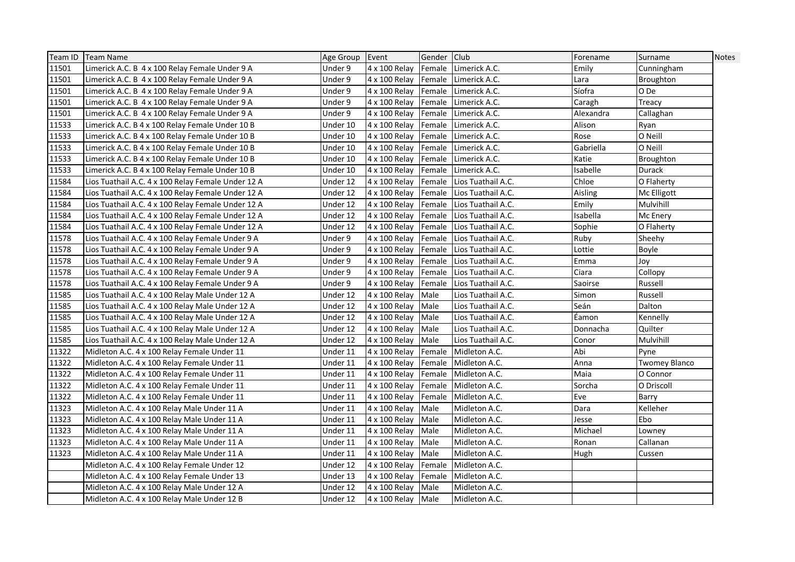| Team ID | <b>Team Name</b>                                   | Age Group Event |                    | Gender Club |                           | Forename  | Surname       | Notes |
|---------|----------------------------------------------------|-----------------|--------------------|-------------|---------------------------|-----------|---------------|-------|
| 11501   | Limerick A.C. B 4 x 100 Relay Female Under 9 A     | Under 9         | 4 x 100 Relay      |             | Female Limerick A.C.      | Emily     | Cunningham    |       |
| 11501   | Limerick A.C. B 4 x 100 Relay Female Under 9 A     | Under 9         | 4 x 100 Relay      |             | Female Limerick A.C.      | Lara      | Broughton     |       |
| 11501   | Limerick A.C. B 4 x 100 Relay Female Under 9 A     | Under 9         | 4 x 100 Relay      | Female      | Limerick A.C.             | Síofra    | O De          |       |
| 11501   | Limerick A.C. B 4 x 100 Relay Female Under 9 A     | Under 9         | 4 x 100 Relay      | Female      | Limerick A.C.             | Caragh    | Treacy        |       |
| 11501   | Limerick A.C. B 4 x 100 Relay Female Under 9 A     | Under 9         | 4 x 100 Relay      | Female      | Limerick A.C.             | Alexandra | Callaghan     |       |
| 11533   | Limerick A.C. B 4 x 100 Relay Female Under 10 B    | Under 10        | 4 x 100 Relay      | Female      | Limerick A.C.             | Alison    | Ryan          |       |
| 11533   | Limerick A.C. B 4 x 100 Relay Female Under 10 B    | Under 10        | 4 x 100 Relay      | Female      | Limerick A.C.             | Rose      | O Neill       |       |
| 11533   | Limerick A.C. B 4 x 100 Relay Female Under 10 B    | Under 10        | 4 x 100 Relay      | Female      | Limerick A.C.             | Gabriella | O Neill       |       |
| 11533   | Limerick A.C. B 4 x 100 Relay Female Under 10 B    | Under 10        | 4 x 100 Relay      |             | Female Limerick A.C.      | Katie     | Broughton     |       |
| 11533   | Limerick A.C. B 4 x 100 Relay Female Under 10 B    | Under 10        | 4 x 100 Relay      |             | Female Limerick A.C.      | Isabelle  | Durack        |       |
| 11584   | Lios Tuathail A.C. 4 x 100 Relay Female Under 12 A | Under 12        | 4 x 100 Relay      |             | Female Lios Tuathail A.C. | Chloe     | O Flaherty    |       |
| 11584   | Lios Tuathail A.C. 4 x 100 Relay Female Under 12 A | Under 12        | 4 x 100 Relay      | Female      | Lios Tuathail A.C.        | Aisling   | Mc Elligott   |       |
| 11584   | Lios Tuathail A.C. 4 x 100 Relay Female Under 12 A | Under 12        | 4 x 100 Relay      | Female      | Lios Tuathail A.C.        | Emily     | Mulvihill     |       |
| 11584   | Lios Tuathail A.C. 4 x 100 Relay Female Under 12 A | Under 12        | 4 x 100 Relay      | Female      | Lios Tuathail A.C.        | Isabella  | Mc Enery      |       |
| 11584   | Lios Tuathail A.C. 4 x 100 Relay Female Under 12 A | Under 12        | 4 x 100 Relay      | Female      | Lios Tuathail A.C.        | Sophie    | O Flaherty    |       |
| 11578   | Lios Tuathail A.C. 4 x 100 Relay Female Under 9 A  | Under 9         | 4 x 100 Relay      |             | Female Lios Tuathail A.C. | Ruby      | Sheehy        |       |
| 11578   | Lios Tuathail A.C. 4 x 100 Relay Female Under 9 A  | Under 9         | 4 x 100 Relay      |             | Female Lios Tuathail A.C. | Lottie    | Boyle         |       |
| 11578   | Lios Tuathail A.C. 4 x 100 Relay Female Under 9 A  | Under 9         | 4 x 100 Relay      |             | Female Lios Tuathail A.C. | Emma      | Joy           |       |
| 11578   | Lios Tuathail A.C. 4 x 100 Relay Female Under 9 A  | Under 9         | 4 x 100 Relay      | Female      | Lios Tuathail A.C.        | Ciara     | Collopy       |       |
| 11578   | Lios Tuathail A.C. 4 x 100 Relay Female Under 9 A  | Under 9         | 4 x 100 Relay      | Female      | Lios Tuathail A.C.        | Saoirse   | Russell       |       |
| 11585   | Lios Tuathail A.C. 4 x 100 Relay Male Under 12 A   | Under 12        | 4 x 100 Relay      | Male        | Lios Tuathail A.C.        | Simon     | Russell       |       |
| 11585   | Lios Tuathail A.C. 4 x 100 Relay Male Under 12 A   | Under 12        | 4 x 100 Relay      | Male        | Lios Tuathail A.C.        | Seán      | Dalton        |       |
| 11585   | Lios Tuathail A.C. 4 x 100 Relay Male Under 12 A   | Under 12        | 4 x 100 Relay      | Male        | Lios Tuathail A.C.        | Eamon     | Kennelly      |       |
| 11585   | Lios Tuathail A.C. 4 x 100 Relay Male Under 12 A   | Under 12        | 4 x 100 Relay      | Male        | Lios Tuathail A.C.        | Donnacha  | Quilter       |       |
| 11585   | Lios Tuathail A.C. 4 x 100 Relay Male Under 12 A   | Under 12        | 4 x 100 Relay      | Male        | Lios Tuathail A.C.        | Conor     | Mulvihill     |       |
| 11322   | Midleton A.C. 4 x 100 Relay Female Under 11        | Under 11        | 4 x 100 Relay      | Female      | Midleton A.C.             | Abi       | Pyne          |       |
| 11322   | Midleton A.C. 4 x 100 Relay Female Under 11        | Under 11        | 4 x 100 Relay      | Female      | Midleton A.C.             | Anna      | Twomey Blanco |       |
| 11322   | Midleton A.C. 4 x 100 Relay Female Under 11        | Under 11        | 4 x 100 Relay      | Female      | Midleton A.C.             | Maia      | O Connor      |       |
| 11322   | Midleton A.C. 4 x 100 Relay Female Under 11        | Under 11        | 4 x 100 Relay      | Female      | Midleton A.C.             | Sorcha    | O Driscoll    |       |
| 11322   | Midleton A.C. 4 x 100 Relay Female Under 11        | Under 11        | 4 x 100 Relay      | Female      | Midleton A.C.             | Eve       | Barry         |       |
| 11323   | Midleton A.C. 4 x 100 Relay Male Under 11 A        | Under 11        | 4 x 100 Relay      | Male        | Midleton A.C.             | Dara      | Kelleher      |       |
| 11323   | Midleton A.C. 4 x 100 Relay Male Under 11 A        | Under 11        | 4 x 100 Relay      | Male        | Midleton A.C.             | Jesse     | Ebo           |       |
| 11323   | Midleton A.C. 4 x 100 Relay Male Under 11 A        | Under 11        | 4 x 100 Relay      | Male        | Midleton A.C.             | Michael   | Lowney        |       |
| 11323   | Midleton A.C. 4 x 100 Relay Male Under 11 A        | Under 11        | 4 x 100 Relay      | Male        | Midleton A.C.             | Ronan     | Callanan      |       |
| 11323   | Midleton A.C. 4 x 100 Relay Male Under 11 A        | Under 11        | 4 x 100 Relay      | Male        | Midleton A.C.             | Hugh      | Cussen        |       |
|         | Midleton A.C. 4 x 100 Relay Female Under 12        | Under 12        | 4 x 100 Relay      | Female      | Midleton A.C.             |           |               |       |
|         | Midleton A.C. 4 x 100 Relay Female Under 13        | Under 13        | 4 x 100 Relay      | Female      | Midleton A.C.             |           |               |       |
|         | Midleton A.C. 4 x 100 Relay Male Under 12 A        | Under 12        | 4 x 100 Relay      | Male        | Midleton A.C.             |           |               |       |
|         | Midleton A.C. 4 x 100 Relay Male Under 12 B        | Under 12        | 4 x 100 Relay Male |             | Midleton A.C.             |           |               |       |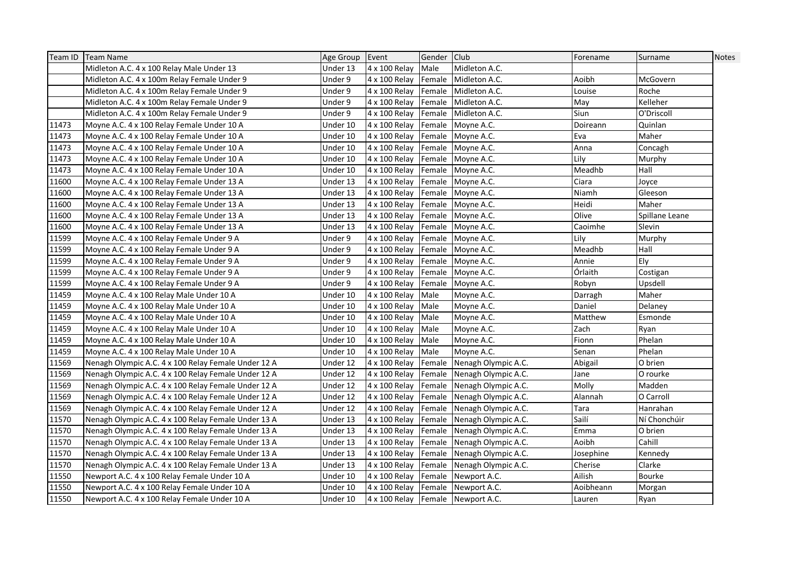|       | Team ID   Team Name                                 | Age Group | Event                             | Gender Club |                            | Forename  | Surname        | Notes |
|-------|-----------------------------------------------------|-----------|-----------------------------------|-------------|----------------------------|-----------|----------------|-------|
|       | Midleton A.C. 4 x 100 Relay Male Under 13           | Under 13  | 4 x 100 Relay                     | Male        | Midleton A.C.              |           |                |       |
|       | Midleton A.C. 4 x 100m Relay Female Under 9         | Under 9   | 4 x 100 Relay                     | Female      | Midleton A.C.              | Aoibh     | McGovern       |       |
|       | Midleton A.C. 4 x 100m Relay Female Under 9         | Under 9   | 4 x 100 Relay                     | Female      | Midleton A.C.              | Louise    | Roche          |       |
|       | Midleton A.C. 4 x 100m Relay Female Under 9         | Under 9   | 4 x 100 Relay                     | Female      | Midleton A.C.              | May       | Kelleher       |       |
|       | Midleton A.C. 4 x 100m Relay Female Under 9         | Under 9   | 4 x 100 Relay                     | Female      | Midleton A.C.              | Siun      | O'Driscoll     |       |
| 11473 | Moyne A.C. 4 x 100 Relay Female Under 10 A          | Under 10  | 4 x 100 Relay                     | Female      | Moyne A.C.                 | Doireann  | Quinlan        |       |
| 11473 | Moyne A.C. 4 x 100 Relay Female Under 10 A          | Under 10  | 4 x 100 Relay                     | Female      | Moyne A.C.                 | Eva       | Maher          |       |
| 11473 | Moyne A.C. 4 x 100 Relay Female Under 10 A          | Under 10  | 4 x 100 Relay                     |             | Female Moyne A.C.          | Anna      | Concagh        |       |
| 11473 | Moyne A.C. 4 x 100 Relay Female Under 10 A          | Under 10  | 4 x 100 Relay                     |             | Female Moyne A.C.          | Lily      | Murphy         |       |
| 11473 | Moyne A.C. 4 x 100 Relay Female Under 10 A          | Under 10  | 4 x 100 Relay                     |             | Female Moyne A.C.          | Meadhb    | Hall           |       |
| 11600 | Moyne A.C. 4 x 100 Relay Female Under 13 A          | Under 13  | 4 x 100 Relay                     |             | Female Moyne A.C.          | Ciara     | Joyce          |       |
| 11600 | Moyne A.C. 4 x 100 Relay Female Under 13 A          | Under 13  | 4 x 100 Relay                     |             | Female Moyne A.C.          | Niamh     | Gleeson        |       |
| 11600 | Moyne A.C. 4 x 100 Relay Female Under 13 A          | Under 13  | 4 x 100 Relay                     |             | Female Moyne A.C.          | Heidi     | Maher          |       |
| 11600 | Moyne A.C. 4 x 100 Relay Female Under 13 A          | Under 13  | 4 x 100 Relay                     |             | Female Moyne A.C.          | Olive     | Spillane Leane |       |
| 11600 | Moyne A.C. 4 x 100 Relay Female Under 13 A          | Under 13  | 4 x 100 Relay                     |             | Female Moyne A.C.          | Caoimhe   | Slevin         |       |
| 11599 | Moyne A.C. 4 x 100 Relay Female Under 9 A           | Under 9   | 4 x 100 Relay                     |             | Female Moyne A.C.          | Lilv      | Murphy         |       |
| 11599 | Moyne A.C. 4 x 100 Relay Female Under 9 A           | Under 9   | 4 x 100 Relay                     |             | Female Moyne A.C.          | Meadhb    | Hall           |       |
| 11599 | Moyne A.C. 4 x 100 Relay Female Under 9 A           | Under 9   | 4 x 100 Relay                     |             | Female Moyne A.C.          | Annie     | Ely            |       |
| 11599 | Moyne A.C. 4 x 100 Relay Female Under 9 A           | Under 9   | 4 x 100 Relay                     |             | Female Moyne A.C.          | Órlaith   | Costigan       |       |
| 11599 | Moyne A.C. 4 x 100 Relay Female Under 9 A           | Under 9   | 4 x 100 Relay                     |             | Female Moyne A.C.          | Robyn     | Upsdell        |       |
| 11459 | Moyne A.C. 4 x 100 Relay Male Under 10 A            | Under 10  | 4 x 100 Relay                     | Male        | Moyne A.C.                 | Darragh   | Maher          |       |
| 11459 | Moyne A.C. 4 x 100 Relay Male Under 10 A            | Under 10  | 4 x 100 Relay                     | Male        | Moyne A.C.                 | Daniel    | Delaney        |       |
| 11459 | Moyne A.C. 4 x 100 Relay Male Under 10 A            | Under 10  | 4 x 100 Relay                     | Male        | Moyne A.C.                 | Matthew   | Esmonde        |       |
| 11459 | Moyne A.C. 4 x 100 Relay Male Under 10 A            | Under 10  | 4 x 100 Relay                     | Male        | Moyne A.C.                 | Zach      | Ryan           |       |
| 11459 | Moyne A.C. 4 x 100 Relay Male Under 10 A            | Under 10  | 4 x 100 Relay                     | Male        | Moyne A.C.                 | Fionn     | Phelan         |       |
| 11459 | Moyne A.C. 4 x 100 Relay Male Under 10 A            | Under 10  | 4 x 100 Relay                     | Male        | Moyne A.C.                 | Senan     | Phelan         |       |
| 11569 | Nenagh Olympic A.C. 4 x 100 Relay Female Under 12 A | Under 12  | 4 x 100 Relay                     | Female      | Nenagh Olympic A.C.        | Abigail   | O brien        |       |
| 11569 | Nenagh Olympic A.C. 4 x 100 Relay Female Under 12 A | Under 12  | 4 x 100 Relay                     | Female      | Nenagh Olympic A.C.        | Jane      | O rourke       |       |
| 11569 | Nenagh Olympic A.C. 4 x 100 Relay Female Under 12 A | Under 12  | 4 x 100 Relay                     |             | Female Nenagh Olympic A.C. | Molly     | Madden         |       |
| 11569 | Nenagh Olympic A.C. 4 x 100 Relay Female Under 12 A | Under 12  | 4 x 100 Relay                     | Female      | Nenagh Olympic A.C.        | Alannah   | O Carroll      |       |
| 11569 | Nenagh Olympic A.C. 4 x 100 Relay Female Under 12 A | Under 12  | 4 x 100 Relay                     | Female      | Nenagh Olympic A.C.        | Tara      | Hanrahan       |       |
| 11570 | Nenagh Olympic A.C. 4 x 100 Relay Female Under 13 A | Under 13  | 4 x 100 Relay                     |             | Female Nenagh Olympic A.C. | Sailí     | Ní Chonchúir   |       |
| 11570 | Nenagh Olympic A.C. 4 x 100 Relay Female Under 13 A | Under 13  | 4 x 100 Relay                     |             | Female Nenagh Olympic A.C. | Emma      | O brien        |       |
| 11570 | Nenagh Olympic A.C. 4 x 100 Relay Female Under 13 A | Under 13  | 4 x 100 Relay                     |             | Female Nenagh Olympic A.C. | Aoibh     | Cahill         |       |
| 11570 | Nenagh Olympic A.C. 4 x 100 Relay Female Under 13 A | Under 13  | 4 x 100 Relay                     | Female      | Nenagh Olympic A.C.        | Josephine | Kennedy        |       |
| 11570 | Nenagh Olympic A.C. 4 x 100 Relay Female Under 13 A | Under 13  | 4 x 100 Relay                     | Female      | Nenagh Olympic A.C.        | Cherise   | Clarke         |       |
| 11550 | Newport A.C. 4 x 100 Relay Female Under 10 A        | Under 10  | 4 x 100 Relay                     |             | Female Newport A.C.        | Ailish    | Bourke         |       |
| 11550 | Newport A.C. 4 x 100 Relay Female Under 10 A        | Under 10  | 4 x 100 Relay                     |             | Female Newport A.C.        | Aoibheann | Morgan         |       |
| 11550 | Newport A.C. 4 x 100 Relay Female Under 10 A        | Under 10  | 4 x 100 Relay Female Newport A.C. |             |                            | Lauren    | Ryan           |       |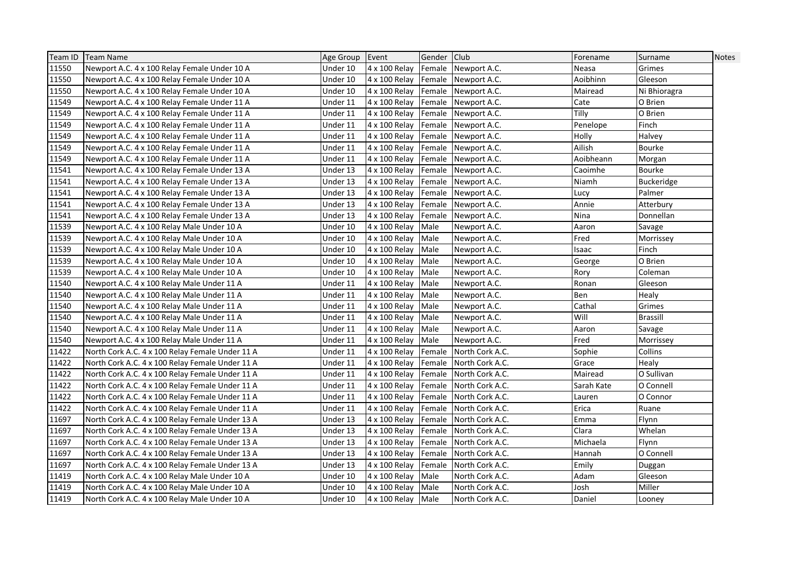| Team ID | <b>Team Name</b>                                | Age Group | Event              | Gender Club |                     | Forename   | Surname         | <b>Notes</b> |
|---------|-------------------------------------------------|-----------|--------------------|-------------|---------------------|------------|-----------------|--------------|
| 11550   | Newport A.C. 4 x 100 Relay Female Under 10 A    | Under 10  | 4 x 100 Relay      |             | Female Newport A.C. | Neasa      | Grimes          |              |
| 11550   | Newport A.C. 4 x 100 Relay Female Under 10 A    | Under 10  | 4 x 100 Relay      |             | Female Newport A.C. | Aoibhinn   | Gleeson         |              |
| 11550   | Newport A.C. 4 x 100 Relay Female Under 10 A    | Under 10  | 4 x 100 Relay      | Female      | Newport A.C.        | Mairead    | Ni Bhioragra    |              |
| 11549   | Newport A.C. 4 x 100 Relay Female Under 11 A    | Under 11  | 4 x 100 Relay      | Female      | Newport A.C.        | Cate       | O Brien         |              |
| 11549   | Newport A.C. 4 x 100 Relay Female Under 11 A    | Under 11  | 4 x 100 Relay      | Female      | Newport A.C.        | Tilly      | O Brien         |              |
| 11549   | Newport A.C. 4 x 100 Relay Female Under 11 A    | Under 11  | 4 x 100 Relay      | Female      | Newport A.C.        | Penelope   | Finch           |              |
| 11549   | Newport A.C. 4 x 100 Relay Female Under 11 A    | Under 11  | 4 x 100 Relay      | Female      | Newport A.C.        | Holly      | Halvey          |              |
| 11549   | Newport A.C. 4 x 100 Relay Female Under 11 A    | Under 11  | 4 x 100 Relay      |             | Female Newport A.C. | Ailish     | Bourke          |              |
| 11549   | Newport A.C. 4 x 100 Relay Female Under 11 A    | Under 11  | 4 x 100 Relay      |             | Female Newport A.C. | Aoibheann  | Morgan          |              |
| 11541   | Newport A.C. 4 x 100 Relay Female Under 13 A    | Under 13  | 4 x 100 Relay      | Female      | Newport A.C.        | Caoimhe    | Bourke          |              |
| 11541   | Newport A.C. 4 x 100 Relay Female Under 13 A    | Under 13  | 4 x 100 Relay      | Female      | Newport A.C.        | Niamh      | Buckeridge      |              |
| 11541   | Newport A.C. 4 x 100 Relay Female Under 13 A    | Under 13  | 4 x 100 Relay      | Female      | Newport A.C.        | Lucy       | Palmer          |              |
| 11541   | Newport A.C. 4 x 100 Relay Female Under 13 A    | Under 13  | 4 x 100 Relay      |             | Female Newport A.C. | Annie      | Atterbury       |              |
| 11541   | Newport A.C. 4 x 100 Relay Female Under 13 A    | Under 13  | 4 x 100 Relay      | Female      | Newport A.C.        | Nina       | Donnellan       |              |
| 11539   | Newport A.C. 4 x 100 Relay Male Under 10 A      | Under 10  | 4 x 100 Relay      | Male        | Newport A.C.        | Aaron      | Savage          |              |
| 11539   | Newport A.C. 4 x 100 Relay Male Under 10 A      | Under 10  | 4 x 100 Relay      | Male        | Newport A.C.        | Fred       | Morrissey       |              |
| 11539   | Newport A.C. 4 x 100 Relay Male Under 10 A      | Under 10  | 4 x 100 Relay      | Male        | Newport A.C.        | Isaac      | Finch           |              |
| 11539   | Newport A.C. 4 x 100 Relay Male Under 10 A      | Under 10  | 4 x 100 Relay      | Male        | Newport A.C.        | George     | O Brien         |              |
| 11539   | Newport A.C. 4 x 100 Relay Male Under 10 A      | Under 10  | 4 x 100 Relay      | Male        | Newport A.C.        | Rory       | Coleman         |              |
| 11540   | Newport A.C. 4 x 100 Relay Male Under 11 A      | Under 11  | 4 x 100 Relay      | Male        | Newport A.C.        | Ronan      | Gleeson         |              |
| 11540   | Newport A.C. 4 x 100 Relay Male Under 11 A      | Under 11  | 4 x 100 Relay      | Male        | Newport A.C.        | Ben        | Healy           |              |
| 11540   | Newport A.C. 4 x 100 Relay Male Under 11 A      | Under 11  | 4 x 100 Relay      | Male        | Newport A.C.        | Cathal     | Grimes          |              |
| 11540   | Newport A.C. 4 x 100 Relay Male Under 11 A      | Under 11  | 4 x 100 Relay      | Male        | Newport A.C.        | Will       | <b>Brassill</b> |              |
| 11540   | Newport A.C. 4 x 100 Relay Male Under 11 A      | Under 11  | 4 x 100 Relay      | Male        | Newport A.C.        | Aaron      | Savage          |              |
| 11540   | Newport A.C. 4 x 100 Relay Male Under 11 A      | Under 11  | 4 x 100 Relay      | Male        | Newport A.C.        | Fred       | Morrissey       |              |
| 11422   | North Cork A.C. 4 x 100 Relay Female Under 11 A | Under 11  | 4 x 100 Relay      | Female      | North Cork A.C.     | Sophie     | Collins         |              |
| 11422   | North Cork A.C. 4 x 100 Relay Female Under 11 A | Under 11  | 4 x 100 Relay      | Female      | North Cork A.C.     | Grace      | Healy           |              |
| 11422   | North Cork A.C. 4 x 100 Relay Female Under 11 A | Under 11  | 4 x 100 Relay      | Female      | North Cork A.C.     | Mairead    | O Sullivan      |              |
| 11422   | North Cork A.C. 4 x 100 Relay Female Under 11 A | Under 11  | 4 x 100 Relay      | Female      | North Cork A.C.     | Sarah Kate | O Connell       |              |
| 11422   | North Cork A.C. 4 x 100 Relay Female Under 11 A | Under 11  | 4 x 100 Relay      | Female      | North Cork A.C.     | Lauren     | O Connor        |              |
| 11422   | North Cork A.C. 4 x 100 Relay Female Under 11 A | Under 11  | 4 x 100 Relay      | Female      | North Cork A.C.     | Erica      | Ruane           |              |
| 11697   | North Cork A.C. 4 x 100 Relay Female Under 13 A | Under 13  | 4 x 100 Relay      | Female      | North Cork A.C.     | Emma       | Flynn           |              |
| 11697   | North Cork A.C. 4 x 100 Relay Female Under 13 A | Under 13  | 4 x 100 Relay      | Female      | North Cork A.C.     | Clara      | Whelan          |              |
| 11697   | North Cork A.C. 4 x 100 Relay Female Under 13 A | Under 13  | 4 x 100 Relay      | Female      | North Cork A.C.     | Michaela   | Flynn           |              |
| 11697   | North Cork A.C. 4 x 100 Relay Female Under 13 A | Under 13  | 4 x 100 Relay      | Female      | North Cork A.C.     | Hannah     | O Connell       |              |
| 11697   | North Cork A.C. 4 x 100 Relay Female Under 13 A | Under 13  | 4 x 100 Relay      | Female      | North Cork A.C.     | Emily      | Duggan          |              |
| 11419   | North Cork A.C. 4 x 100 Relay Male Under 10 A   | Under 10  | 4 x 100 Relay      | Male        | North Cork A.C.     | Adam       | Gleeson         |              |
| 11419   | North Cork A.C. 4 x 100 Relay Male Under 10 A   | Under 10  | 4 x 100 Relay      | Male        | North Cork A.C.     | Josh       | Miller          |              |
| 11419   | North Cork A.C. 4 x 100 Relay Male Under 10 A   | Under 10  | 4 x 100 Relay Male |             | North Cork A.C.     | Daniel     | Looney          |              |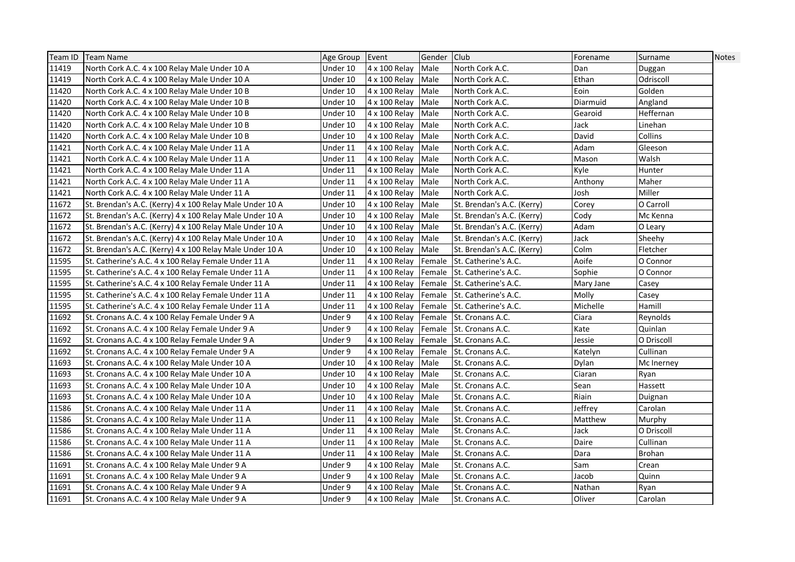| Team ID | Team Name                                                | Age Group Event |                    | Gender Club |                             | Forename  | Surname    | <b>Notes</b> |
|---------|----------------------------------------------------------|-----------------|--------------------|-------------|-----------------------------|-----------|------------|--------------|
| 11419   | North Cork A.C. 4 x 100 Relay Male Under 10 A            | Under 10        | 4 x 100 Relay      | Male        | North Cork A.C.             | Dan       | Duggan     |              |
| 11419   | North Cork A.C. 4 x 100 Relay Male Under 10 A            | Under 10        | 4 x 100 Relay      | Male        | North Cork A.C.             | Ethan     | Odriscoll  |              |
| 11420   | North Cork A.C. 4 x 100 Relay Male Under 10 B            | Under 10        | 4 x 100 Relay      | Male        | North Cork A.C.             | Eoin      | Golden     |              |
| 11420   | North Cork A.C. 4 x 100 Relay Male Under 10 B            | Under 10        | 4 x 100 Relay      | Male        | North Cork A.C.             | Diarmuid  | Angland    |              |
| 11420   | North Cork A.C. 4 x 100 Relay Male Under 10 B            | Under 10        | 4 x 100 Relay      | Male        | North Cork A.C.             | Gearoid   | Heffernan  |              |
| 11420   | North Cork A.C. 4 x 100 Relay Male Under 10 B            | Under 10        | 4 x 100 Relay      | Male        | North Cork A.C.             | Jack      | Linehan    |              |
| 11420   | North Cork A.C. 4 x 100 Relay Male Under 10 B            | Under 10        | 4 x 100 Relay      | Male        | North Cork A.C.             | David     | Collins    |              |
| 11421   | North Cork A.C. 4 x 100 Relay Male Under 11 A            | Under 11        | 4 x 100 Relay      | Male        | North Cork A.C.             | Adam      | Gleeson    |              |
| 11421   | North Cork A.C. 4 x 100 Relay Male Under 11 A            | Under 11        | 4 x 100 Relay      | Male        | North Cork A.C.             | Mason     | Walsh      |              |
| 11421   | North Cork A.C. 4 x 100 Relay Male Under 11 A            | Under 11        | 4 x 100 Relay      | Male        | North Cork A.C.             | Kyle      | Hunter     |              |
| 11421   | North Cork A.C. 4 x 100 Relay Male Under 11 A            | Under 11        | 4 x 100 Relay      | Male        | North Cork A.C.             | Anthony   | Maher      |              |
| 11421   | North Cork A.C. 4 x 100 Relay Male Under 11 A            | Under 11        | 4 x 100 Relay      | Male        | North Cork A.C.             | Josh      | Miller     |              |
| 11672   | St. Brendan's A.C. (Kerry) 4 x 100 Relay Male Under 10 A | Under 10        | 4 x 100 Relay      | Male        | St. Brendan's A.C. (Kerry)  | Corev     | O Carroll  |              |
| 11672   | St. Brendan's A.C. (Kerry) 4 x 100 Relay Male Under 10 A | Under 10        | 4 x 100 Relay      | Male        | St. Brendan's A.C. (Kerry)  | Cody      | Mc Kenna   |              |
| 11672   | St. Brendan's A.C. (Kerry) 4 x 100 Relay Male Under 10 A | Under 10        | 4 x 100 Relay      | Male        | St. Brendan's A.C. (Kerry)  | Adam      | O Leary    |              |
| 11672   | St. Brendan's A.C. (Kerry) 4 x 100 Relay Male Under 10 A | Under 10        | 4 x 100 Relay      | Male        | St. Brendan's A.C. (Kerry)  | Jack      | Sheehy     |              |
| 11672   | St. Brendan's A.C. (Kerry) 4 x 100 Relay Male Under 10 A | Under 10        | 4 x 100 Relay      | Male        | St. Brendan's A.C. (Kerry)  | Colm      | Fletcher   |              |
| 11595   | St. Catherine's A.C. 4 x 100 Relay Female Under 11 A     | Under 11        | 4 x 100 Relay      |             | Female St. Catherine's A.C. | Aoife     | O Connor   |              |
| 11595   | St. Catherine's A.C. 4 x 100 Relay Female Under 11 A     | Under 11        | 4 x 100 Relay      |             | Female St. Catherine's A.C. | Sophie    | O Connor   |              |
| 11595   | St. Catherine's A.C. 4 x 100 Relay Female Under 11 A     | Under 11        | 4 x 100 Relay      |             | Female St. Catherine's A.C. | Mary Jane | Casey      |              |
| 11595   | St. Catherine's A.C. 4 x 100 Relay Female Under 11 A     | Under 11        | 4 x 100 Relay      |             | Female St. Catherine's A.C. | Molly     | Casey      |              |
| 11595   | St. Catherine's A.C. 4 x 100 Relay Female Under 11 A     | Under 11        | 4 x 100 Relay      |             | Female St. Catherine's A.C. | Michelle  | Hamill     |              |
| 11692   | St. Cronans A.C. 4 x 100 Relay Female Under 9 A          | Under 9         | 4 x 100 Relay      |             | Female St. Cronans A.C.     | Ciara     | Reynolds   |              |
| 11692   | St. Cronans A.C. 4 x 100 Relay Female Under 9 A          | Under 9         | 4 x 100 Relay      |             | Female St. Cronans A.C.     | Kate      | Quinlan    |              |
| 11692   | St. Cronans A.C. 4 x 100 Relay Female Under 9 A          | Under 9         | 4 x 100 Relay      |             | Female St. Cronans A.C.     | Jessie    | O Driscoll |              |
| 11692   | St. Cronans A.C. 4 x 100 Relay Female Under 9 A          | Under 9         | 4 x 100 Relay      |             | Female St. Cronans A.C.     | Katelyn   | Cullinan   |              |
| 11693   | St. Cronans A.C. 4 x 100 Relay Male Under 10 A           | Under 10        | 4 x 100 Relay      | Male        | St. Cronans A.C.            | Dylan     | Mc Inerney |              |
| 11693   | St. Cronans A.C. 4 x 100 Relay Male Under 10 A           | Under 10        | 4 x 100 Relay      | Male        | St. Cronans A.C.            | Ciaran    | Ryan       |              |
| 11693   | St. Cronans A.C. 4 x 100 Relay Male Under 10 A           | Under 10        | 4 x 100 Relay      | Male        | St. Cronans A.C.            | Sean      | Hassett    |              |
| 11693   | St. Cronans A.C. 4 x 100 Relay Male Under 10 A           | Under 10        | 4 x 100 Relay      | Male        | St. Cronans A.C.            | Riain     | Duignan    |              |
| 11586   | St. Cronans A.C. 4 x 100 Relay Male Under 11 A           | Under 11        | 4 x 100 Relay      | Male        | St. Cronans A.C.            | Jeffrey   | Carolan    |              |
| 11586   | St. Cronans A.C. 4 x 100 Relay Male Under 11 A           | Under 11        | 4 x 100 Relay      | Male        | St. Cronans A.C.            | Matthew   | Murphy     |              |
| 11586   | St. Cronans A.C. 4 x 100 Relay Male Under 11 A           | Under 11        | 4 x 100 Relay      | Male        | St. Cronans A.C.            | Jack      | O Driscoll |              |
| 11586   | St. Cronans A.C. 4 x 100 Relay Male Under 11 A           | Under 11        | 4 x 100 Relay      | Male        | St. Cronans A.C.            | Daire     | Cullinan   |              |
| 11586   | St. Cronans A.C. 4 x 100 Relay Male Under 11 A           | Under 11        | 4 x 100 Relay      | Male        | St. Cronans A.C.            | Dara      | Brohan     |              |
| 11691   | St. Cronans A.C. 4 x 100 Relay Male Under 9 A            | Under 9         | 4 x 100 Relay      | Male        | St. Cronans A.C.            | Sam       | Crean      |              |
| 11691   | St. Cronans A.C. 4 x 100 Relay Male Under 9 A            | Under 9         | 4 x 100 Relay      | Male        | St. Cronans A.C.            | Jacob     | Quinn      |              |
| 11691   | St. Cronans A.C. 4 x 100 Relay Male Under 9 A            | Under 9         | 4 x 100 Relay      | Male        | St. Cronans A.C.            | Nathan    | Ryan       |              |
| 11691   | St. Cronans A.C. 4 x 100 Relay Male Under 9 A            | Under 9         | 4 x 100 Relay Male |             | St. Cronans A.C.            | Oliver    | Carolan    |              |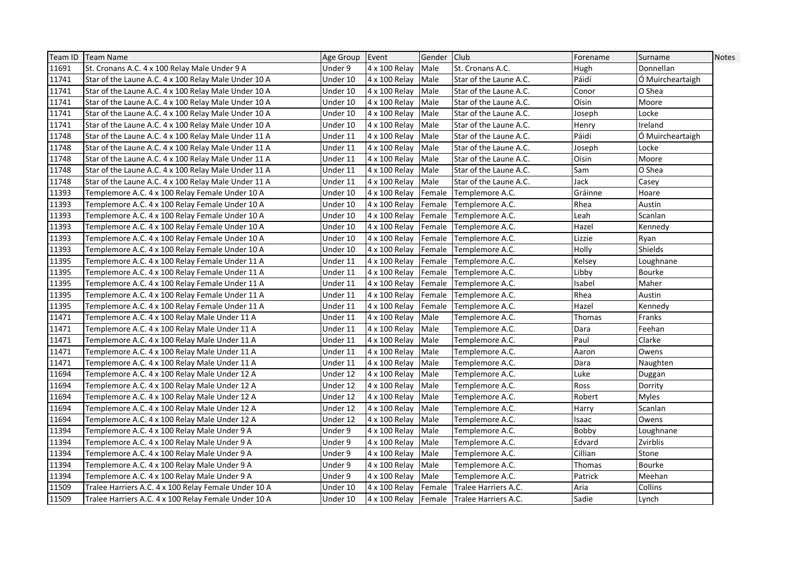|       | Team ID   Team Name                                  | Age Group Event |               | Gender Club |                                           | Forename | Surname          | <b>Notes</b> |
|-------|------------------------------------------------------|-----------------|---------------|-------------|-------------------------------------------|----------|------------------|--------------|
| 11691 | St. Cronans A.C. 4 x 100 Relay Male Under 9 A        | Under 9         | 4 x 100 Relay | Male        | St. Cronans A.C.                          | Hugh     | Donnellan        |              |
| 11741 | Star of the Laune A.C. 4 x 100 Relay Male Under 10 A | Under 10        | 4 x 100 Relay | Male        | Star of the Laune A.C.                    | Páidí    | Ó Muircheartaigh |              |
| 11741 | Star of the Laune A.C. 4 x 100 Relay Male Under 10 A | Under 10        | 4 x 100 Relay | Male        | Star of the Laune A.C.                    | Conor    | O Shea           |              |
| 11741 | Star of the Laune A.C. 4 x 100 Relay Male Under 10 A | Under 10        | 4 x 100 Relay | Male        | Star of the Laune A.C.                    | Oisin    | Moore            |              |
| 11741 | Star of the Laune A.C. 4 x 100 Relay Male Under 10 A | Under 10        | 4 x 100 Relay | Male        | Star of the Laune A.C.                    | Joseph   | Locke            |              |
| 11741 | Star of the Laune A.C. 4 x 100 Relay Male Under 10 A | Under 10        | 4 x 100 Relay | Male        | Star of the Laune A.C.                    | Henry    | Ireland          |              |
| 11748 | Star of the Laune A.C. 4 x 100 Relay Male Under 11 A | Under 11        | 4 x 100 Relay | Male        | Star of the Laune A.C.                    | Páidí    | O Muircheartaigh |              |
| 11748 | Star of the Laune A.C. 4 x 100 Relay Male Under 11 A | Under 11        | 4 x 100 Relay | Male        | Star of the Laune A.C.                    | Joseph   | Locke            |              |
| 11748 | Star of the Laune A.C. 4 x 100 Relay Male Under 11 A | Under 11        | 4 x 100 Relay | Male        | Star of the Laune A.C.                    | Oisin    | Moore            |              |
| 11748 | Star of the Laune A.C. 4 x 100 Relay Male Under 11 A | Under 11        | 4 x 100 Relay | Male        | Star of the Laune A.C.                    | Sam      | O Shea           |              |
| 11748 | Star of the Laune A.C. 4 x 100 Relay Male Under 11 A | Under 11        | 4 x 100 Relay | Male        | Star of the Laune A.C.                    | Jack     | Casey            |              |
| 11393 | Templemore A.C. 4 x 100 Relay Female Under 10 A      | Under 10        | 4 x 100 Relay | Female      | Templemore A.C.                           | Gráinne  | Hoare            |              |
| 11393 | Templemore A.C. 4 x 100 Relay Female Under 10 A      | Under 10        | 4 x 100 Relay | Female      | Templemore A.C.                           | Rhea     | Austin           |              |
| 11393 | Templemore A.C. 4 x 100 Relay Female Under 10 A      | Under 10        | 4 x 100 Relay | Female      | Templemore A.C.                           | Leah     | Scanlan          |              |
| 11393 | Templemore A.C. 4 x 100 Relay Female Under 10 A      | Under 10        | 4 x 100 Relay | Female      | Templemore A.C.                           | Hazel    | Kennedy          |              |
| 11393 | Templemore A.C. 4 x 100 Relay Female Under 10 A      | Under 10        | 4 x 100 Relay | Female      | Templemore A.C.                           | Lizzie   | Ryan             |              |
| 11393 | Templemore A.C. 4 x 100 Relay Female Under 10 A      | Under 10        | 4 x 100 Relay |             | Female Templemore A.C.                    | Holly    | Shields          |              |
| 11395 | Templemore A.C. 4 x 100 Relay Female Under 11 A      | Under 11        | 4 x 100 Relay |             | Female Templemore A.C.                    | Kelsey   | Loughnane        |              |
| 11395 | Templemore A.C. 4 x 100 Relay Female Under 11 A      | Under 11        | 4 x 100 Relay | Female      | Templemore A.C.                           | Libby    | Bourke           |              |
| 11395 | Templemore A.C. 4 x 100 Relay Female Under 11 A      | Under 11        | 4 x 100 Relay | Female      | Templemore A.C.                           | Isabel   | Maher            |              |
| 11395 | Templemore A.C. 4 x 100 Relay Female Under 11 A      | Under 11        | 4 x 100 Relay | Female      | Templemore A.C.                           | Rhea     | Austin           |              |
| 11395 | Templemore A.C. 4 x 100 Relay Female Under 11 A      | Under 11        | 4 x 100 Relay | Female      | Templemore A.C.                           | Hazel    | Kennedy          |              |
| 11471 | Templemore A.C. 4 x 100 Relay Male Under 11 A        | Under 11        | 4 x 100 Relay | Male        | Templemore A.C.                           | Thomas   | Franks           |              |
| 11471 | Templemore A.C. 4 x 100 Relay Male Under 11 A        | Under 11        | 4 x 100 Relay | Male        | Templemore A.C.                           | Dara     | Feehan           |              |
| 11471 | Templemore A.C. 4 x 100 Relay Male Under 11 A        | Under 11        | 4 x 100 Relay | Male        | Templemore A.C.                           | Paul     | Clarke           |              |
| 11471 | Templemore A.C. 4 x 100 Relay Male Under 11 A        | Under 11        | 4 x 100 Relay | Male        | Templemore A.C.                           | Aaron    | Owens            |              |
| 11471 | Templemore A.C. 4 x 100 Relay Male Under 11 A        | Under 11        | 4 x 100 Relay | Male        | Templemore A.C.                           | Dara     | Naughten         |              |
| 11694 | Templemore A.C. 4 x 100 Relay Male Under 12 A        | Under 12        | 4 x 100 Relay | Male        | Templemore A.C.                           | Luke     | Duggan           |              |
| 11694 | Templemore A.C. 4 x 100 Relay Male Under 12 A        | Under 12        | 4 x 100 Relay | Male        | Templemore A.C.                           | Ross     | Dorrity          |              |
| 11694 | Templemore A.C. 4 x 100 Relay Male Under 12 A        | Under 12        | 4 x 100 Relay | Male        | Templemore A.C.                           | Robert   | Myles            |              |
| 11694 | Templemore A.C. 4 x 100 Relay Male Under 12 A        | Under 12        | 4 x 100 Relay | Male        | Templemore A.C.                           | Harry    | Scanlan          |              |
| 11694 | Templemore A.C. 4 x 100 Relay Male Under 12 A        | Under 12        | 4 x 100 Relay | Male        | Templemore A.C.                           | Isaac    | Owens            |              |
| 11394 | Templemore A.C. 4 x 100 Relay Male Under 9 A         | Under 9         | 4 x 100 Relay | Male        | Templemore A.C.                           | Bobby    | Loughnane        |              |
| 11394 | Templemore A.C. 4 x 100 Relay Male Under 9 A         | Under 9         | 4 x 100 Relay | Male        | Templemore A.C.                           | Edvard   | Zvirblis         |              |
| 11394 | Templemore A.C. 4 x 100 Relay Male Under 9 A         | Under 9         | 4 x 100 Relay | Male        | Templemore A.C.                           | Cillian  | Stone            |              |
| 11394 | Templemore A.C. 4 x 100 Relay Male Under 9 A         | Under 9         | 4 x 100 Relay | Male        | Templemore A.C.                           | Thomas   | <b>Bourke</b>    |              |
| 11394 | Templemore A.C. 4 x 100 Relay Male Under 9 A         | Under 9         | 4 x 100 Relay | Male        | Templemore A.C.                           | Patrick  | Meehan           |              |
| 11509 | Tralee Harriers A.C. 4 x 100 Relay Female Under 10 A | Under 10        | 4 x 100 Relay | Female      | Tralee Harriers A.C.                      | Aria     | Collins          |              |
| 11509 | Tralee Harriers A.C. 4 x 100 Relay Female Under 10 A | Under 10        |               |             | 4 x 100 Relay Female Tralee Harriers A.C. | Sadie    | Lynch            |              |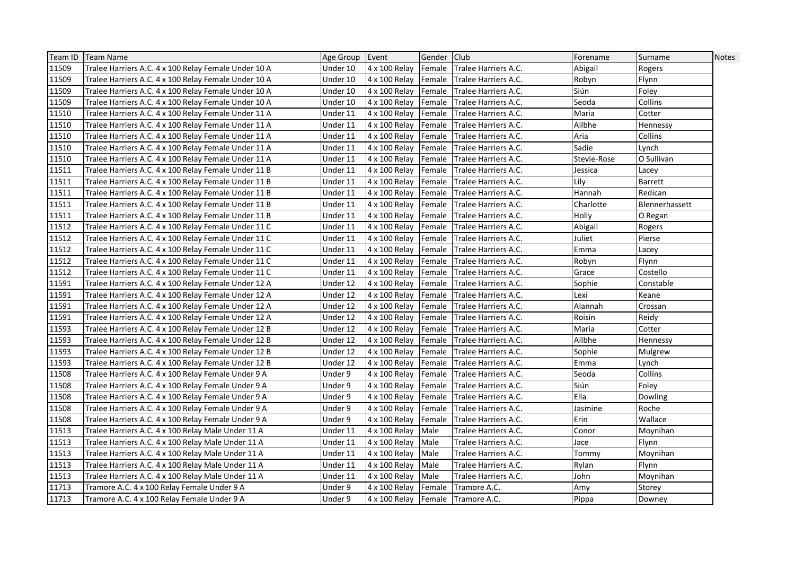|       | Team ID   Team Name                                  | Age Group Event |                                   | Gender Club |                             | Forename    | Surname        | <b>Notes</b> |
|-------|------------------------------------------------------|-----------------|-----------------------------------|-------------|-----------------------------|-------------|----------------|--------------|
| 11509 | Tralee Harriers A.C. 4 x 100 Relay Female Under 10 A | Under 10        | 4 x 100 Relay                     |             | Female Tralee Harriers A.C. | Abigail     | Rogers         |              |
| 11509 | Tralee Harriers A.C. 4 x 100 Relay Female Under 10 A | Under 10        | 4 x 100 Relay                     |             | Female Tralee Harriers A.C. | Robyn       | Flynn          |              |
| 11509 | Tralee Harriers A.C. 4 x 100 Relay Female Under 10 A | Under 10        | 4 x 100 Relay                     | Female      | <b>Tralee Harriers A.C.</b> | Siún        | Foley          |              |
| 11509 | Tralee Harriers A.C. 4 x 100 Relay Female Under 10 A | Under 10        | 4 x 100 Relay                     | Female      | Tralee Harriers A.C.        | Seoda       | Collins        |              |
| 11510 | Tralee Harriers A.C. 4 x 100 Relay Female Under 11 A | Under 11        | 4 x 100 Relay                     | Female      | Tralee Harriers A.C.        | Maria       | Cotter         |              |
| 11510 | Tralee Harriers A.C. 4 x 100 Relay Female Under 11 A | Under 11        | 4 x 100 Relay                     | Female      | Tralee Harriers A.C.        | Ailbhe      | Hennessy       |              |
| 11510 | Tralee Harriers A.C. 4 x 100 Relay Female Under 11 A | Under 11        | 4 x 100 Relay                     | Female      | Tralee Harriers A.C.        | Aria        | Collins        |              |
| 11510 | Tralee Harriers A.C. 4 x 100 Relay Female Under 11 A | Under 11        | 4 x 100 Relay                     | Female      | Tralee Harriers A.C.        | Sadie       | Lynch          |              |
| 11510 | Tralee Harriers A.C. 4 x 100 Relay Female Under 11 A | Under 11        | 4 x 100 Relay                     | Female      | Tralee Harriers A.C.        | Stevie-Rose | O Sullivan     |              |
| 11511 | Tralee Harriers A.C. 4 x 100 Relay Female Under 11 B | Under 11        | 4 x 100 Relay                     |             | Female Tralee Harriers A.C. | Jessica     | Lacey          |              |
| 11511 | Tralee Harriers A.C. 4 x 100 Relay Female Under 11 B | Under 11        | 4 x 100 Relay                     | Female      | Tralee Harriers A.C.        | Lily        | <b>Barrett</b> |              |
| 11511 | Tralee Harriers A.C. 4 x 100 Relay Female Under 11 B | Under 11        | 4 x 100 Relay                     | Female      | Tralee Harriers A.C.        | Hannah      | Redican        |              |
| 11511 | Tralee Harriers A.C. 4 x 100 Relay Female Under 11 B | Under 11        | 4 x 100 Relay                     | Female      | Tralee Harriers A.C.        | Charlotte   | Blennerhassett |              |
| 11511 | Tralee Harriers A.C. 4 x 100 Relay Female Under 11 B | Under 11        | 4 x 100 Relay                     | Female      | Tralee Harriers A.C.        | Holly       | O Regan        |              |
| 11512 | Tralee Harriers A.C. 4 x 100 Relay Female Under 11 C | Under 11        | 4 x 100 Relay                     | Female      | Tralee Harriers A.C.        | Abigail     | Rogers         |              |
| 11512 | Tralee Harriers A.C. 4 x 100 Relay Female Under 11 C | Under 11        | 4 x 100 Relay                     |             | Female Tralee Harriers A.C. | Juliet      | Pierse         |              |
| 11512 | Tralee Harriers A.C. 4 x 100 Relay Female Under 11 C | Under 11        | 4 x 100 Relay                     |             | Female Tralee Harriers A.C. | Emma        | Lacey          |              |
| 11512 | Tralee Harriers A.C. 4 x 100 Relay Female Under 11 C | Under 11        | 4 x 100 Relay                     |             | Female Tralee Harriers A.C. | Robyn       | Flynn          |              |
| 11512 | Tralee Harriers A.C. 4 x 100 Relay Female Under 11 C | Under 11        | 4 x 100 Relay                     | Female      | Tralee Harriers A.C.        | Grace       | Costello       |              |
| 11591 | Tralee Harriers A.C. 4 x 100 Relay Female Under 12 A | Under 12        | 4 x 100 Relay                     | Female      | Tralee Harriers A.C.        | Sophie      | Constable      |              |
| 11591 | Tralee Harriers A.C. 4 x 100 Relay Female Under 12 A | Under 12        | 4 x 100 Relay                     |             | Female Tralee Harriers A.C. | Lexi        | Keane          |              |
| 11591 | Tralee Harriers A.C. 4 x 100 Relay Female Under 12 A | Under 12        | 4 x 100 Relay                     |             | Female Tralee Harriers A.C. | Alannah     | Crossan        |              |
| 11591 | Tralee Harriers A.C. 4 x 100 Relay Female Under 12 A | Under 12        | 4 x 100 Relay                     | Female      | Tralee Harriers A.C.        | Roisin      | Reidy          |              |
| 11593 | Tralee Harriers A.C. 4 x 100 Relay Female Under 12 B | Under 12        | 4 x 100 Relay                     |             | Female Tralee Harriers A.C. | Maria       | Cotter         |              |
| 11593 | Tralee Harriers A.C. 4 x 100 Relay Female Under 12 B | Under 12        | 4 x 100 Relay                     |             | Female Tralee Harriers A.C. | Ailbhe      | Hennessy       |              |
| 11593 | Tralee Harriers A.C. 4 x 100 Relay Female Under 12 B | Under 12        | 4 x 100 Relay                     |             | Female Tralee Harriers A.C. | Sophie      | Mulgrew        |              |
| 11593 | Tralee Harriers A.C. 4 x 100 Relay Female Under 12 B | Under 12        | 4 x 100 Relay                     | Female      | Tralee Harriers A.C.        | Emma        | Lynch          |              |
| 11508 | Tralee Harriers A.C. 4 x 100 Relay Female Under 9 A  | Under 9         | 4 x 100 Relay                     | Female      | Tralee Harriers A.C.        | Seoda       | Collins        |              |
| 11508 | Tralee Harriers A.C. 4 x 100 Relay Female Under 9 A  | Under 9         | 4 x 100 Relay                     | Female      | Tralee Harriers A.C.        | Siún        | Foley          |              |
| 11508 | Tralee Harriers A.C. 4 x 100 Relay Female Under 9 A  | Under 9         | 4 x 100 Relay                     | Female      | Tralee Harriers A.C.        | Ella        | Dowling        |              |
| 11508 | Tralee Harriers A.C. 4 x 100 Relay Female Under 9 A  | Under 9         | 4 x 100 Relay                     |             | Female Tralee Harriers A.C. | Jasmine     | Roche          |              |
| 11508 | Tralee Harriers A.C. 4 x 100 Relay Female Under 9 A  | Under 9         | 4 x 100 Relay                     |             | Female Tralee Harriers A.C. | Erin        | Wallace        |              |
| 11513 | Tralee Harriers A.C. 4 x 100 Relay Male Under 11 A   | Under 11        | 4 x 100 Relay                     | Male        | Tralee Harriers A.C.        | Conor       | Moynihan       |              |
| 11513 | Tralee Harriers A.C. 4 x 100 Relay Male Under 11 A   | Under 11        | 4 x 100 Relay                     | Male        | Tralee Harriers A.C.        | Jace        | Flynn          |              |
| 11513 | Tralee Harriers A.C. 4 x 100 Relay Male Under 11 A   | Under 11        | 4 x 100 Relay                     | Male        | Tralee Harriers A.C.        | Tommy       | Moynihan       |              |
| 11513 | Tralee Harriers A.C. 4 x 100 Relay Male Under 11 A   | Under 11        | 4 x 100 Relay                     | Male        | Tralee Harriers A.C.        | Rylan       | Flynn          |              |
| 11513 | Tralee Harriers A.C. 4 x 100 Relay Male Under 11 A   | Under 11        | 4 x 100 Relay                     | Male        | Tralee Harriers A.C.        | John        | Moynihan       |              |
| 11713 | Tramore A.C. 4 x 100 Relay Female Under 9 A          | Under 9         | 4 x 100 Relay                     | Female      | Tramore A.C.                | Amy         | Storey         |              |
| 11713 | Tramore A.C. 4 x 100 Relay Female Under 9 A          | Under 9         | 4 x 100 Relay Female Tramore A.C. |             |                             | Pippa       | Downey         |              |